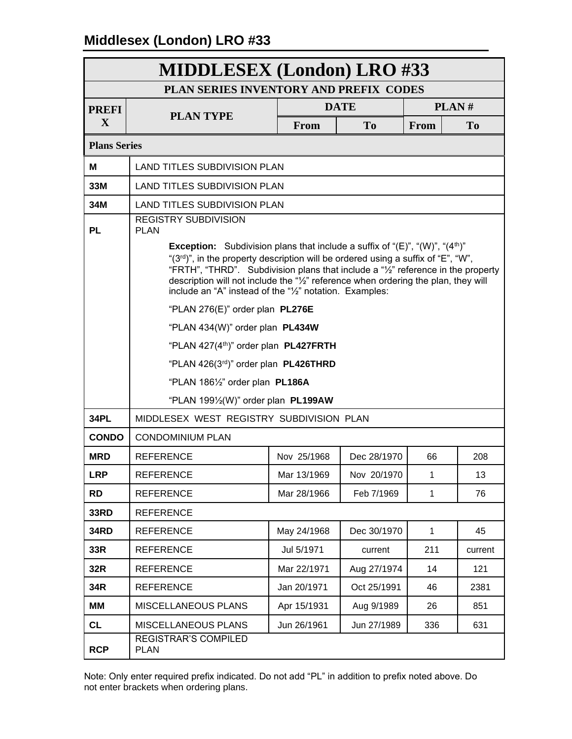|                          | <b>MIDDLESEX</b> (London) LRO #33                                                                                                                                                                                                                                                                                                                                                                                                                                                                                                                                                                                                                                                                                                                              |             |                |              |                |  |
|--------------------------|----------------------------------------------------------------------------------------------------------------------------------------------------------------------------------------------------------------------------------------------------------------------------------------------------------------------------------------------------------------------------------------------------------------------------------------------------------------------------------------------------------------------------------------------------------------------------------------------------------------------------------------------------------------------------------------------------------------------------------------------------------------|-------------|----------------|--------------|----------------|--|
|                          | PLAN SERIES INVENTORY AND PREFIX CODES                                                                                                                                                                                                                                                                                                                                                                                                                                                                                                                                                                                                                                                                                                                         |             |                |              |                |  |
| <b>PREFI</b>             | <b>PLAN TYPE</b>                                                                                                                                                                                                                                                                                                                                                                                                                                                                                                                                                                                                                                                                                                                                               |             | <b>DATE</b>    |              | PLAN#          |  |
| X                        |                                                                                                                                                                                                                                                                                                                                                                                                                                                                                                                                                                                                                                                                                                                                                                | From        | T <sub>0</sub> | From         | T <sub>0</sub> |  |
| <b>Plans Series</b>      |                                                                                                                                                                                                                                                                                                                                                                                                                                                                                                                                                                                                                                                                                                                                                                |             |                |              |                |  |
| Μ                        | <b>LAND TITLES SUBDIVISION PLAN</b>                                                                                                                                                                                                                                                                                                                                                                                                                                                                                                                                                                                                                                                                                                                            |             |                |              |                |  |
| 33M                      | <b>LAND TITLES SUBDIVISION PLAN</b>                                                                                                                                                                                                                                                                                                                                                                                                                                                                                                                                                                                                                                                                                                                            |             |                |              |                |  |
| 34M                      | <b>LAND TITLES SUBDIVISION PLAN</b>                                                                                                                                                                                                                                                                                                                                                                                                                                                                                                                                                                                                                                                                                                                            |             |                |              |                |  |
| <b>PL</b><br><b>34PL</b> | <b>REGISTRY SUBDIVISION</b><br><b>PLAN</b><br><b>Exception:</b> Subdivision plans that include a suffix of " $(E)$ ", " $(W)$ ", " $(4^{\text{th}})$ "<br>" $(3^{rd})$ ", in the property description will be ordered using a suffix of "E", "W",<br>"FRTH", "THRD". Subdivision plans that include a "1/2" reference in the property<br>description will not include the "1/2" reference when ordering the plan, they will<br>include an "A" instead of the "1/2" notation. Examples:<br>"PLAN 276(E)" order plan PL276E<br>"PLAN 434(W)" order plan PL434W<br>"PLAN 427(4 <sup>th</sup> )" order plan <b>PL427FRTH</b><br>"PLAN 426(3rd)" order plan PL426THRD<br>"PLAN 1861/2" order plan PL186A<br>"PLAN 1991/ <sub>2</sub> (W)" order plan <b>PL199AW</b> |             |                |              |                |  |
| <b>CONDO</b>             | MIDDLESEX WEST REGISTRY SUBDIVISION PLAN<br><b>CONDOMINIUM PLAN</b>                                                                                                                                                                                                                                                                                                                                                                                                                                                                                                                                                                                                                                                                                            |             |                |              |                |  |
| <b>MRD</b>               | <b>REFERENCE</b>                                                                                                                                                                                                                                                                                                                                                                                                                                                                                                                                                                                                                                                                                                                                               | Nov 25/1968 | Dec 28/1970    | 66           | 208            |  |
| <b>LRP</b>               | <b>REFERENCE</b>                                                                                                                                                                                                                                                                                                                                                                                                                                                                                                                                                                                                                                                                                                                                               | Mar 13/1969 | Nov 20/1970    | $\mathbf{1}$ | 13             |  |
| <b>RD</b>                | <b>REFERENCE</b>                                                                                                                                                                                                                                                                                                                                                                                                                                                                                                                                                                                                                                                                                                                                               | Mar 28/1966 | Feb 7/1969     | $\mathbf{1}$ | 76             |  |
| 33RD                     | <b>REFERENCE</b>                                                                                                                                                                                                                                                                                                                                                                                                                                                                                                                                                                                                                                                                                                                                               |             |                |              |                |  |
| <b>34RD</b>              | <b>REFERENCE</b>                                                                                                                                                                                                                                                                                                                                                                                                                                                                                                                                                                                                                                                                                                                                               | May 24/1968 | Dec 30/1970    | $\mathbf{1}$ | 45             |  |
| 33R                      | <b>REFERENCE</b>                                                                                                                                                                                                                                                                                                                                                                                                                                                                                                                                                                                                                                                                                                                                               | Jul 5/1971  | current        | 211          | current        |  |
| 32R                      | <b>REFERENCE</b>                                                                                                                                                                                                                                                                                                                                                                                                                                                                                                                                                                                                                                                                                                                                               | Mar 22/1971 | Aug 27/1974    | 14           | 121            |  |
| 34R                      | <b>REFERENCE</b>                                                                                                                                                                                                                                                                                                                                                                                                                                                                                                                                                                                                                                                                                                                                               | Jan 20/1971 | Oct 25/1991    | 46           | 2381           |  |
| MМ                       | MISCELLANEOUS PLANS                                                                                                                                                                                                                                                                                                                                                                                                                                                                                                                                                                                                                                                                                                                                            | Apr 15/1931 | Aug 9/1989     | 26           | 851            |  |
| <b>CL</b><br><b>RCP</b>  | MISCELLANEOUS PLANS<br>REGISTRAR'S COMPILED<br><b>PLAN</b>                                                                                                                                                                                                                                                                                                                                                                                                                                                                                                                                                                                                                                                                                                     | Jun 26/1961 | Jun 27/1989    | 336          | 631            |  |

Note: Only enter required prefix indicated. Do not add "PL" in addition to prefix noted above. Do not enter brackets when ordering plans.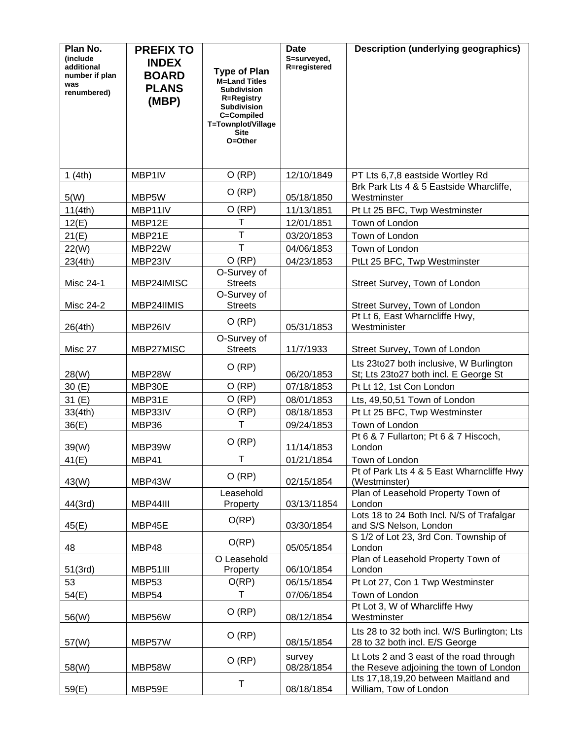| Plan No.                       | <b>PREFIX TO</b> |                                             | <b>Date</b>                 | <b>Description (underlying geographics)</b>                                 |
|--------------------------------|------------------|---------------------------------------------|-----------------------------|-----------------------------------------------------------------------------|
| <i>(include)</i><br>additional | <b>INDEX</b>     |                                             | S=surveyed,<br>R=registered |                                                                             |
| number if plan                 | <b>BOARD</b>     | <b>Type of Plan</b><br><b>M=Land Titles</b> |                             |                                                                             |
| was<br>renumbered)             | <b>PLANS</b>     | <b>Subdivision</b>                          |                             |                                                                             |
|                                | (MBP)            | <b>R=Registry</b><br><b>Subdivision</b>     |                             |                                                                             |
|                                |                  | C=Compiled                                  |                             |                                                                             |
|                                |                  | T=Townplot/Village<br><b>Site</b>           |                             |                                                                             |
|                                |                  | O=Other                                     |                             |                                                                             |
|                                |                  |                                             |                             |                                                                             |
|                                | MBP1IV           | O(RP)                                       | 12/10/1849                  |                                                                             |
| 1(4th)                         |                  |                                             |                             | PT Lts 6,7,8 eastside Wortley Rd<br>Brk Park Lts 4 & 5 Eastside Wharcliffe, |
| 5(W)                           | MBP5W            | O (RP)                                      | 05/18/1850                  | Westminster                                                                 |
| 11(4th)                        | MBP11IV          | O(RP)                                       | 11/13/1851                  | Pt Lt 25 BFC, Twp Westminster                                               |
| 12(E)                          | MBP12E           | $\mathsf{T}$                                | 12/01/1851                  | Town of London                                                              |
| 21(E)                          | MBP21E           | $\mathsf{T}$                                | 03/20/1853                  | Town of London                                                              |
| 22(W)                          | MBP22W           | $\mathsf{T}$                                | 04/06/1853                  | Town of London                                                              |
| 23(4th)                        | MBP23IV          | O (RP)                                      | 04/23/1853                  | PtLt 25 BFC, Twp Westminster                                                |
|                                |                  | O-Survey of                                 |                             |                                                                             |
| Misc 24-1                      | MBP24IMISC       | <b>Streets</b><br>O-Survey of               |                             | Street Survey, Town of London                                               |
| <b>Misc 24-2</b>               | MBP24IIMIS       | <b>Streets</b>                              |                             | Street Survey, Town of London                                               |
|                                |                  |                                             |                             | Pt Lt 6, East Wharncliffe Hwy,                                              |
| 26(4th)                        | MBP26IV          | O (RP)                                      | 05/31/1853                  | Westminister                                                                |
|                                |                  | O-Survey of                                 |                             |                                                                             |
| Misc 27                        | MBP27MISC        | <b>Streets</b>                              | 11/7/1933                   | Street Survey, Town of London                                               |
|                                |                  | O (RP)                                      |                             | Lts 23to27 both inclusive, W Burlington                                     |
| 28(W)<br>30(E)                 | MBP28W<br>MBP30E | O (RP)                                      | 06/20/1853<br>07/18/1853    | St; Lts 23to27 both incl. E George St                                       |
|                                | MBP31E           | O (RP)                                      | 08/01/1853                  | Pt Lt 12, 1st Con London<br>Lts, 49,50,51 Town of London                    |
| 31 (E)<br>33(4th)              | MBP33IV          | O (RP)                                      | 08/18/1853                  | Pt Lt 25 BFC, Twp Westminster                                               |
| 36(E)                          | MBP36            | T                                           | 09/24/1853                  | Town of London                                                              |
|                                |                  |                                             |                             | Pt 6 & 7 Fullarton; Pt 6 & 7 Hiscoch,                                       |
| 39(W)                          | MBP39W           | O (RP)                                      | 11/14/1853                  | London                                                                      |
| 41(E)                          | MBP41            | $\mathsf T$                                 | 01/21/1854                  | Town of London                                                              |
|                                |                  | O (RP)                                      |                             | Pt of Park Lts 4 & 5 East Wharncliffe Hwy                                   |
| 43(W)                          | MBP43W           |                                             | 02/15/1854                  | (Westminster)                                                               |
| 44(3rd)                        | MBP44III         | Leasehold<br>Property                       | 03/13/11854                 | Plan of Leasehold Property Town of<br>London                                |
|                                |                  |                                             |                             | Lots 18 to 24 Both Incl. N/S of Trafalgar                                   |
| 45(E)                          | MBP45E           | O(RP)                                       | 03/30/1854                  | and S/S Nelson, London                                                      |
|                                |                  | O(RP)                                       |                             | S 1/2 of Lot 23, 3rd Con. Township of                                       |
| 48                             | MBP48            |                                             | 05/05/1854                  | London                                                                      |
| 51(3rd)                        | MBP51III         | O Leasehold<br>Property                     | 06/10/1854                  | Plan of Leasehold Property Town of<br>London                                |
| 53                             | MBP53            | O(RP)                                       | 06/15/1854                  | Pt Lot 27, Con 1 Twp Westminster                                            |
| 54(E)                          | MBP54            | T                                           | 07/06/1854                  | Town of London                                                              |
|                                |                  |                                             |                             | Pt Lot 3, W of Wharcliffe Hwy                                               |
| 56(W)                          | MBP56W           | O (RP)                                      | 08/12/1854                  | Westminster                                                                 |
|                                |                  | O (RP)                                      |                             | Lts 28 to 32 both incl. W/S Burlington; Lts                                 |
| 57(W)                          | MBP57W           |                                             | 08/15/1854                  | 28 to 32 both incl. E/S George                                              |
|                                |                  | O (RP)                                      | survey                      | Lt Lots 2 and 3 east of the road through                                    |
| 58(W)                          | MBP58W           |                                             | 08/28/1854                  | the Reseve adjoining the town of London                                     |
|                                | MBP59E           | T                                           | 08/18/1854                  | Lts 17,18,19,20 between Maitland and<br>William, Tow of London              |
| 59(E)                          |                  |                                             |                             |                                                                             |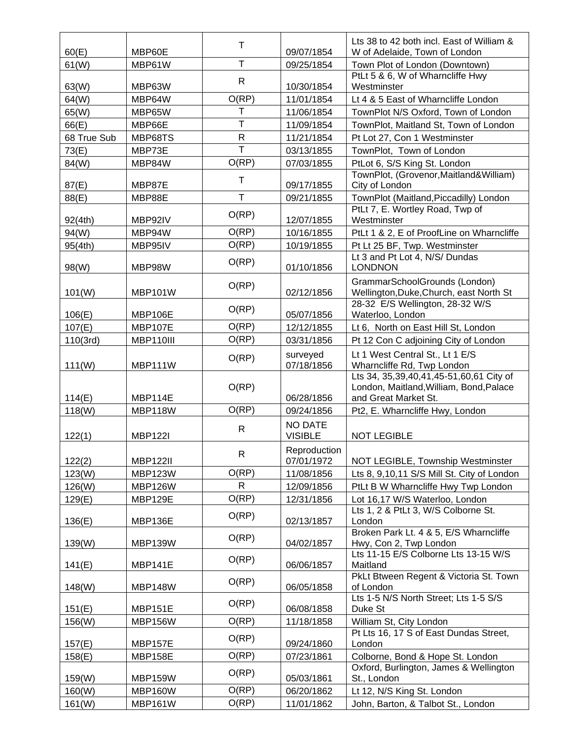|             |                 | т            |                            | Lts 38 to 42 both incl. East of William &                                                                        |
|-------------|-----------------|--------------|----------------------------|------------------------------------------------------------------------------------------------------------------|
| 60(E)       | MBP60E          |              | 09/07/1854                 | W of Adelaide, Town of London                                                                                    |
| 61(W)       | MBP61W          | T            | 09/25/1854                 | Town Plot of London (Downtown)                                                                                   |
| 63(W)       | MBP63W          | $\mathsf{R}$ | 10/30/1854                 | PtLt 5 & 6, W of Wharncliffe Hwy<br>Westminster                                                                  |
| 64(W)       | MBP64W          | O(RP)        | 11/01/1854                 | Lt 4 & 5 East of Wharncliffe London                                                                              |
| 65(W)       | MBP65W          | т            | 11/06/1854                 | TownPlot N/S Oxford, Town of London                                                                              |
| 66(E)       | MBP66E          | Т            | 11/09/1854                 | TownPlot, Maitland St, Town of London                                                                            |
| 68 True Sub | MBP68TS         | ${\sf R}$    | 11/21/1854                 | Pt Lot 27, Con 1 Westminster                                                                                     |
| 73(E)       | MBP73E          | T            | 03/13/1855                 | TownPlot, Town of London                                                                                         |
| 84(W)       | MBP84W          | O(RP)        | 07/03/1855                 | PtLot 6, S/S King St. London                                                                                     |
| 87(E)       | MBP87E          | Т            | 09/17/1855                 | TownPlot, (Grovenor, Maitland& William)<br>City of London                                                        |
| 88(E)       | MBP88E          | T            | 09/21/1855                 | TownPlot (Maitland, Piccadilly) London                                                                           |
| 92(4th)     | MBP92IV         | O(RP)        | 12/07/1855                 | PtLt 7, E. Wortley Road, Twp of<br>Westminster                                                                   |
| 94(W)       | MBP94W          | O(RP)        | 10/16/1855                 | PtLt 1 & 2, E of ProofLine on Wharncliffe                                                                        |
| 95(4th)     | MBP95IV         | O(RP)        | 10/19/1855                 | Pt Lt 25 BF, Twp. Westminster                                                                                    |
| 98(W)       | MBP98W          | O(RP)        | 01/10/1856                 | Lt 3 and Pt Lot 4, N/S/ Dundas<br><b>LONDNON</b>                                                                 |
|             |                 |              |                            | GrammarSchoolGrounds (London)                                                                                    |
| 101(W)      | <b>MBP101W</b>  | O(RP)        | 02/12/1856                 | Wellington, Duke, Church, east North St                                                                          |
|             |                 |              |                            | 28-32 E/S Wellington, 28-32 W/S                                                                                  |
| 106(E)      | MBP106E         | O(RP)        | 05/07/1856                 | Waterloo, London                                                                                                 |
| 107(E)      | <b>MBP107E</b>  | O(RP)        | 12/12/1855                 | Lt 6, North on East Hill St, London                                                                              |
| 110(3rd)    | MBP110III       | O(RP)        | 03/31/1856                 | Pt 12 Con C adjoining City of London                                                                             |
| 111(W)      | MBP111W         | O(RP)        | surveyed<br>07/18/1856     | Lt 1 West Central St., Lt 1 E/S<br>Wharncliffe Rd, Twp London                                                    |
| 114(E)      | MBP114E         | O(RP)        | 06/28/1856                 | Lts 34, 35, 39, 40, 41, 45-51, 60, 61 City of<br>London, Maitland, William, Bond, Palace<br>and Great Market St. |
| 118(W)      | MBP118W         | O(RP)        | 09/24/1856                 | Pt2, E. Wharncliffe Hwy, London                                                                                  |
|             |                 |              | <b>NO DATE</b>             |                                                                                                                  |
| 122(1)      | <b>MBP122I</b>  | $\mathsf{R}$ | <b>VISIBLE</b>             | <b>NOT LEGIBLE</b>                                                                                               |
| 122(2)      | <b>MBP122II</b> | R.           | Reproduction<br>07/01/1972 | NOT LEGIBLE, Township Westminster                                                                                |
| 123(W)      | MBP123W         | O(RP)        | 11/08/1856                 | Lts 8, 9,10,11 S/S Mill St. City of London                                                                       |
| 126(W)      | MBP126W         | $\mathsf{R}$ | 12/09/1856                 | PtLt B W Wharncliffe Hwy Twp London                                                                              |
| 129(E)      | MBP129E         | O(RP)        | 12/31/1856                 | Lot 16,17 W/S Waterloo, London                                                                                   |
|             |                 | O(RP)        |                            | Lts 1, 2 & PtLt 3, W/S Colborne St.                                                                              |
| 136(E)      | MBP136E         |              | 02/13/1857                 | London                                                                                                           |
| 139(W)      | MBP139W         | O(RP)        | 04/02/1857                 | Broken Park Lt. 4 & 5, E/S Wharncliffe<br>Hwy, Con 2, Twp London                                                 |
| 141(E)      | <b>MBP141E</b>  | O(RP)        | 06/06/1857                 | Lts 11-15 E/S Colborne Lts 13-15 W/S<br>Maitland                                                                 |
| 148(W)      | MBP148W         | O(RP)        | 06/05/1858                 | PkLt Btween Regent & Victoria St. Town<br>of London                                                              |
| 151(E)      | MBP151E         | O(RP)        | 06/08/1858                 | Lts 1-5 N/S North Street; Lts 1-5 S/S<br>Duke St                                                                 |
| 156(W)      | <b>MBP156W</b>  | O(RP)        | 11/18/1858                 | William St, City London                                                                                          |
|             |                 |              |                            | Pt Lts 16, 17 S of East Dundas Street,                                                                           |
| 157(E)      | <b>MBP157E</b>  | O(RP)        | 09/24/1860                 | London                                                                                                           |
| 158(E)      | MBP158E         | O(RP)        | 07/23/1861                 | Colborne, Bond & Hope St. London                                                                                 |
| 159(W)      | MBP159W         | O(RP)        | 05/03/1861                 | Oxford, Burlington, James & Wellington<br>St., London                                                            |
| 160(W)      | <b>MBP160W</b>  | O(RP)        | 06/20/1862                 | Lt 12, N/S King St. London                                                                                       |
| 161(W)      | <b>MBP161W</b>  | O(RP)        | 11/01/1862                 | John, Barton, & Talbot St., London                                                                               |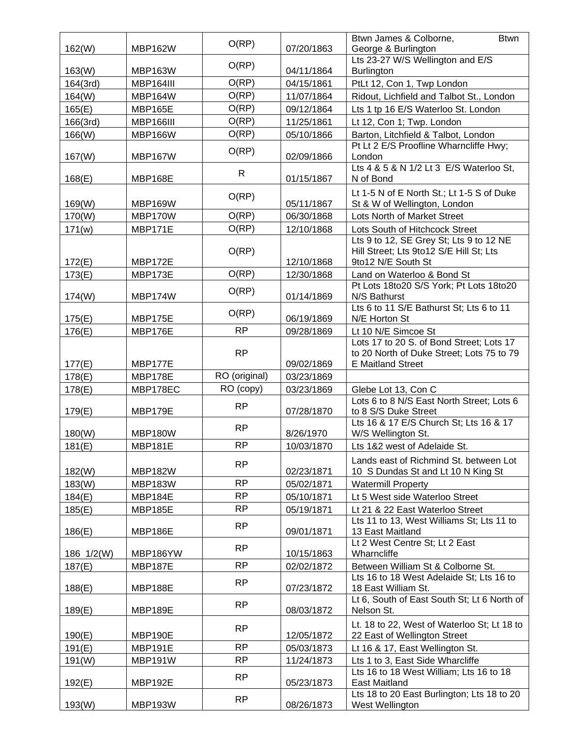| 162(W)     | MBP162W        | O(RP)         | 07/20/1863 | Btwn James & Colborne,<br><b>Btwn</b><br>George & Burlington                                                      |
|------------|----------------|---------------|------------|-------------------------------------------------------------------------------------------------------------------|
| 163(W)     | <b>MBP163W</b> | O(RP)         | 04/11/1864 | Lts 23-27 W/S Wellington and E/S<br><b>Burlington</b>                                                             |
| 164(3rd)   | MBP164III      | O(RP)         | 04/15/1861 | PtLt 12, Con 1, Twp London                                                                                        |
| 164(W)     | MBP164W        | O(RP)         | 11/07/1864 | Ridout, Lichfield and Talbot St., London                                                                          |
| 165(E)     | <b>MBP165E</b> | O(RP)         | 09/12/1864 | Lts 1 tp 16 E/S Waterloo St. London                                                                               |
| 166(3rd)   | MBP166III      | O(RP)         | 11/25/1861 | Lt 12, Con 1; Twp. London                                                                                         |
| 166(W)     | <b>MBP166W</b> | O(RP)         | 05/10/1866 | Barton, Litchfield & Talbot, London                                                                               |
| 167(W)     | <b>MBP167W</b> | O(RP)         | 02/09/1866 | Pt Lt 2 E/S Proofline Wharncliffe Hwy;<br>London                                                                  |
| 168(E)     | MBP168E        | $\mathsf{R}$  | 01/15/1867 | Lts 4 & 5 & N 1/2 Lt 3 E/S Waterloo St,<br>N of Bond                                                              |
| 169(W)     | MBP169W        | O(RP)         | 05/11/1867 | Lt 1-5 N of E North St.; Lt 1-5 S of Duke<br>St & W of Wellington, London                                         |
| 170(W)     | MBP170W        | O(RP)         | 06/30/1868 | Lots North of Market Street                                                                                       |
| 171(w)     | MBP171E        | O(RP)         | 12/10/1868 | Lots South of Hitchcock Street                                                                                    |
| 172(E)     | MBP172E        | O(RP)         | 12/10/1868 | Lts 9 to 12, SE Grey St; Lts 9 to 12 NE<br>Hill Street; Lts 9to12 S/E Hill St; Lts<br>9to12 N/E South St          |
| 173(E)     | MBP173E        | O(RP)         | 12/30/1868 | Land on Waterloo & Bond St                                                                                        |
| 174(W)     | MBP174W        | O(RP)         | 01/14/1869 | Pt Lots 18to20 S/S York; Pt Lots 18to20<br>N/S Bathurst                                                           |
| 175(E)     | MBP175E        | O(RP)         | 06/19/1869 | Lts 6 to 11 S/E Bathurst St; Lts 6 to 11<br>N/E Horton St                                                         |
| 176(E)     | MBP176E        | <b>RP</b>     | 09/28/1869 | Lt 10 N/E Simcoe St                                                                                               |
| 177(E)     | MBP177E        | <b>RP</b>     | 09/02/1869 | Lots 17 to 20 S. of Bond Street; Lots 17<br>to 20 North of Duke Street; Lots 75 to 79<br><b>E</b> Maitland Street |
| 178(E)     | MBP178E        | RO (original) | 03/23/1869 |                                                                                                                   |
|            |                |               |            |                                                                                                                   |
| 178(E)     | MBP178EC       | RO (copy)     | 03/23/1869 | Glebe Lot 13, Con C                                                                                               |
| 179(E)     | MBP179E        | <b>RP</b>     | 07/28/1870 | Lots 6 to 8 N/S East North Street; Lots 6<br>to 8 S/S Duke Street                                                 |
| 180(W)     | MBP180W        | <b>RP</b>     | 8/26/1970  | Lts 16 & 17 E/S Church St; Lts 16 & 17<br>W/S Wellington St.                                                      |
| 181(E)     | <b>MBP181E</b> | <b>RP</b>     | 10/03/1870 | Lts 1&2 west of Adelaide St.                                                                                      |
| 182(W)     | MBP182W        | <b>RP</b>     | 02/23/1871 | Lands east of Richmind St. between Lot<br>10 S Dundas St and Lt 10 N King St                                      |
| 183(W)     | <b>MBP183W</b> | <b>RP</b>     | 05/02/1871 | <b>Watermill Property</b>                                                                                         |
| 184(E)     | MBP184E        | <b>RP</b>     | 05/10/1871 | Lt 5 West side Waterloo Street                                                                                    |
| 185(E)     | <b>MBP185E</b> | <b>RP</b>     | 05/19/1871 | Lt 21 & 22 East Waterloo Street                                                                                   |
| 186(E)     | MBP186E        | <b>RP</b>     | 09/01/1871 | Lts 11 to 13, West Williams St; Lts 11 to<br>13 East Maitland                                                     |
| 186 1/2(W) | MBP186YW       | <b>RP</b>     | 10/15/1863 | Lt 2 West Centre St; Lt 2 East<br>Wharncliffe                                                                     |
| 187(E)     | <b>MBP187E</b> | RP            | 02/02/1872 | Between William St & Colborne St.                                                                                 |
| 188(E)     | MBP188E        | <b>RP</b>     | 07/23/1872 | Lts 16 to 18 West Adelaide St; Lts 16 to<br>18 East William St.                                                   |
| 189(E)     | MBP189E        | <b>RP</b>     | 08/03/1872 | Lt 6, South of East South St; Lt 6 North of<br>Nelson St.                                                         |
| 190(E)     | MBP190E        | <b>RP</b>     | 12/05/1872 | Lt. 18 to 22, West of Waterloo St; Lt 18 to<br>22 East of Wellington Street                                       |
| 191(E)     | <b>MBP191E</b> | <b>RP</b>     | 05/03/1873 | Lt 16 & 17, East Wellington St.                                                                                   |
| 191(W)     | MBP191W        | <b>RP</b>     | 11/24/1873 | Lts 1 to 3, East Side Wharcliffe                                                                                  |
| 192(E)     | <b>MBP192E</b> | <b>RP</b>     | 05/23/1873 | Lts 16 to 18 West William; Lts 16 to 18<br><b>East Maitland</b><br>Lts 18 to 20 East Burlington; Lts 18 to 20     |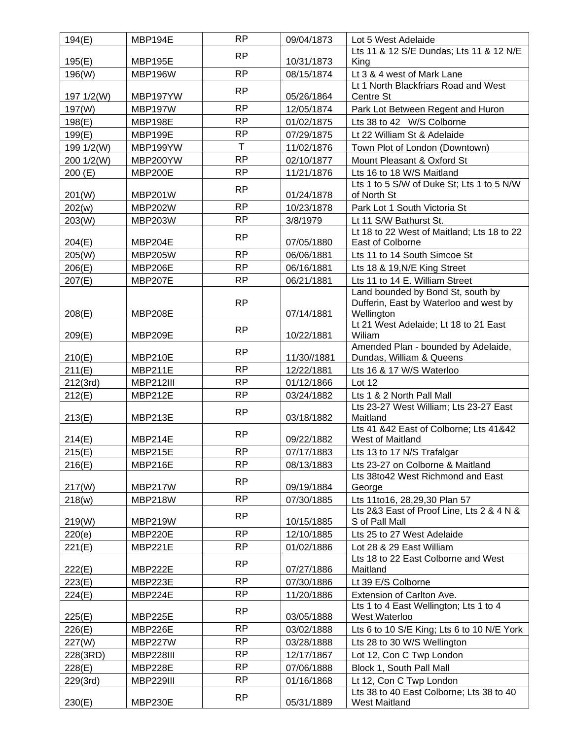| 194(E)     | MBP194E          | <b>RP</b>    | 09/04/1873               | Lot 5 West Adelaide                                                    |
|------------|------------------|--------------|--------------------------|------------------------------------------------------------------------|
|            |                  | <b>RP</b>    |                          | Lts 11 & 12 S/E Dundas; Lts 11 & 12 N/E                                |
| 195(E)     | <b>MBP195E</b>   |              | 10/31/1873               | King                                                                   |
| 196(W)     | MBP196W          | RP           | 08/15/1874               | Lt 3 & 4 west of Mark Lane                                             |
|            | MBP197YW         | <b>RP</b>    | 05/26/1864               | Lt 1 North Blackfriars Road and West                                   |
| 197 1/2(W) | <b>MBP197W</b>   | <b>RP</b>    |                          | Centre St                                                              |
| 197(W)     |                  | <b>RP</b>    | 12/05/1874<br>01/02/1875 | Park Lot Between Regent and Huron                                      |
| 198(E)     | MBP198E          | <b>RP</b>    |                          | Lts 38 to 42 W/S Colborne                                              |
| 199(E)     | MBP199E          | $\mathsf{T}$ | 07/29/1875               | Lt 22 William St & Adelaide                                            |
| 199 1/2(W) | MBP199YW         | <b>RP</b>    | 11/02/1876               | Town Plot of London (Downtown)                                         |
| 200 1/2(W) | MBP200YW         |              | 02/10/1877               | Mount Pleasant & Oxford St                                             |
| 200(E)     | MBP200E          | <b>RP</b>    | 11/21/1876               | Lts 16 to 18 W/S Maitland<br>Lts 1 to 5 S/W of Duke St; Lts 1 to 5 N/W |
| 201(W)     | <b>MBP201W</b>   | <b>RP</b>    | 01/24/1878               | of North St                                                            |
| 202(w)     | <b>MBP202W</b>   | <b>RP</b>    | 10/23/1878               | Park Lot 1 South Victoria St                                           |
| 203(W)     | <b>MBP203W</b>   | <b>RP</b>    | 3/8/1979                 | Lt 11 S/W Bathurst St.                                                 |
|            |                  |              |                          | Lt 18 to 22 West of Maitland; Lts 18 to 22                             |
| 204(E)     | MBP204E          | <b>RP</b>    | 07/05/1880               | East of Colborne                                                       |
| 205(W)     | <b>MBP205W</b>   | <b>RP</b>    | 06/06/1881               | Lts 11 to 14 South Simcoe St                                           |
| 206(E)     | MBP206E          | <b>RP</b>    | 06/16/1881               | Lts 18 & 19, N/E King Street                                           |
| 207(E)     | <b>MBP207E</b>   | <b>RP</b>    | 06/21/1881               | Lts 11 to 14 E. William Street                                         |
|            |                  |              |                          | Land bounded by Bond St, south by                                      |
|            |                  | <b>RP</b>    |                          | Dufferin, East by Waterloo and west by                                 |
| 208(E)     | <b>MBP208E</b>   |              | 07/14/1881               | Wellington                                                             |
|            |                  | <b>RP</b>    |                          | Lt 21 West Adelaide; Lt 18 to 21 East                                  |
| 209(E)     | MBP209E          |              | 10/22/1881               | Wiliam<br>Amended Plan - bounded by Adelaide,                          |
| 210(E)     | MBP210E          | <b>RP</b>    | 11/30//1881              | Dundas, William & Queens                                               |
| 211(E)     | MBP211E          | <b>RP</b>    | 12/22/1881               | Lts 16 & 17 W/S Waterloo                                               |
| 212(3rd)   | <b>MBP212III</b> | <b>RP</b>    | 01/12/1866               | Lot 12                                                                 |
| 212(E)     | MBP212E          | <b>RP</b>    | 03/24/1882               | Lts 1 & 2 North Pall Mall                                              |
|            |                  |              |                          | Lts 23-27 West William; Lts 23-27 East                                 |
| 213(E)     | MBP213E          | <b>RP</b>    | 03/18/1882               | Maitland                                                               |
|            |                  | <b>RP</b>    |                          | Lts 41 &42 East of Colborne; Lts 41&42                                 |
| 214(E)     | MBP214E          |              | 09/22/1882               | West of Maitland                                                       |
| 215(E)     | <b>MBP215E</b>   | <b>RP</b>    | 07/17/1883               | Lts 13 to 17 N/S Trafalgar                                             |
| 216(E)     | MBP216E          | RP           | 08/13/1883               | Lts 23-27 on Colborne & Maitland                                       |
| 217(W)     | MBP217W          | <b>RP</b>    | 09/19/1884               | Lts 38to42 West Richmond and East<br>George                            |
| 218(w)     | <b>MBP218W</b>   | <b>RP</b>    | 07/30/1885               | Lts 11to16, 28,29,30 Plan 57                                           |
|            |                  |              |                          | Lts 2&3 East of Proof Line, Lts 2 & 4 N &                              |
| 219(W)     | <b>MBP219W</b>   | <b>RP</b>    | 10/15/1885               | S of Pall Mall                                                         |
| 220(e)     | MBP220E          | <b>RP</b>    | 12/10/1885               | Lts 25 to 27 West Adelaide                                             |
| 221(E)     | MBP221E          | <b>RP</b>    | 01/02/1886               | Lot 28 & 29 East William                                               |
|            |                  | <b>RP</b>    |                          | Lts 18 to 22 East Colborne and West                                    |
| 222(E)     | MBP222E          |              | 07/27/1886               | Maitland                                                               |
| 223(E)     | MBP223E          | <b>RP</b>    | 07/30/1886               | Lt 39 E/S Colborne                                                     |
| 224(E)     | MBP224E          | <b>RP</b>    | 11/20/1886               | Extension of Carlton Ave.                                              |
|            |                  | <b>RP</b>    |                          | Lts 1 to 4 East Wellington; Lts 1 to 4                                 |
| 225(E)     | MBP225E          |              | 03/05/1888               | West Waterloo                                                          |
| 226(E)     | MBP226E          | <b>RP</b>    | 03/02/1888               | Lts 6 to 10 S/E King; Lts 6 to 10 N/E York                             |
| 227(W)     | MBP227W          | <b>RP</b>    | 03/28/1888               | Lts 28 to 30 W/S Wellington                                            |
| 228(3RD)   | MBP228III        | <b>RP</b>    | 12/17/1867               | Lot 12, Con C Twp London                                               |
| 228(E)     | MBP228E          | <b>RP</b>    | 07/06/1888               | Block 1, South Pall Mall                                               |
| 229(3rd)   | MBP229III        | <b>RP</b>    | 01/16/1868               | Lt 12, Con C Twp London                                                |
|            |                  | <b>RP</b>    |                          | Lts 38 to 40 East Colborne; Lts 38 to 40                               |
| 230(E)     | MBP230E          |              | 05/31/1889               | West Maitland                                                          |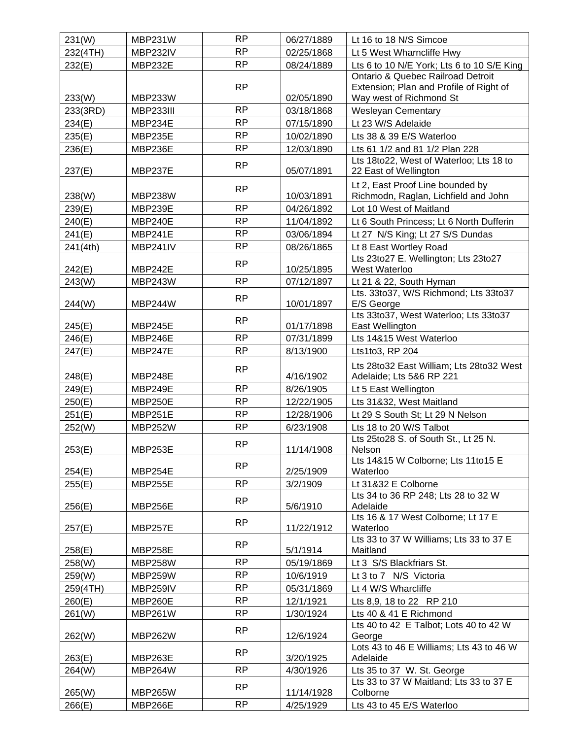| 231(W)   | MBP231W        | <b>RP</b> | 06/27/1889 | Lt 16 to 18 N/S Simcoe                                           |
|----------|----------------|-----------|------------|------------------------------------------------------------------|
| 232(4TH) | MBP232IV       | <b>RP</b> | 02/25/1868 | Lt 5 West Wharncliffe Hwy                                        |
| 232(E)   | MBP232E        | <b>RP</b> | 08/24/1889 | Lts 6 to 10 N/E York; Lts 6 to 10 S/E King                       |
|          |                |           |            | Ontario & Quebec Railroad Detroit                                |
|          |                | <b>RP</b> |            | Extension; Plan and Profile of Right of                          |
| 233(W)   | MBP233W        |           | 02/05/1890 | Way west of Richmond St                                          |
| 233(3RD) | MBP233III      | <b>RP</b> | 03/18/1868 | <b>Wesleyan Cementary</b>                                        |
| 234(E)   | MBP234E        | <b>RP</b> | 07/15/1890 | Lt 23 W/S Adelaide                                               |
| 235(E)   | <b>MBP235E</b> | <b>RP</b> | 10/02/1890 | Lts 38 & 39 E/S Waterloo                                         |
| 236(E)   | MBP236E        | <b>RP</b> | 12/03/1890 | Lts 61 1/2 and 81 1/2 Plan 228                                   |
| 237(E)   | MBP237E        | <b>RP</b> | 05/07/1891 | Lts 18to22, West of Waterloo; Lts 18 to<br>22 East of Wellington |
|          |                | <b>RP</b> |            | Lt 2, East Proof Line bounded by                                 |
| 238(W)   | <b>MBP238W</b> |           | 10/03/1891 | Richmodn, Raglan, Lichfield and John                             |
| 239(E)   | MBP239E        | <b>RP</b> | 04/26/1892 | Lot 10 West of Maitland                                          |
| 240(E)   | MBP240E        | <b>RP</b> | 11/04/1892 | Lt 6 South Princess; Lt 6 North Dufferin                         |
| 241(E)   | MBP241E        | <b>RP</b> | 03/06/1894 | Lt 27 N/S King; Lt 27 S/S Dundas                                 |
| 241(4th) | MBP241IV       | <b>RP</b> | 08/26/1865 | Lt 8 East Wortley Road                                           |
| 242(E)   | MBP242E        | <b>RP</b> | 10/25/1895 | Lts 23to27 E. Wellington; Lts 23to27<br>West Waterloo            |
| 243(W)   | MBP243W        | <b>RP</b> | 07/12/1897 | Lt 21 & 22, South Hyman                                          |
| 244(W)   | MBP244W        | <b>RP</b> | 10/01/1897 | Lts. 33to37, W/S Richmond; Lts 33to37<br>E/S George              |
| 245(E)   | MBP245E        | <b>RP</b> | 01/17/1898 | Lts 33to37, West Waterloo; Lts 33to37<br>East Wellington         |
| 246(E)   | MBP246E        | <b>RP</b> | 07/31/1899 | Lts 14&15 West Waterloo                                          |
| 247(E)   | <b>MBP247E</b> | <b>RP</b> | 8/13/1900  | Lts1to3, RP 204                                                  |
|          |                |           |            | Lts 28to32 East William; Lts 28to32 West                         |
| 248(E)   | MBP248E        | <b>RP</b> | 4/16/1902  | Adelaide; Lts 5&6 RP 221                                         |
| 249(E)   | MBP249E        | <b>RP</b> | 8/26/1905  | Lt 5 East Wellington                                             |
| 250(E)   | <b>MBP250E</b> | <b>RP</b> | 12/22/1905 | Lts 31&32, West Maitland                                         |
| 251(E)   | MBP251E        | <b>RP</b> | 12/28/1906 | Lt 29 S South St; Lt 29 N Nelson                                 |
| 252(W)   | <b>MBP252W</b> | <b>RP</b> | 6/23/1908  | Lts 18 to 20 W/S Talbot                                          |
| 253(E)   | MBP253E        | <b>RP</b> | 11/14/1908 | Lts 25to28 S. of South St., Lt 25 N.<br>Nelson                   |
|          |                | <b>RP</b> |            | Lts 14&15 W Colborne; Lts 11to15 E                               |
| 254(E)   | MBP254E        |           | 2/25/1909  | Waterloo                                                         |
| 255(E)   | <b>MBP255E</b> | <b>RP</b> | 3/2/1909   | Lt 31&32 E Colborne                                              |
| 256(E)   | MBP256E        | RP        | 5/6/1910   | Lts 34 to 36 RP 248; Lts 28 to 32 W<br>Adelaide                  |
| 257(E)   | <b>MBP257E</b> | <b>RP</b> | 11/22/1912 | Lts 16 & 17 West Colborne; Lt 17 E<br>Waterloo                   |
| 258(E)   | MBP258E        | <b>RP</b> | 5/1/1914   | Lts 33 to 37 W Williams; Lts 33 to 37 E<br>Maitland              |
| 258(W)   | <b>MBP258W</b> | <b>RP</b> | 05/19/1869 | Lt 3 S/S Blackfriars St.                                         |
| 259(W)   | MBP259W        | <b>RP</b> | 10/6/1919  | Lt 3 to 7 N/S Victoria                                           |
| 259(4TH) | MBP259IV       | RP        | 05/31/1869 | Lt 4 W/S Wharcliffe                                              |
| 260(E)   | MBP260E        | <b>RP</b> | 12/1/1921  | Lts 8,9, 18 to 22 RP 210                                         |
| 261(W)   | <b>MBP261W</b> | <b>RP</b> | 1/30/1924  | Lts 40 & 41 E Richmond                                           |
|          |                | <b>RP</b> |            | Lts 40 to 42 E Talbot; Lots 40 to 42 W                           |
| 262(W)   | MBP262W        |           | 12/6/1924  | George<br>Lots 43 to 46 E Williams; Lts 43 to 46 W               |
| 263(E)   | MBP263E        | <b>RP</b> | 3/20/1925  | Adelaide                                                         |
| 264(W)   | MBP264W        | <b>RP</b> | 4/30/1926  | Lts 35 to 37 W. St. George                                       |
|          |                |           |            | Lts 33 to 37 W Maitland; Lts 33 to 37 E                          |
| 265(W)   | <b>MBP265W</b> | <b>RP</b> | 11/14/1928 | Colborne                                                         |
| 266(E)   | MBP266E        | <b>RP</b> | 4/25/1929  | Lts 43 to 45 E/S Waterloo                                        |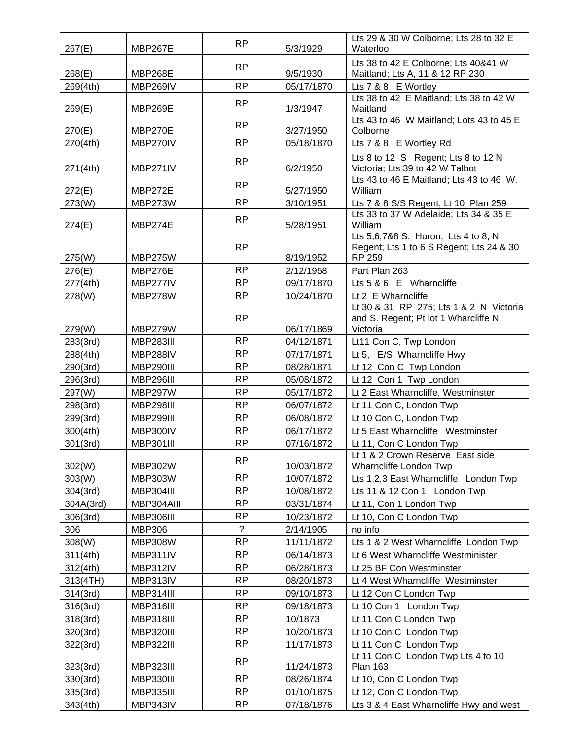| 267(E)    | MBP267E          | <b>RP</b>      | 5/3/1929   | Lts 29 & 30 W Colborne; Lts 28 to 32 E<br>Waterloo           |
|-----------|------------------|----------------|------------|--------------------------------------------------------------|
|           |                  |                |            | Lts 38 to 42 E Colborne; Lts 40&41 W                         |
| 268(E)    | MBP268E          | <b>RP</b>      | 9/5/1930   | Maitland; Lts A, 11 & 12 RP 230                              |
| 269(4th)  | MBP269IV         | <b>RP</b>      | 05/17/1870 | Lts 7 & 8 E Wortley                                          |
|           |                  | <b>RP</b>      |            | Lts 38 to 42 E Maitland; Lts 38 to 42 W                      |
| 269(E)    | MBP269E          |                | 1/3/1947   | Maitland                                                     |
| 270(E)    | MBP270E          | <b>RP</b>      | 3/27/1950  | Lts 43 to 46 W Maitland; Lots 43 to 45 E<br>Colborne         |
| 270(4th)  | MBP270IV         | <b>RP</b>      | 05/18/1870 | Lts 7 & 8 E Wortley Rd                                       |
|           |                  |                |            | Lts 8 to 12 S Regent; Lts 8 to 12 N                          |
| 271(4th)  | MBP271IV         | <b>RP</b>      | 6/2/1950   | Victoria; Lts 39 to 42 W Talbot                              |
|           |                  | <b>RP</b>      |            | Lts 43 to 46 E Maitland; Lts 43 to 46 W.                     |
| 272(E)    | MBP272E          |                | 5/27/1950  | William                                                      |
| 273(W)    | MBP273W          | <b>RP</b>      | 3/10/1951  | Lts 7 & 8 S/S Regent; Lt 10 Plan 259                         |
|           |                  | <b>RP</b>      |            | Lts 33 to 37 W Adelaide; Lts 34 & 35 E<br>William            |
| 274(E)    | MBP274E          |                | 5/28/1951  | Lts 5,6,7&8 S. Huron; Lts 4 to 8, N                          |
|           |                  | <b>RP</b>      |            | Regent; Lts 1 to 6 S Regent; Lts 24 & 30                     |
| 275(W)    | MBP275W          |                | 8/19/1952  | <b>RP 259</b>                                                |
| 276(E)    | MBP276E          | <b>RP</b>      | 2/12/1958  | Part Plan 263                                                |
| 277(4th)  | MBP277IV         | <b>RP</b>      | 09/17/1870 | Lts 5 & 6 E Wharncliffe                                      |
| 278(W)    | MBP278W          | <b>RP</b>      | 10/24/1870 | Lt 2 E Wharncliffe                                           |
|           |                  |                |            | Lt 30 & 31 RP 275; Lts 1 & 2 N Victoria                      |
|           |                  | <b>RP</b>      |            | and S. Regent; Pt lot 1 Wharcliffe N                         |
| 279(W)    | MBP279W          |                | 06/17/1869 | Victoria                                                     |
| 283(3rd)  | MBP283III        | <b>RP</b>      | 04/12/1871 | Lt11 Con C, Twp London                                       |
| 288(4th)  | MBP288IV         | <b>RP</b>      | 07/17/1871 | Lt 5, E/S Wharncliffe Hwy                                    |
| 290(3rd)  | MBP290III        | <b>RP</b>      | 08/28/1871 | Lt 12 Con C Twp London                                       |
| 296(3rd)  | MBP296III        | <b>RP</b>      | 05/08/1872 | Lt 12 Con 1 Twp London                                       |
| 297(W)    | MBP297W          | <b>RP</b>      | 05/17/1872 | Lt 2 East Wharncliffe, Westminster                           |
| 298(3rd)  | <b>MBP298III</b> | <b>RP</b>      | 06/07/1872 | Lt 11 Con C, London Twp                                      |
| 299(3rd)  | <b>MBP299III</b> | <b>RP</b>      | 06/08/1872 | Lt 10 Con C, London Twp                                      |
| 300(4th)  | MBP300IV         | <b>RP</b>      | 06/17/1872 | Lt 5 East Wharncliffe Westminster                            |
| 301(3rd)  | <b>MBP301III</b> | <b>RP</b>      | 07/16/1872 | Lt 11, Con C London Twp                                      |
| 302(W)    | MBP302W          | <b>RP</b>      | 10/03/1872 | Lt 1 & 2 Crown Reserve East side<br>Wharncliffe London Twp   |
| 303(W)    | <b>MBP303W</b>   | <b>RP</b>      | 10/07/1872 | Lts 1,2,3 East Wharncliffe London Twp                        |
| 304(3rd)  | MBP304III        | <b>RP</b>      | 10/08/1872 | Lts 11 & 12 Con 1 London Twp                                 |
| 304A(3rd) | MBP304AIII       | RP             | 03/31/1874 | Lt 11, Con 1 London Twp                                      |
| 306(3rd)  | MBP306III        | <b>RP</b>      | 10/23/1872 | Lt 10, Con C London Twp                                      |
| 306       | <b>MBP306</b>    | $\overline{?}$ | 2/14/1905  | no info                                                      |
| 308(W)    | <b>MBP308W</b>   | <b>RP</b>      | 11/11/1872 | Lts 1 & 2 West Wharncliffe London Twp                        |
| 311(4th)  | MBP311IV         | RP             | 06/14/1873 | Lt 6 West Wharncliffe Westminister                           |
| 312(4th)  | MBP312IV         | <b>RP</b>      | 06/28/1873 | Lt 25 BF Con Westminster                                     |
| 313(4TH)  | MBP313IV         | <b>RP</b>      | 08/20/1873 | Lt 4 West Wharncliffe Westminster                            |
| 314(3rd)  | MBP314III        | <b>RP</b>      | 09/10/1873 | Lt 12 Con C London Twp                                       |
| 316(3rd)  | MBP316III        | <b>RP</b>      | 09/18/1873 | Lt 10 Con 1 London Twp                                       |
|           | MBP318III        | <b>RP</b>      | 10/1873    | Lt 11 Con C London Twp                                       |
| 318(3rd)  | MBP320III        | <b>RP</b>      |            |                                                              |
| 320(3rd)  |                  | <b>RP</b>      | 10/20/1873 | Lt 10 Con C London Twp                                       |
| 322(3rd)  | MBP322III        |                | 11/17/1873 | Lt 11 Con C London Twp<br>Lt 11 Con C London Twp Lts 4 to 10 |
| 323(3rd)  | MBP323III        | <b>RP</b>      | 11/24/1873 | <b>Plan 163</b>                                              |
| 330(3rd)  | MBP330III        | <b>RP</b>      | 08/26/1874 | Lt 10, Con C London Twp                                      |
| 335(3rd)  | MBP335III        | <b>RP</b>      | 01/10/1875 | Lt 12, Con C London Twp                                      |
| 343(4th)  | MBP343IV         | <b>RP</b>      | 07/18/1876 | Lts 3 & 4 East Wharncliffe Hwy and west                      |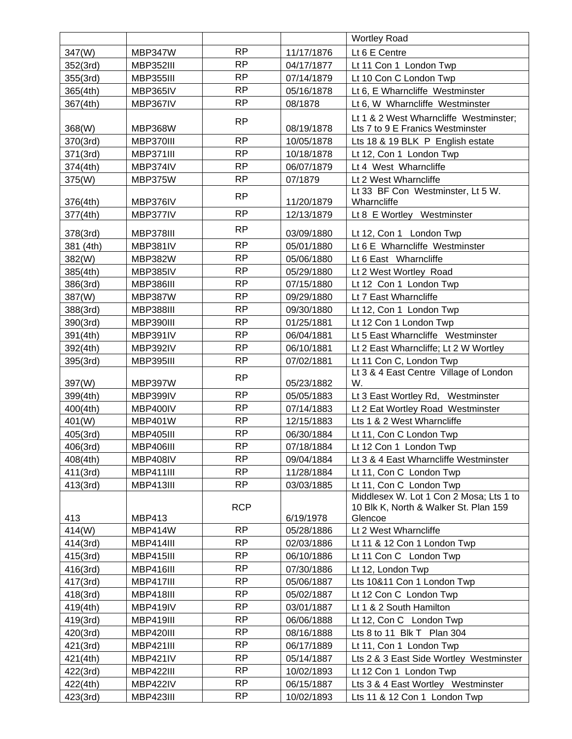|           |                  |            |            | <b>Wortley Road</b>                     |
|-----------|------------------|------------|------------|-----------------------------------------|
| 347(W)    | MBP347W          | <b>RP</b>  | 11/17/1876 | Lt 6 E Centre                           |
| 352(3rd)  | MBP352III        | <b>RP</b>  | 04/17/1877 | Lt 11 Con 1 London Twp                  |
| 355(3rd)  | MBP355III        | <b>RP</b>  | 07/14/1879 | Lt 10 Con C London Twp                  |
| 365(4th)  | MBP365IV         | <b>RP</b>  | 05/16/1878 | Lt 6, E Wharncliffe Westminster         |
| 367(4th)  | MBP367IV         | <b>RP</b>  | 08/1878    | Lt 6, W Wharncliffe Westminster         |
|           |                  |            |            | Lt 1 & 2 West Wharncliffe Westminster;  |
| 368(W)    | <b>MBP368W</b>   | <b>RP</b>  | 08/19/1878 | Lts 7 to 9 E Franics Westminster        |
| 370(3rd)  | MBP370III        | <b>RP</b>  | 10/05/1878 | Lts 18 & 19 BLK P English estate        |
| 371(3rd)  | MBP371III        | <b>RP</b>  | 10/18/1878 | Lt 12, Con 1 London Twp                 |
| 374(4th)  | MBP374IV         | <b>RP</b>  | 06/07/1879 | Lt 4 West Wharncliffe                   |
| 375(W)    | MBP375W          | <b>RP</b>  | 07/1879    | Lt 2 West Wharncliffe                   |
|           |                  | <b>RP</b>  |            | Lt 33 BF Con Westminster, Lt 5 W.       |
| 376(4th)  | MBP376IV         |            | 11/20/1879 | Wharncliffe                             |
| 377(4th)  | MBP377IV         | <b>RP</b>  | 12/13/1879 | Lt 8 E Wortley Westminster              |
| 378(3rd)  | MBP378III        | <b>RP</b>  | 03/09/1880 | Lt 12, Con 1 London Twp                 |
| 381 (4th) | MBP381IV         | <b>RP</b>  | 05/01/1880 | Lt 6 E Wharncliffe Westminster          |
| 382(W)    | <b>MBP382W</b>   | <b>RP</b>  | 05/06/1880 | Lt 6 East Wharncliffe                   |
| 385(4th)  | MBP385IV         | <b>RP</b>  | 05/29/1880 | Lt 2 West Wortley Road                  |
| 386(3rd)  | MBP386III        | <b>RP</b>  | 07/15/1880 | Lt 12 Con 1 London Twp                  |
| 387(W)    | MBP387W          | <b>RP</b>  | 09/29/1880 | Lt 7 East Wharncliffe                   |
| 388(3rd)  | MBP388III        | <b>RP</b>  | 09/30/1880 | Lt 12, Con 1 London Twp                 |
| 390(3rd)  | MBP390III        | <b>RP</b>  | 01/25/1881 | Lt 12 Con 1 London Twp                  |
| 391(4th)  | MBP391IV         | <b>RP</b>  | 06/04/1881 | Lt 5 East Wharncliffe Westminster       |
| 392(4th)  | MBP392IV         | <b>RP</b>  | 06/10/1881 | Lt 2 East Wharncliffe; Lt 2 W Wortley   |
| 395(3rd)  | MBP395III        | <b>RP</b>  | 07/02/1881 | Lt 11 Con C, London Twp                 |
|           |                  |            |            | Lt 3 & 4 East Centre Village of London  |
| 397(W)    | MBP397W          | RP         | 05/23/1882 | W.                                      |
| 399(4th)  | MBP399IV         | <b>RP</b>  | 05/05/1883 | Lt 3 East Wortley Rd, Westminster       |
| 400(4th)  | MBP400IV         | <b>RP</b>  | 07/14/1883 | Lt 2 Eat Wortley Road Westminster       |
| 401(W)    | <b>MBP401W</b>   | <b>RP</b>  | 12/15/1883 | Lts 1 & 2 West Wharncliffe              |
| 405(3rd)  | MBP405III        | <b>RP</b>  | 06/30/1884 | Lt 11, Con C London Twp                 |
| 406(3rd)  | MBP406III        | <b>RP</b>  | 07/18/1884 | Lt 12 Con 1 London Twp                  |
| 408(4th)  | MBP408IV         | RP         | 09/04/1884 | Lt 3 & 4 East Wharncliffe Westminster   |
| 411(3rd)  | <b>MBP411III</b> | <b>RP</b>  | 11/28/1884 | Lt 11, Con C London Twp                 |
| 413(3rd)  | <b>MBP413III</b> | <b>RP</b>  | 03/03/1885 | Lt 11, Con C London Twp                 |
|           |                  |            |            | Middlesex W. Lot 1 Con 2 Mosa; Lts 1 to |
|           |                  | <b>RCP</b> |            | 10 Blk K, North & Walker St. Plan 159   |
| 413       | <b>MBP413</b>    |            | 6/19/1978  | Glencoe                                 |
| 414(W)    | MBP414W          | <b>RP</b>  | 05/28/1886 | Lt 2 West Wharncliffe                   |
| 414(3rd)  | MBP414III        | RP         | 02/03/1886 | Lt 11 & 12 Con 1 London Twp             |
| 415(3rd)  | MBP415III        | <b>RP</b>  | 06/10/1886 | Lt 11 Con C London Twp                  |
| 416(3rd)  | MBP416III        | RP         | 07/30/1886 | Lt 12, London Twp                       |
| 417(3rd)  | MBP417III        | RP         | 05/06/1887 | Lts 10&11 Con 1 London Twp              |
| 418(3rd)  | MBP418III        | <b>RP</b>  | 05/02/1887 | Lt 12 Con C London Twp                  |
| 419(4th)  | MBP419IV         | <b>RP</b>  | 03/01/1887 | Lt 1 & 2 South Hamilton                 |
| 419(3rd)  | MBP419III        | <b>RP</b>  | 06/06/1888 | Lt 12, Con C London Twp                 |
| 420(3rd)  | MBP420III        | <b>RP</b>  | 08/16/1888 | Lts 8 to 11 Blk T Plan 304              |
| 421(3rd)  | <b>MBP421III</b> | <b>RP</b>  | 06/17/1889 | Lt 11, Con 1 London Twp                 |
| 421(4th)  | MBP421IV         | RP         | 05/14/1887 | Lts 2 & 3 East Side Wortley Westminster |
| 422(3rd)  | <b>MBP422III</b> | <b>RP</b>  | 10/02/1893 | Lt 12 Con 1 London Twp                  |
| 422(4th)  | MBP422IV         | <b>RP</b>  | 06/15/1887 | Lts 3 & 4 East Wortley Westminster      |
| 423(3rd)  | MBP423III        | <b>RP</b>  | 10/02/1893 | Lts 11 & 12 Con 1 London Twp            |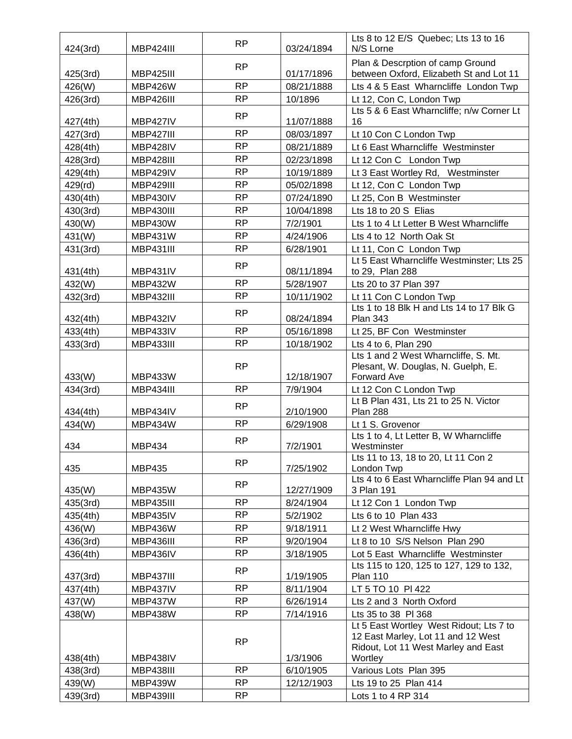| 424(3rd) | <b>MBP424III</b> | <b>RP</b> | 03/24/1894 | Lts 8 to 12 E/S Quebec; Lts 13 to 16<br>N/S Lorne                         |
|----------|------------------|-----------|------------|---------------------------------------------------------------------------|
|          |                  |           |            | Plan & Descrption of camp Ground                                          |
| 425(3rd) | MBP425III        | <b>RP</b> | 01/17/1896 | between Oxford, Elizabeth St and Lot 11                                   |
| 426(W)   | <b>MBP426W</b>   | <b>RP</b> | 08/21/1888 | Lts 4 & 5 East Wharncliffe London Twp                                     |
| 426(3rd) | MBP426III        | <b>RP</b> | 10/1896    | Lt 12, Con C, London Twp                                                  |
|          |                  | <b>RP</b> |            | Lts 5 & 6 East Wharncliffe; n/w Corner Lt                                 |
| 427(4th) | MBP427IV         |           | 11/07/1888 | 16                                                                        |
| 427(3rd) | <b>MBP427III</b> | <b>RP</b> | 08/03/1897 | Lt 10 Con C London Twp                                                    |
| 428(4th) | MBP428IV         | <b>RP</b> | 08/21/1889 | Lt 6 East Wharncliffe Westminster                                         |
| 428(3rd) | MBP428III        | <b>RP</b> | 02/23/1898 | Lt 12 Con C London Twp                                                    |
| 429(4th) | MBP429IV         | <b>RP</b> | 10/19/1889 | Lt 3 East Wortley Rd, Westminster                                         |
| 429(rd)  | MBP429III        | <b>RP</b> | 05/02/1898 | Lt 12, Con C London Twp                                                   |
| 430(4th) | MBP430IV         | <b>RP</b> | 07/24/1890 | Lt 25, Con B Westminster                                                  |
| 430(3rd) | MBP430III        | <b>RP</b> | 10/04/1898 | Lts 18 to 20 S Elias                                                      |
| 430(W)   | <b>MBP430W</b>   | <b>RP</b> | 7/2/1901   | Lts 1 to 4 Lt Letter B West Wharncliffe                                   |
| 431(W)   | <b>MBP431W</b>   | <b>RP</b> | 4/24/1906  | Lts 4 to 12 North Oak St                                                  |
| 431(3rd) | <b>MBP431III</b> | <b>RP</b> | 6/28/1901  | Lt 11, Con C London Twp                                                   |
|          |                  | RP        |            | Lt 5 East Wharncliffe Westminster; Lts 25                                 |
| 431(4th) | MBP431IV         |           | 08/11/1894 | to 29, Plan 288                                                           |
| 432(W)   | <b>MBP432W</b>   | <b>RP</b> | 5/28/1907  | Lts 20 to 37 Plan 397                                                     |
| 432(3rd) | <b>MBP432III</b> | <b>RP</b> | 10/11/1902 | Lt 11 Con C London Twp                                                    |
| 432(4th) | MBP432IV         | <b>RP</b> | 08/24/1894 | Lts 1 to 18 Blk H and Lts 14 to 17 Blk G<br><b>Plan 343</b>               |
| 433(4th) | MBP433IV         | <b>RP</b> | 05/16/1898 | Lt 25, BF Con Westminster                                                 |
|          | <b>MBP433III</b> | <b>RP</b> | 10/18/1902 |                                                                           |
| 433(3rd) |                  |           |            | Lts 4 to 6, Plan 290<br>Lts 1 and 2 West Wharncliffe, S. Mt.              |
|          |                  | <b>RP</b> |            | Plesant, W. Douglas, N. Guelph, E.                                        |
| 433(W)   | <b>MBP433W</b>   |           | 12/18/1907 | Forward Ave                                                               |
| 434(3rd) | MBP434III        | <b>RP</b> | 7/9/1904   | Lt 12 Con C London Twp                                                    |
|          |                  | <b>RP</b> |            | Lt B Plan 431, Lts 21 to 25 N. Victor                                     |
| 434(4th) | MBP434IV         |           | 2/10/1900  | <b>Plan 288</b>                                                           |
| 434(W)   | MBP434W          | <b>RP</b> | 6/29/1908  | Lt 1 S. Grovenor                                                          |
|          |                  | <b>RP</b> |            | Lts 1 to 4, Lt Letter B, W Wharncliffe                                    |
| 434      | <b>MBP434</b>    |           | 7/2/1901   | Westminster<br>Lts 11 to 13, 18 to 20, Lt 11 Con 2                        |
| 435      | <b>MBP435</b>    | <b>RP</b> | 7/25/1902  | London Twp                                                                |
|          |                  |           |            | Lts 4 to 6 East Wharncliffe Plan 94 and Lt                                |
| 435(W)   | MBP435W          | <b>RP</b> | 12/27/1909 | 3 Plan 191                                                                |
| 435(3rd) | MBP435III        | <b>RP</b> | 8/24/1904  | Lt 12 Con 1 London Twp                                                    |
| 435(4th) | MBP435IV         | RP        | 5/2/1902   | Lts 6 to 10 Plan 433                                                      |
| 436(W)   | MBP436W          | <b>RP</b> | 9/18/1911  | Lt 2 West Wharncliffe Hwy                                                 |
| 436(3rd) | MBP436III        | <b>RP</b> | 9/20/1904  | Lt 8 to 10 S/S Nelson Plan 290                                            |
| 436(4th) | MBP436IV         | <b>RP</b> | 3/18/1905  | Lot 5 East Wharncliffe Westminster                                        |
|          |                  | <b>RP</b> |            | Lts 115 to 120, 125 to 127, 129 to 132,                                   |
| 437(3rd) | MBP437III        |           | 1/19/1905  | <b>Plan 110</b>                                                           |
| 437(4th) | MBP437IV         | <b>RP</b> | 8/11/1904  | LT 5 TO 10 PI 422                                                         |
| 437(W)   | MBP437W          | <b>RP</b> | 6/26/1914  | Lts 2 and 3 North Oxford                                                  |
| 438(W)   | MBP438W          | <b>RP</b> | 7/14/1916  | Lts 35 to 38 PI 368                                                       |
|          |                  |           |            | Lt 5 East Wortley West Ridout; Lts 7 to                                   |
|          |                  | <b>RP</b> |            | 12 East Marley, Lot 11 and 12 West<br>Ridout, Lot 11 West Marley and East |
| 438(4th) | MBP438IV         |           | 1/3/1906   | Wortley                                                                   |
| 438(3rd) | MBP438III        | <b>RP</b> | 6/10/1905  | Various Lots Plan 395                                                     |
| 439(W)   | <b>MBP439W</b>   | RP        | 12/12/1903 | Lts 19 to 25 Plan 414                                                     |
| 439(3rd) | MBP439III        | <b>RP</b> |            | Lots 1 to 4 RP 314                                                        |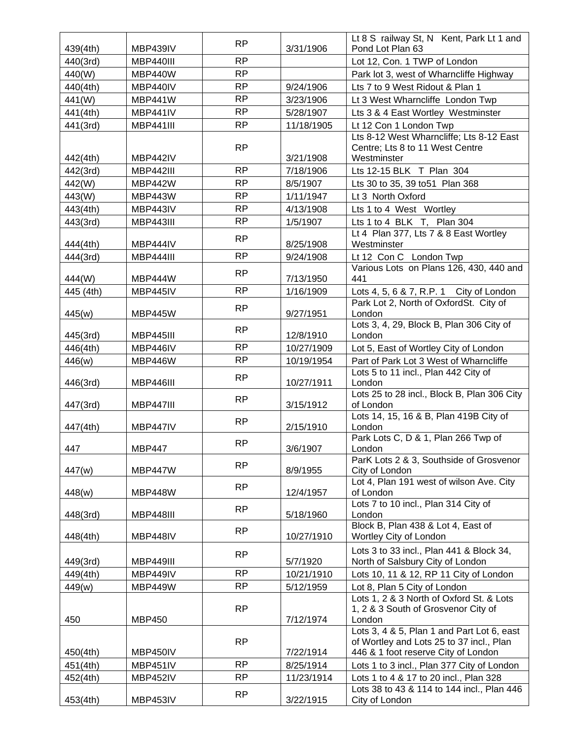|           |                  | <b>RP</b> |            | Lt 8 S railway St, N Kent, Park Lt 1 and                                                                                      |
|-----------|------------------|-----------|------------|-------------------------------------------------------------------------------------------------------------------------------|
| 439(4th)  | MBP439IV         |           | 3/31/1906  | Pond Lot Plan 63                                                                                                              |
| 440(3rd)  | MBP440III        | <b>RP</b> |            | Lot 12, Con. 1 TWP of London                                                                                                  |
| 440(W)    | MBP440W          | <b>RP</b> |            | Park lot 3, west of Wharncliffe Highway                                                                                       |
| 440(4th)  | MBP440IV         | <b>RP</b> | 9/24/1906  | Lts 7 to 9 West Ridout & Plan 1                                                                                               |
| 441(W)    | <b>MBP441W</b>   | <b>RP</b> | 3/23/1906  | Lt 3 West Wharncliffe London Twp                                                                                              |
| 441(4th)  | MBP441IV         | <b>RP</b> | 5/28/1907  | Lts 3 & 4 East Wortley Westminster                                                                                            |
| 441(3rd)  | <b>MBP441III</b> | <b>RP</b> | 11/18/1905 | Lt 12 Con 1 London Twp                                                                                                        |
| 442(4th)  | MBP442IV         | <b>RP</b> | 3/21/1908  | Lts 8-12 West Wharncliffe; Lts 8-12 East<br>Centre; Lts 8 to 11 West Centre<br>Westminster                                    |
| 442(3rd)  | <b>MBP442III</b> | <b>RP</b> | 7/18/1906  | Lts 12-15 BLK T Plan 304                                                                                                      |
| 442(W)    | MBP442W          | <b>RP</b> | 8/5/1907   | Lts 30 to 35, 39 to 51 Plan 368                                                                                               |
| 443(W)    | MBP443W          | <b>RP</b> | 1/11/1947  | Lt 3 North Oxford                                                                                                             |
|           |                  | <b>RP</b> |            |                                                                                                                               |
| 443(4th)  | MBP443IV         |           | 4/13/1908  | Lts 1 to 4 West Wortley                                                                                                       |
| 443(3rd)  | <b>MBP443III</b> | <b>RP</b> | 1/5/1907   | Lts 1 to 4 BLK T, Plan 304                                                                                                    |
| 444(4th)  | MBP444IV         | <b>RP</b> | 8/25/1908  | Lt 4 Plan 377, Lts 7 & 8 East Wortley<br>Westminster                                                                          |
| 444(3rd)  | MBP444III        | <b>RP</b> | 9/24/1908  | Lt 12 Con C London Twp                                                                                                        |
| 444(W)    | MBP444W          | <b>RP</b> | 7/13/1950  | Various Lots on Plans 126, 430, 440 and<br>441                                                                                |
| 445 (4th) | MBP445IV         | <b>RP</b> | 1/16/1909  | Lots 4, 5, 6 & 7, R.P. 1 City of London                                                                                       |
| 445(w)    | MBP445W          | <b>RP</b> | 9/27/1951  | Park Lot 2, North of OxfordSt. City of<br>London                                                                              |
| 445(3rd)  | MBP445III        | <b>RP</b> | 12/8/1910  | Lots 3, 4, 29, Block B, Plan 306 City of<br>London                                                                            |
| 446(4th)  | MBP446IV         | <b>RP</b> | 10/27/1909 | Lot 5, East of Wortley City of London                                                                                         |
| 446(w)    | MBP446W          | <b>RP</b> | 10/19/1954 | Part of Park Lot 3 West of Wharncliffe                                                                                        |
| 446(3rd)  | MBP446III        | <b>RP</b> | 10/27/1911 | Lots 5 to 11 incl., Plan 442 City of<br>London                                                                                |
| 447(3rd)  | <b>MBP447III</b> | <b>RP</b> | 3/15/1912  | Lots 25 to 28 incl., Block B, Plan 306 City<br>of London                                                                      |
| 447(4th)  | MBP447IV         | <b>RP</b> | 2/15/1910  | Lots 14, 15, 16 & B, Plan 419B City of<br>London                                                                              |
| 447       | <b>MBP447</b>    | <b>RP</b> | 3/6/1907   | Park Lots C, D & 1, Plan 266 Twp of<br>London                                                                                 |
| 447(w)    | MBP447W          | RP        | 8/9/1955   | ParK Lots 2 & 3, Southside of Grosvenor<br>City of London                                                                     |
|           |                  | <b>RP</b> |            | Lot 4, Plan 191 west of wilson Ave. City                                                                                      |
| 448(w)    | MBP448W          |           | 12/4/1957  | of London<br>Lots 7 to 10 incl., Plan 314 City of                                                                             |
| 448(3rd)  | MBP448III        | <b>RP</b> | 5/18/1960  | London                                                                                                                        |
| 448(4th)  | MBP448IV         | <b>RP</b> | 10/27/1910 | Block B, Plan 438 & Lot 4, East of<br>Wortley City of London                                                                  |
| 449(3rd)  | MBP449III        | <b>RP</b> | 5/7/1920   | Lots 3 to 33 incl., Plan 441 & Block 34,<br>North of Salsbury City of London                                                  |
| 449(4th)  | MBP449IV         | <b>RP</b> | 10/21/1910 | Lots 10, 11 & 12, RP 11 City of London                                                                                        |
| 449(w)    | MBP449W          | <b>RP</b> | 5/12/1959  | Lot 8, Plan 5 City of London                                                                                                  |
| 450       | <b>MBP450</b>    | <b>RP</b> | 7/12/1974  | Lots 1, 2 & 3 North of Oxford St. & Lots<br>1, 2 & 3 South of Grosvenor City of<br>London                                     |
| 450(4th)  | MBP450IV         | <b>RP</b> | 7/22/1914  | Lots 3, 4 & 5, Plan 1 and Part Lot 6, east<br>of Wortley and Lots 25 to 37 incl., Plan<br>446 & 1 foot reserve City of London |
| 451(4th)  | MBP451IV         | <b>RP</b> | 8/25/1914  | Lots 1 to 3 incl., Plan 377 City of London                                                                                    |
| 452(4th)  | <b>MBP452IV</b>  | <b>RP</b> | 11/23/1914 | Lots 1 to 4 & 17 to 20 incl., Plan 328                                                                                        |
|           |                  | <b>RP</b> |            | Lots 38 to 43 & 114 to 144 incl., Plan 446                                                                                    |
| 453(4th)  | MBP453IV         |           | 3/22/1915  | City of London                                                                                                                |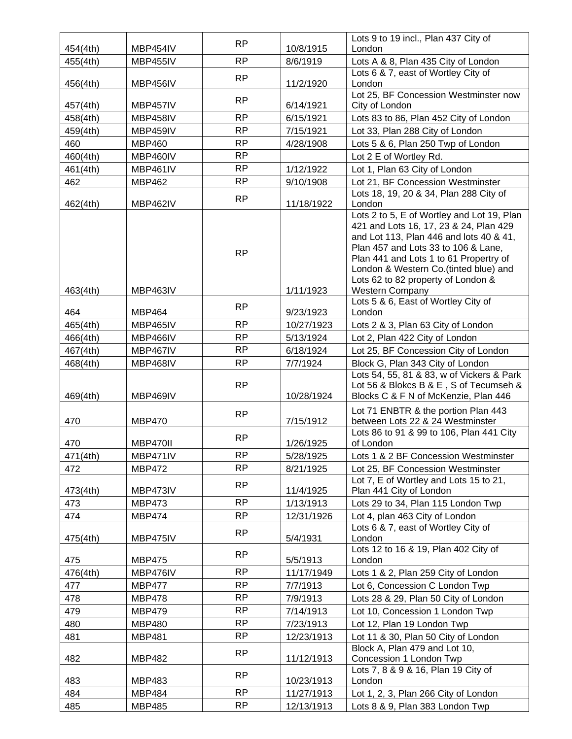|          |                 | <b>RP</b> |            | Lots 9 to 19 incl., Plan 437 City of                                                                                                                                                                                                                                                                                       |
|----------|-----------------|-----------|------------|----------------------------------------------------------------------------------------------------------------------------------------------------------------------------------------------------------------------------------------------------------------------------------------------------------------------------|
| 454(4th) | MBP454IV        |           | 10/8/1915  | London                                                                                                                                                                                                                                                                                                                     |
| 455(4th) | <b>MBP455IV</b> | <b>RP</b> | 8/6/1919   | Lots A & 8, Plan 435 City of London                                                                                                                                                                                                                                                                                        |
| 456(4th) | MBP456IV        | RP        | 11/2/1920  | Lots 6 & 7, east of Wortley City of<br>London                                                                                                                                                                                                                                                                              |
| 457(4th) | MBP457IV        | <b>RP</b> | 6/14/1921  | Lot 25, BF Concession Westminster now<br>City of London                                                                                                                                                                                                                                                                    |
| 458(4th) | MBP458IV        | <b>RP</b> | 6/15/1921  | Lots 83 to 86, Plan 452 City of London                                                                                                                                                                                                                                                                                     |
| 459(4th) | MBP459IV        | <b>RP</b> | 7/15/1921  | Lot 33, Plan 288 City of London                                                                                                                                                                                                                                                                                            |
| 460      | <b>MBP460</b>   | <b>RP</b> | 4/28/1908  | Lots 5 & 6, Plan 250 Twp of London                                                                                                                                                                                                                                                                                         |
| 460(4th) | MBP460IV        | <b>RP</b> |            | Lot 2 E of Wortley Rd.                                                                                                                                                                                                                                                                                                     |
| 461(4th) | MBP461IV        | <b>RP</b> | 1/12/1922  | Lot 1, Plan 63 City of London                                                                                                                                                                                                                                                                                              |
| 462      | <b>MBP462</b>   | <b>RP</b> | 9/10/1908  | Lot 21, BF Concession Westminster                                                                                                                                                                                                                                                                                          |
| 462(4th) | <b>MBP462IV</b> | <b>RP</b> | 11/18/1922 | Lots 18, 19, 20 & 34, Plan 288 City of<br>London                                                                                                                                                                                                                                                                           |
| 463(4th) | MBP463IV        | <b>RP</b> | 1/11/1923  | Lots 2 to 5, E of Wortley and Lot 19, Plan<br>421 and Lots 16, 17, 23 & 24, Plan 429<br>and Lot 113, Plan 446 and lots 40 & 41,<br>Plan 457 and Lots 33 to 106 & Lane,<br>Plan 441 and Lots 1 to 61 Propertry of<br>London & Western Co. (tinted blue) and<br>Lots 62 to 82 property of London &<br><b>Western Company</b> |
| 464      | <b>MBP464</b>   | <b>RP</b> | 9/23/1923  | Lots 5 & 6, East of Wortley City of<br>London                                                                                                                                                                                                                                                                              |
| 465(4th) | <b>MBP465IV</b> | <b>RP</b> | 10/27/1923 | Lots 2 & 3, Plan 63 City of London                                                                                                                                                                                                                                                                                         |
| 466(4th) | MBP466IV        | <b>RP</b> | 5/13/1924  | Lot 2, Plan 422 City of London                                                                                                                                                                                                                                                                                             |
| 467(4th) | MBP467IV        | <b>RP</b> | 6/18/1924  | Lot 25, BF Concession City of London                                                                                                                                                                                                                                                                                       |
| 468(4th) | MBP468IV        | <b>RP</b> | 7/7/1924   | Block G, Plan 343 City of London                                                                                                                                                                                                                                                                                           |
| 469(4th) | MBP469IV        | <b>RP</b> | 10/28/1924 | Lots 54, 55, 81 & 83, w of Vickers & Park<br>Lot 56 & Blokcs B & E, S of Tecumseh &<br>Blocks C & F N of McKenzie, Plan 446                                                                                                                                                                                                |
| 470      | <b>MBP470</b>   | <b>RP</b> | 7/15/1912  | Lot 71 ENBTR & the portion Plan 443<br>between Lots 22 & 24 Westminster                                                                                                                                                                                                                                                    |
| 470      | MBP470II        | <b>RP</b> | 1/26/1925  | Lots 86 to 91 & 99 to 106, Plan 441 City<br>of London                                                                                                                                                                                                                                                                      |
| 471(4th) | MBP471IV        | <b>RP</b> | 5/28/1925  | Lots 1 & 2 BF Concession Westminster                                                                                                                                                                                                                                                                                       |
| 472      | <b>MBP472</b>   | <b>RP</b> | 8/21/1925  | Lot 25, BF Concession Westminster                                                                                                                                                                                                                                                                                          |
| 473(4th) | MBP473IV        | RP        | 11/4/1925  | Lot 7, E of Wortley and Lots 15 to 21,<br>Plan 441 City of London                                                                                                                                                                                                                                                          |
| 473      | <b>MBP473</b>   | <b>RP</b> | 1/13/1913  | Lots 29 to 34, Plan 115 London Twp                                                                                                                                                                                                                                                                                         |
| 474      | <b>MBP474</b>   | <b>RP</b> | 12/31/1926 | Lot 4, plan 463 City of London                                                                                                                                                                                                                                                                                             |
| 475(4th) | MBP475IV        | <b>RP</b> | 5/4/1931   | Lots 6 & 7, east of Wortley City of<br>London                                                                                                                                                                                                                                                                              |
| 475      | <b>MBP475</b>   | <b>RP</b> | 5/5/1913   | Lots 12 to 16 & 19, Plan 402 City of<br>London                                                                                                                                                                                                                                                                             |
| 476(4th) | MBP476IV        | <b>RP</b> | 11/17/1949 | Lots 1 & 2, Plan 259 City of London                                                                                                                                                                                                                                                                                        |
| 477      | <b>MBP477</b>   | <b>RP</b> | 7/7/1913   | Lot 6, Concession C London Twp                                                                                                                                                                                                                                                                                             |
| 478      | <b>MBP478</b>   | <b>RP</b> | 7/9/1913   | Lots 28 & 29, Plan 50 City of London                                                                                                                                                                                                                                                                                       |
| 479      | <b>MBP479</b>   | <b>RP</b> | 7/14/1913  | Lot 10, Concession 1 London Twp                                                                                                                                                                                                                                                                                            |
| 480      | <b>MBP480</b>   | <b>RP</b> | 7/23/1913  | Lot 12, Plan 19 London Twp                                                                                                                                                                                                                                                                                                 |
| 481      | <b>MBP481</b>   | <b>RP</b> | 12/23/1913 | Lot 11 & 30, Plan 50 City of London                                                                                                                                                                                                                                                                                        |
| 482      | <b>MBP482</b>   | <b>RP</b> | 11/12/1913 | Block A, Plan 479 and Lot 10,<br>Concession 1 London Twp                                                                                                                                                                                                                                                                   |
| 483      | <b>MBP483</b>   | <b>RP</b> | 10/23/1913 | Lots 7, 8 & 9 & 16, Plan 19 City of<br>London                                                                                                                                                                                                                                                                              |
| 484      | <b>MBP484</b>   | <b>RP</b> | 11/27/1913 | Lot 1, 2, 3, Plan 266 City of London                                                                                                                                                                                                                                                                                       |
| 485      | <b>MBP485</b>   | <b>RP</b> | 12/13/1913 | Lots 8 & 9, Plan 383 London Twp                                                                                                                                                                                                                                                                                            |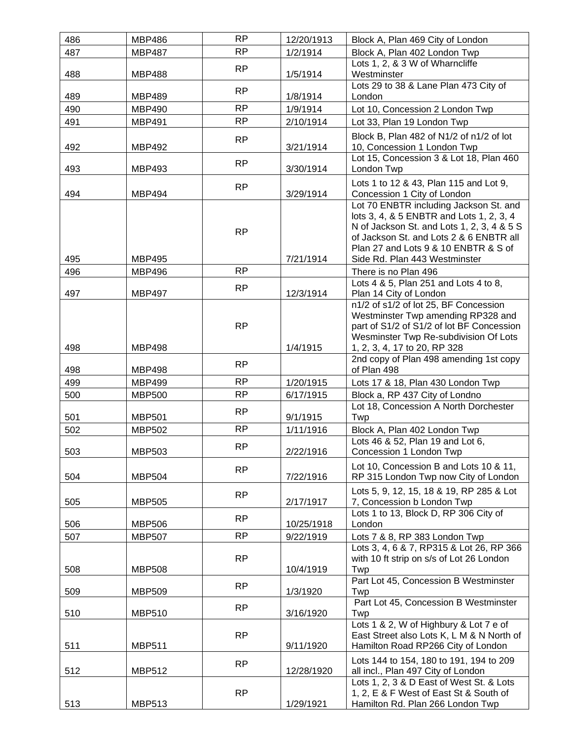| 486 | <b>MBP486</b> | <b>RP</b> | 12/20/1913 | Block A, Plan 469 City of London                                                                                                                                                                                                                     |
|-----|---------------|-----------|------------|------------------------------------------------------------------------------------------------------------------------------------------------------------------------------------------------------------------------------------------------------|
| 487 | <b>MBP487</b> | <b>RP</b> | 1/2/1914   | Block A, Plan 402 London Twp                                                                                                                                                                                                                         |
| 488 | <b>MBP488</b> | RP        | 1/5/1914   | Lots 1, 2, & 3 W of Wharncliffe<br>Westminster                                                                                                                                                                                                       |
|     |               | <b>RP</b> |            | Lots 29 to 38 & Lane Plan 473 City of                                                                                                                                                                                                                |
| 489 | <b>MBP489</b> |           | 1/8/1914   | London                                                                                                                                                                                                                                               |
| 490 | <b>MBP490</b> | <b>RP</b> | 1/9/1914   | Lot 10, Concession 2 London Twp                                                                                                                                                                                                                      |
| 491 | <b>MBP491</b> | <b>RP</b> | 2/10/1914  | Lot 33, Plan 19 London Twp                                                                                                                                                                                                                           |
| 492 | <b>MBP492</b> | <b>RP</b> | 3/21/1914  | Block B, Plan 482 of N1/2 of n1/2 of lot<br>10, Concession 1 London Twp                                                                                                                                                                              |
| 493 | <b>MBP493</b> | <b>RP</b> | 3/30/1914  | Lot 15, Concession 3 & Lot 18, Plan 460<br>London Twp                                                                                                                                                                                                |
| 494 | <b>MBP494</b> | <b>RP</b> | 3/29/1914  | Lots 1 to 12 & 43, Plan 115 and Lot 9,<br>Concession 1 City of London                                                                                                                                                                                |
| 495 | <b>MBP495</b> | <b>RP</b> | 7/21/1914  | Lot 70 ENBTR including Jackson St. and<br>lots 3, 4, & 5 ENBTR and Lots 1, 2, 3, 4<br>N of Jackson St. and Lots 1, 2, 3, 4 & 5 S<br>of Jackson St. and Lots 2 & 6 ENBTR all<br>Plan 27 and Lots 9 & 10 ENBTR & S of<br>Side Rd. Plan 443 Westminster |
| 496 | <b>MBP496</b> | <b>RP</b> |            | There is no Plan 496                                                                                                                                                                                                                                 |
| 497 | <b>MBP497</b> | <b>RP</b> | 12/3/1914  | Lots 4 & 5, Plan 251 and Lots 4 to 8,<br>Plan 14 City of London                                                                                                                                                                                      |
|     |               | <b>RP</b> |            | n1/2 of s1/2 of lot 25, BF Concession<br>Westminster Twp amending RP328 and<br>part of S1/2 of S1/2 of lot BF Concession<br>Wesminster Twp Re-subdivision Of Lots                                                                                    |
| 498 | <b>MBP498</b> |           | 1/4/1915   | 1, 2, 3, 4, 17 to 20, RP 328                                                                                                                                                                                                                         |
| 498 | <b>MBP498</b> | <b>RP</b> |            | 2nd copy of Plan 498 amending 1st copy<br>of Plan 498                                                                                                                                                                                                |
| 499 | <b>MBP499</b> | RP        | 1/20/1915  | Lots 17 & 18, Plan 430 London Twp                                                                                                                                                                                                                    |
| 500 | <b>MBP500</b> | <b>RP</b> | 6/17/1915  | Block a, RP 437 City of Londno                                                                                                                                                                                                                       |
| 501 | <b>MBP501</b> | <b>RP</b> | 9/1/1915   | Lot 18, Concession A North Dorchester<br>Twp                                                                                                                                                                                                         |
| 502 | <b>MBP502</b> | <b>RP</b> | 1/11/1916  | Block A, Plan 402 London Twp                                                                                                                                                                                                                         |
| 503 | <b>MBP503</b> | <b>RP</b> | 2/22/1916  | Lots 46 & 52, Plan 19 and Lot 6,<br>Concession 1 London Twp                                                                                                                                                                                          |
| 504 | <b>MBP504</b> | <b>RP</b> | 7/22/1916  | Lot 10, Concession B and Lots 10 & 11,<br>RP 315 London Twp now City of London                                                                                                                                                                       |
| 505 | <b>MBP505</b> | RP        | 2/17/1917  | Lots 5, 9, 12, 15, 18 & 19, RP 285 & Lot<br>7, Concession b London Twp                                                                                                                                                                               |
| 506 | <b>MBP506</b> | <b>RP</b> | 10/25/1918 | Lots 1 to 13, Block D, RP 306 City of<br>London                                                                                                                                                                                                      |
| 507 | <b>MBP507</b> | <b>RP</b> | 9/22/1919  | Lots 7 & 8, RP 383 London Twp                                                                                                                                                                                                                        |
| 508 | <b>MBP508</b> | <b>RP</b> | 10/4/1919  | Lots 3, 4, 6 & 7, RP315 & Lot 26, RP 366<br>with 10 ft strip on s/s of Lot 26 London<br>Twp                                                                                                                                                          |
| 509 | <b>MBP509</b> | <b>RP</b> | 1/3/1920   | Part Lot 45, Concession B Westminster<br>Twp                                                                                                                                                                                                         |
| 510 | <b>MBP510</b> | <b>RP</b> | 3/16/1920  | Part Lot 45, Concession B Westminster<br>Twp                                                                                                                                                                                                         |
| 511 | <b>MBP511</b> | <b>RP</b> | 9/11/1920  | Lots 1 & 2, W of Highbury & Lot 7 e of<br>East Street also Lots K, L M & N North of<br>Hamilton Road RP266 City of London                                                                                                                            |
| 512 | <b>MBP512</b> | <b>RP</b> | 12/28/1920 | Lots 144 to 154, 180 to 191, 194 to 209<br>all incl., Plan 497 City of London                                                                                                                                                                        |
| 513 | <b>MBP513</b> | <b>RP</b> | 1/29/1921  | Lots 1, 2, 3 & D East of West St. & Lots<br>1, 2, E & F West of East St & South of<br>Hamilton Rd. Plan 266 London Twp                                                                                                                               |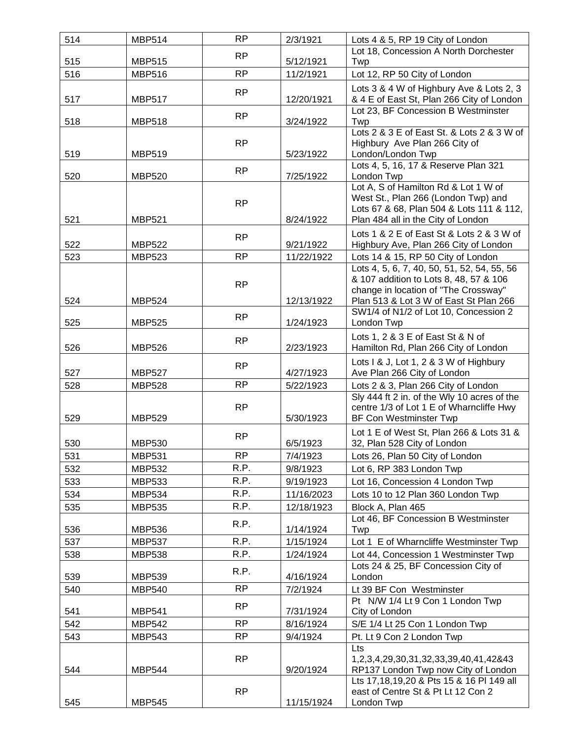| 514 | <b>MBP514</b> | <b>RP</b> | 2/3/1921   | Lots 4 & 5, RP 19 City of London                                                        |
|-----|---------------|-----------|------------|-----------------------------------------------------------------------------------------|
|     |               | <b>RP</b> |            | Lot 18, Concession A North Dorchester                                                   |
| 515 | <b>MBP515</b> |           | 5/12/1921  | Twp                                                                                     |
| 516 | <b>MBP516</b> | <b>RP</b> | 11/2/1921  | Lot 12, RP 50 City of London                                                            |
|     |               | <b>RP</b> |            | Lots 3 & 4 W of Highbury Ave & Lots 2, 3                                                |
| 517 | <b>MBP517</b> |           | 12/20/1921 | & 4 E of East St, Plan 266 City of London                                               |
| 518 | <b>MBP518</b> | <b>RP</b> | 3/24/1922  | Lot 23, BF Concession B Westminster<br>Twp                                              |
|     |               |           |            | Lots 2 & 3 E of East St, & Lots 2 & 3 W of                                              |
|     |               | <b>RP</b> |            | Highbury Ave Plan 266 City of                                                           |
| 519 | <b>MBP519</b> |           | 5/23/1922  | London/London Twp                                                                       |
|     |               | <b>RP</b> |            | Lots 4, 5, 16, 17 & Reserve Plan 321                                                    |
| 520 | <b>MBP520</b> |           | 7/25/1922  | London Twp<br>Lot A, S of Hamilton Rd & Lot 1 W of                                      |
|     |               |           |            | West St., Plan 266 (London Twp) and                                                     |
|     |               | <b>RP</b> |            | Lots 67 & 68, Plan 504 & Lots 111 & 112,                                                |
| 521 | <b>MBP521</b> |           | 8/24/1922  | Plan 484 all in the City of London                                                      |
|     |               | <b>RP</b> |            | Lots 1 & 2 E of East St & Lots 2 & 3 W of                                               |
| 522 | <b>MBP522</b> |           | 9/21/1922  | Highbury Ave, Plan 266 City of London                                                   |
| 523 | <b>MBP523</b> | <b>RP</b> | 11/22/1922 | Lots 14 & 15, RP 50 City of London                                                      |
|     |               |           |            | Lots 4, 5, 6, 7, 40, 50, 51, 52, 54, 55, 56                                             |
|     |               | <b>RP</b> |            | & 107 addition to Lots 8, 48, 57 & 106<br>change in location of "The Crossway"          |
| 524 | <b>MBP524</b> |           | 12/13/1922 | Plan 513 & Lot 3 W of East St Plan 266                                                  |
|     |               |           |            | SW1/4 of N1/2 of Lot 10, Concession 2                                                   |
| 525 | <b>MBP525</b> | <b>RP</b> | 1/24/1923  | London Twp                                                                              |
|     |               | <b>RP</b> |            | Lots 1, 2 & 3 E of East St & N of                                                       |
| 526 | <b>MBP526</b> |           | 2/23/1923  | Hamilton Rd, Plan 266 City of London                                                    |
|     |               | <b>RP</b> |            | Lots I & J, Lot 1, 2 & 3 W of Highbury                                                  |
| 527 | <b>MBP527</b> |           | 4/27/1923  | Ave Plan 266 City of London                                                             |
| 528 | <b>MBP528</b> | <b>RP</b> | 5/22/1923  | Lots 2 & 3, Plan 266 City of London                                                     |
|     |               | <b>RP</b> |            | Sly 444 ft 2 in. of the Wly 10 acres of the<br>centre 1/3 of Lot 1 E of Wharncliffe Hwy |
| 529 | <b>MBP529</b> |           | 5/30/1923  | <b>BF Con Westminster Twp</b>                                                           |
|     |               |           |            | Lot 1 E of West St, Plan 266 & Lots 31 &                                                |
| 530 | <b>MBP530</b> | <b>RP</b> | 6/5/1923   | 32, Plan 528 City of London                                                             |
| 531 | <b>MBP531</b> | RP        | 7/4/1923   | Lots 26, Plan 50 City of London                                                         |
| 532 | <b>MBP532</b> | R.P.      | 9/8/1923   | Lot 6, RP 383 London Twp                                                                |
| 533 | <b>MBP533</b> | R.P.      | 9/19/1923  | Lot 16, Concession 4 London Twp                                                         |
| 534 | <b>MBP534</b> | R.P.      | 11/16/2023 | Lots 10 to 12 Plan 360 London Twp                                                       |
| 535 | <b>MBP535</b> | R.P.      | 12/18/1923 | Block A, Plan 465                                                                       |
|     |               | R.P.      |            | Lot 46, BF Concession B Westminster                                                     |
| 536 | <b>MBP536</b> |           | 1/14/1924  | Twp                                                                                     |
| 537 | <b>MBP537</b> | R.P.      | 1/15/1924  | Lot 1 E of Wharncliffe Westminster Twp                                                  |
| 538 | <b>MBP538</b> | R.P.      | 1/24/1924  | Lot 44, Concession 1 Westminster Twp                                                    |
| 539 | <b>MBP539</b> | R.P.      | 4/16/1924  | Lots 24 & 25, BF Concession City of<br>London                                           |
| 540 | <b>MBP540</b> | <b>RP</b> | 7/2/1924   | Lt 39 BF Con Westminster                                                                |
|     |               |           |            | Pt N/W 1/4 Lt 9 Con 1 London Twp                                                        |
| 541 | <b>MBP541</b> | <b>RP</b> | 7/31/1924  | City of London                                                                          |
| 542 | <b>MBP542</b> | <b>RP</b> | 8/16/1924  | S/E 1/4 Lt 25 Con 1 London Twp                                                          |
| 543 | <b>MBP543</b> | <b>RP</b> | 9/4/1924   | Pt. Lt 9 Con 2 London Twp                                                               |
|     |               |           |            | Lts                                                                                     |
|     |               | <b>RP</b> |            | 1,2,3,4,29,30,31,32,33,39,40,41,42&43                                                   |
| 544 | <b>MBP544</b> |           | 9/20/1924  | RP137 London Twp now City of London<br>Lts 17,18,19,20 & Pts 15 & 16 Pl 149 all         |
|     |               | <b>RP</b> |            | east of Centre St & Pt Lt 12 Con 2                                                      |
| 545 | <b>MBP545</b> |           | 11/15/1924 | London Twp                                                                              |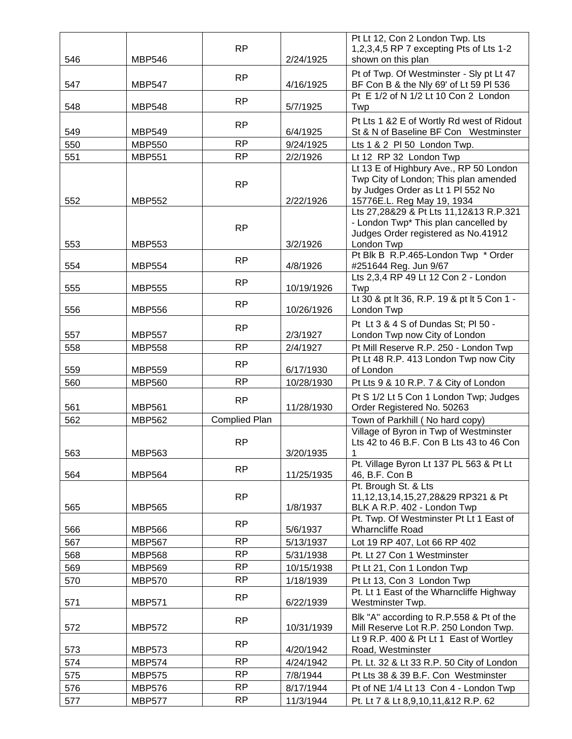|     |               | <b>RP</b>            |            | Pt Lt 12, Con 2 London Twp. Lts<br>1,2,3,4,5 RP 7 excepting Pts of Lts 1-2                                                                         |
|-----|---------------|----------------------|------------|----------------------------------------------------------------------------------------------------------------------------------------------------|
| 546 | <b>MBP546</b> |                      | 2/24/1925  | shown on this plan                                                                                                                                 |
| 547 | <b>MBP547</b> | <b>RP</b>            | 4/16/1925  | Pt of Twp. Of Westminster - Sly pt Lt 47<br>BF Con B & the Nly 69' of Lt 59 Pl 536                                                                 |
| 548 | <b>MBP548</b> | <b>RP</b>            | 5/7/1925   | Pt E 1/2 of N 1/2 Lt 10 Con 2 London<br>Twp                                                                                                        |
| 549 | <b>MBP549</b> | <b>RP</b>            | 6/4/1925   | Pt Lts 1 &2 E of Wortly Rd west of Ridout<br>St & N of Baseline BF Con Westminster                                                                 |
| 550 | <b>MBP550</b> | <b>RP</b>            | 9/24/1925  | Lts 1 & 2 PI 50 London Twp.                                                                                                                        |
| 551 | <b>MBP551</b> | <b>RP</b>            | 2/2/1926   | Lt 12 RP 32 London Twp                                                                                                                             |
| 552 | <b>MBP552</b> | <b>RP</b>            | 2/22/1926  | Lt 13 E of Highbury Ave., RP 50 London<br>Twp City of London; This plan amended<br>by Judges Order as Lt 1 PI 552 No<br>15776E.L. Reg May 19, 1934 |
| 553 | <b>MBP553</b> | <b>RP</b>            | 3/2/1926   | Lts 27,28&29 & Pt Lts 11,12&13 R.P.321<br>- London Twp* This plan cancelled by<br>Judges Order registered as No.41912<br>London Twp                |
| 554 | <b>MBP554</b> | <b>RP</b>            | 4/8/1926   | Pt Blk B R.P.465-London Twp * Order<br>#251644 Reg. Jun 9/67                                                                                       |
| 555 | <b>MBP555</b> | <b>RP</b>            | 10/19/1926 | Lts 2,3,4 RP 49 Lt 12 Con 2 - London<br>Twp                                                                                                        |
| 556 | <b>MBP556</b> | <b>RP</b>            | 10/26/1926 | Lt 30 & pt lt 36, R.P. 19 & pt lt 5 Con 1 -<br>London Twp                                                                                          |
| 557 | <b>MBP557</b> | <b>RP</b>            | 2/3/1927   | Pt Lt 3 & 4 S of Dundas St; Pl 50 -<br>London Twp now City of London                                                                               |
| 558 | <b>MBP558</b> | <b>RP</b>            | 2/4/1927   | Pt Mill Reserve R.P. 250 - London Twp                                                                                                              |
| 559 | <b>MBP559</b> | <b>RP</b>            | 6/17/1930  | Pt Lt 48 R.P. 413 London Twp now City<br>of London                                                                                                 |
| 560 | <b>MBP560</b> | <b>RP</b>            | 10/28/1930 | Pt Lts 9 & 10 R.P. 7 & City of London                                                                                                              |
| 561 | <b>MBP561</b> | <b>RP</b>            | 11/28/1930 | Pt S 1/2 Lt 5 Con 1 London Twp; Judges<br>Order Registered No. 50263                                                                               |
| 562 | <b>MBP562</b> | <b>Complied Plan</b> |            | Town of Parkhill (No hard copy)                                                                                                                    |
| 563 | <b>MBP563</b> | <b>RP</b>            | 3/20/1935  | Village of Byron in Twp of Westminster<br>Lts 42 to 46 B.F. Con B Lts 43 to 46 Con                                                                 |
| 564 | <b>MBP564</b> | <b>RP</b>            | 11/25/1935 | Pt. Village Byron Lt 137 PL 563 & Pt Lt<br>46, B.F. Con B                                                                                          |
| 565 | <b>MBP565</b> | <b>RP</b>            | 1/8/1937   | Pt. Brough St. & Lts<br>11, 12, 13, 14, 15, 27, 28& 29 RP3 21 & Pt<br>BLK A R.P. 402 - London Twp                                                  |
| 566 | <b>MBP566</b> | <b>RP</b>            | 5/6/1937   | Pt. Twp. Of Westminster Pt Lt 1 East of<br><b>Wharncliffe Road</b>                                                                                 |
| 567 | <b>MBP567</b> | <b>RP</b>            | 5/13/1937  | Lot 19 RP 407, Lot 66 RP 402                                                                                                                       |
| 568 | <b>MBP568</b> | <b>RP</b>            | 5/31/1938  | Pt. Lt 27 Con 1 Westminster                                                                                                                        |
| 569 | <b>MBP569</b> | <b>RP</b>            | 10/15/1938 | Pt Lt 21, Con 1 London Twp                                                                                                                         |
| 570 | <b>MBP570</b> | <b>RP</b>            | 1/18/1939  | Pt Lt 13, Con 3 London Twp                                                                                                                         |
| 571 | <b>MBP571</b> | <b>RP</b>            | 6/22/1939  | Pt. Lt 1 East of the Wharncliffe Highway<br>Westminster Twp.                                                                                       |
| 572 | <b>MBP572</b> | <b>RP</b>            | 10/31/1939 | Blk "A" according to R.P.558 & Pt of the<br>Mill Reserve Lot R.P. 250 London Twp.                                                                  |
| 573 | <b>MBP573</b> | <b>RP</b>            | 4/20/1942  | Lt 9 R.P. 400 & Pt Lt 1 East of Wortley<br>Road, Westminster                                                                                       |
| 574 | <b>MBP574</b> | <b>RP</b>            | 4/24/1942  | Pt. Lt. 32 & Lt 33 R.P. 50 City of London                                                                                                          |
| 575 | <b>MBP575</b> | <b>RP</b>            | 7/8/1944   | Pt Lts 38 & 39 B.F. Con Westminster                                                                                                                |
| 576 | <b>MBP576</b> | <b>RP</b>            | 8/17/1944  | Pt of NE 1/4 Lt 13 Con 4 - London Twp                                                                                                              |
| 577 | <b>MBP577</b> | <b>RP</b>            | 11/3/1944  | Pt. Lt 7 & Lt 8,9,10,11,&12 R.P. 62                                                                                                                |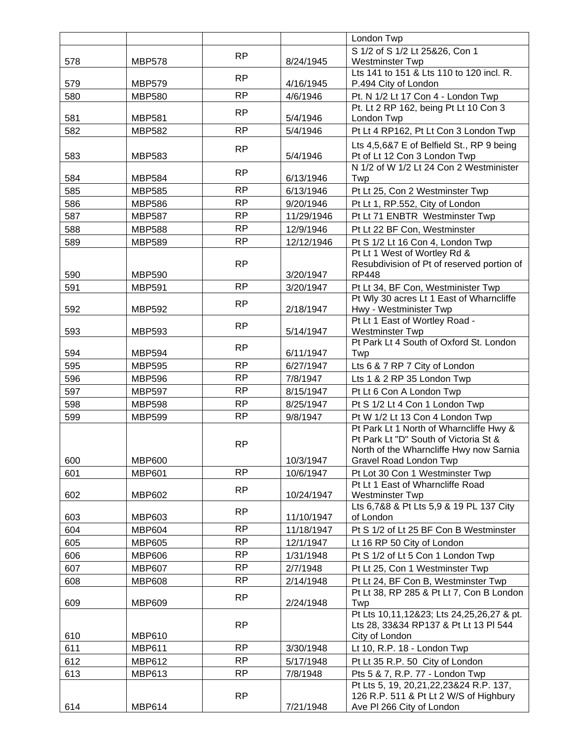|     |               |           |            | London Twp                                                                       |
|-----|---------------|-----------|------------|----------------------------------------------------------------------------------|
|     |               | <b>RP</b> |            | S 1/2 of S 1/2 Lt 25&26, Con 1                                                   |
| 578 | <b>MBP578</b> |           | 8/24/1945  | Westminster Twp                                                                  |
|     |               | <b>RP</b> |            | Lts 141 to 151 & Lts 110 to 120 incl. R.                                         |
| 579 | <b>MBP579</b> |           | 4/16/1945  | P.494 City of London                                                             |
| 580 | <b>MBP580</b> | <b>RP</b> | 4/6/1946   | Pt. N 1/2 Lt 17 Con 4 - London Twp                                               |
| 581 | <b>MBP581</b> | <b>RP</b> | 5/4/1946   | Pt. Lt 2 RP 162, being Pt Lt 10 Con 3<br>London Twp                              |
| 582 | <b>MBP582</b> | <b>RP</b> | 5/4/1946   | Pt Lt 4 RP162, Pt Lt Con 3 London Twp                                            |
|     |               |           |            |                                                                                  |
| 583 | <b>MBP583</b> | <b>RP</b> | 5/4/1946   | Lts 4,5,6&7 E of Belfield St., RP 9 being<br>Pt of Lt 12 Con 3 London Twp        |
|     |               |           |            | N 1/2 of W 1/2 Lt 24 Con 2 Westminister                                          |
| 584 | <b>MBP584</b> | <b>RP</b> | 6/13/1946  | Twp                                                                              |
| 585 | <b>MBP585</b> | <b>RP</b> | 6/13/1946  | Pt Lt 25, Con 2 Westminster Twp                                                  |
| 586 | <b>MBP586</b> | <b>RP</b> | 9/20/1946  | Pt Lt 1, RP.552, City of London                                                  |
| 587 | <b>MBP587</b> | <b>RP</b> | 11/29/1946 | Pt Lt 71 ENBTR Westminster Twp                                                   |
| 588 | <b>MBP588</b> | <b>RP</b> | 12/9/1946  | Pt Lt 22 BF Con, Westminster                                                     |
| 589 | <b>MBP589</b> | <b>RP</b> | 12/12/1946 | Pt S 1/2 Lt 16 Con 4, London Twp                                                 |
|     |               |           |            | Pt Lt 1 West of Wortley Rd &                                                     |
|     |               | <b>RP</b> |            | Resubdivision of Pt of reserved portion of                                       |
| 590 | <b>MBP590</b> |           | 3/20/1947  | <b>RP448</b>                                                                     |
| 591 | <b>MBP591</b> | <b>RP</b> | 3/20/1947  | Pt Lt 34, BF Con, Westminister Twp                                               |
| 592 | <b>MBP592</b> | <b>RP</b> | 2/18/1947  | Pt Wly 30 acres Lt 1 East of Wharncliffe<br>Hwy - Westminister Twp               |
|     |               |           |            | Pt Lt 1 East of Wortley Road -                                                   |
| 593 | <b>MBP593</b> | <b>RP</b> | 5/14/1947  | <b>Westminster Twp</b>                                                           |
|     |               |           |            | Pt Park Lt 4 South of Oxford St. London                                          |
| 594 | <b>MBP594</b> | <b>RP</b> | 6/11/1947  | Twp                                                                              |
| 595 | <b>MBP595</b> | <b>RP</b> | 6/27/1947  | Lts 6 & 7 RP 7 City of London                                                    |
| 596 | <b>MBP596</b> | <b>RP</b> | 7/8/1947   | Lts 1 & 2 RP 35 London Twp                                                       |
| 597 | <b>MBP597</b> | <b>RP</b> | 8/15/1947  | Pt Lt 6 Con A London Twp                                                         |
| 598 | <b>MBP598</b> | <b>RP</b> | 8/25/1947  | Pt S 1/2 Lt 4 Con 1 London Twp                                                   |
| 599 | <b>MBP599</b> | <b>RP</b> | 9/8/1947   | Pt W 1/2 Lt 13 Con 4 London Twp                                                  |
|     |               |           |            | Pt Park Lt 1 North of Wharncliffe Hwy &                                          |
|     |               | <b>RP</b> |            | Pt Park Lt "D" South of Victoria St &<br>North of the Wharncliffe Hwy now Sarnia |
| 600 | <b>MBP600</b> |           | 10/3/1947  | Gravel Road London Twp                                                           |
| 601 | <b>MBP601</b> | <b>RP</b> | 10/6/1947  | Pt Lot 30 Con 1 Westminster Twp                                                  |
|     |               |           |            | Pt Lt 1 East of Wharncliffe Road                                                 |
| 602 | <b>MBP602</b> | <b>RP</b> | 10/24/1947 | <b>Westminster Twp</b>                                                           |
|     |               | <b>RP</b> |            | Lts 6,7&8 & Pt Lts 5,9 & 19 PL 137 City                                          |
| 603 | <b>MBP603</b> |           | 11/10/1947 | of London                                                                        |
| 604 | <b>MBP604</b> | <b>RP</b> | 11/18/1947 | Pt S 1/2 of Lt 25 BF Con B Westminster                                           |
| 605 | <b>MBP605</b> | <b>RP</b> | 12/1/1947  | Lt 16 RP 50 City of London                                                       |
| 606 | <b>MBP606</b> | <b>RP</b> | 1/31/1948  | Pt S 1/2 of Lt 5 Con 1 London Twp                                                |
| 607 | <b>MBP607</b> | <b>RP</b> | 2/7/1948   | Pt Lt 25, Con 1 Westminster Twp                                                  |
| 608 | <b>MBP608</b> | <b>RP</b> | 2/14/1948  | Pt Lt 24, BF Con B, Westminster Twp                                              |
| 609 | <b>MBP609</b> | <b>RP</b> | 2/24/1948  | Pt Lt 38, RP 285 & Pt Lt 7, Con B London<br>Twp                                  |
|     |               |           |            | Pt Lts 10,11,12&23; Lts 24,25,26,27 & pt.                                        |
|     |               | <b>RP</b> |            | Lts 28, 33&34 RP137 & Pt Lt 13 Pl 544                                            |
| 610 | <b>MBP610</b> |           |            | City of London                                                                   |
| 611 | <b>MBP611</b> | <b>RP</b> | 3/30/1948  | Lt 10, R.P. 18 - London Twp                                                      |
| 612 | <b>MBP612</b> | <b>RP</b> | 5/17/1948  | Pt Lt 35 R.P. 50 City of London                                                  |
| 613 | <b>MBP613</b> | <b>RP</b> | 7/8/1948   | Pts 5 & 7, R.P. 77 - London Twp                                                  |
|     |               |           |            | Pt Lts 5, 19, 20, 21, 22, 23& 24 R.P. 137,                                       |
|     |               | <b>RP</b> |            | 126 R.P. 511 & Pt Lt 2 W/S of Highbury                                           |
| 614 | <b>MBP614</b> |           | 7/21/1948  | Ave PI 266 City of London                                                        |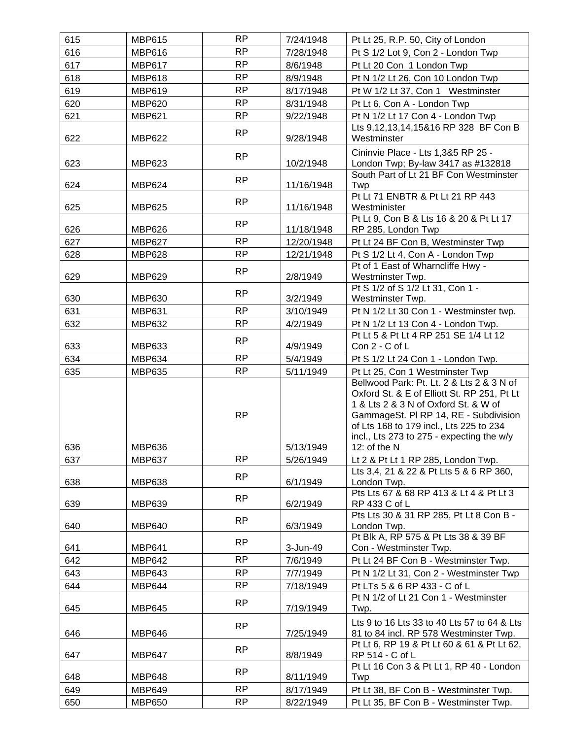| 615 | <b>MBP615</b> | <b>RP</b> | 7/24/1948  | Pt Lt 25, R.P. 50, City of London                                                                                                                                                                                                                                 |
|-----|---------------|-----------|------------|-------------------------------------------------------------------------------------------------------------------------------------------------------------------------------------------------------------------------------------------------------------------|
| 616 | <b>MBP616</b> | <b>RP</b> | 7/28/1948  | Pt S 1/2 Lot 9, Con 2 - London Twp                                                                                                                                                                                                                                |
| 617 | <b>MBP617</b> | <b>RP</b> | 8/6/1948   | Pt Lt 20 Con 1 London Twp                                                                                                                                                                                                                                         |
| 618 | <b>MBP618</b> | <b>RP</b> | 8/9/1948   | Pt N 1/2 Lt 26, Con 10 London Twp                                                                                                                                                                                                                                 |
| 619 | <b>MBP619</b> | <b>RP</b> | 8/17/1948  | Pt W 1/2 Lt 37, Con 1 Westminster                                                                                                                                                                                                                                 |
| 620 | <b>MBP620</b> | <b>RP</b> | 8/31/1948  | Pt Lt 6, Con A - London Twp                                                                                                                                                                                                                                       |
| 621 | <b>MBP621</b> | <b>RP</b> | 9/22/1948  | Pt N 1/2 Lt 17 Con 4 - London Twp                                                                                                                                                                                                                                 |
|     |               |           |            | Lts 9,12,13,14,15&16 RP 328 BF Con B                                                                                                                                                                                                                              |
| 622 | <b>MBP622</b> | <b>RP</b> | 9/28/1948  | Westminster                                                                                                                                                                                                                                                       |
| 623 | <b>MBP623</b> | <b>RP</b> | 10/2/1948  | Cininvie Place - Lts 1,3&5 RP 25 -<br>London Twp; By-law 3417 as #132818                                                                                                                                                                                          |
| 624 | <b>MBP624</b> | <b>RP</b> | 11/16/1948 | South Part of Lt 21 BF Con Westminster<br>Twp                                                                                                                                                                                                                     |
|     |               | RP        |            | Pt Lt 71 ENBTR & Pt Lt 21 RP 443                                                                                                                                                                                                                                  |
| 625 | <b>MBP625</b> |           | 11/16/1948 | Westminister                                                                                                                                                                                                                                                      |
| 626 | <b>MBP626</b> | <b>RP</b> | 11/18/1948 | Pt Lt 9, Con B & Lts 16 & 20 & Pt Lt 17<br>RP 285, London Twp                                                                                                                                                                                                     |
| 627 | <b>MBP627</b> | <b>RP</b> | 12/20/1948 | Pt Lt 24 BF Con B, Westminster Twp                                                                                                                                                                                                                                |
| 628 | <b>MBP628</b> | <b>RP</b> | 12/21/1948 | Pt S 1/2 Lt 4, Con A - London Twp                                                                                                                                                                                                                                 |
| 629 | <b>MBP629</b> | <b>RP</b> | 2/8/1949   | Pt of 1 East of Wharncliffe Hwy -<br>Westminster Twp.                                                                                                                                                                                                             |
|     |               | <b>RP</b> |            | Pt S 1/2 of S 1/2 Lt 31, Con 1 -                                                                                                                                                                                                                                  |
| 630 | <b>MBP630</b> | <b>RP</b> | 3/2/1949   | Westminster Twp.                                                                                                                                                                                                                                                  |
| 631 | <b>MBP631</b> |           | 3/10/1949  | Pt N 1/2 Lt 30 Con 1 - Westminster twp.                                                                                                                                                                                                                           |
| 632 | <b>MBP632</b> | <b>RP</b> | 4/2/1949   | Pt N 1/2 Lt 13 Con 4 - London Twp.<br>Pt Lt 5 & Pt Lt 4 RP 251 SE 1/4 Lt 12                                                                                                                                                                                       |
| 633 | <b>MBP633</b> | <b>RP</b> | 4/9/1949   | Con 2 - C of L                                                                                                                                                                                                                                                    |
| 634 | <b>MBP634</b> | <b>RP</b> | 5/4/1949   | Pt S 1/2 Lt 24 Con 1 - London Twp.                                                                                                                                                                                                                                |
| 635 | <b>MBP635</b> | <b>RP</b> | 5/11/1949  | Pt Lt 25, Con 1 Westminster Twp                                                                                                                                                                                                                                   |
|     |               | <b>RP</b> |            | Bellwood Park: Pt. Lt. 2 & Lts 2 & 3 N of<br>Oxford St. & E of Elliott St. RP 251, Pt Lt<br>1 & Lts 2 & 3 N of Oxford St. & W of<br>GammageSt. PI RP 14, RE - Subdivision<br>of Lts 168 to 179 incl., Lts 225 to 234<br>incl., Lts 273 to 275 - expecting the w/y |
| 636 | <b>MBP636</b> |           | 5/13/1949  | 12: of the N                                                                                                                                                                                                                                                      |
| 637 | <b>MBP637</b> | <b>RP</b> | 5/26/1949  | Lt 2 & Pt Lt 1 RP 285, London Twp.                                                                                                                                                                                                                                |
|     |               | <b>RP</b> |            | Lts 3,4, 21 & 22 & Pt Lts 5 & 6 RP 360,                                                                                                                                                                                                                           |
| 638 | <b>MBP638</b> |           | 6/1/1949   | London Twp.<br>Pts Lts 67 & 68 RP 413 & Lt 4 & Pt Lt 3                                                                                                                                                                                                            |
| 639 | <b>MBP639</b> | <b>RP</b> | 6/2/1949   | RP 433 C of L                                                                                                                                                                                                                                                     |
| 640 | <b>MBP640</b> | <b>RP</b> | 6/3/1949   | Pts Lts 30 & 31 RP 285, Pt Lt 8 Con B -<br>London Twp.                                                                                                                                                                                                            |
| 641 | <b>MBP641</b> | <b>RP</b> | 3-Jun-49   | Pt Blk A, RP 575 & Pt Lts 38 & 39 BF<br>Con - Westminster Twp.                                                                                                                                                                                                    |
| 642 | <b>MBP642</b> | <b>RP</b> | 7/6/1949   | Pt Lt 24 BF Con B - Westminster Twp.                                                                                                                                                                                                                              |
| 643 | <b>MBP643</b> | <b>RP</b> | 7/7/1949   | Pt N 1/2 Lt 31, Con 2 - Westminster Twp                                                                                                                                                                                                                           |
| 644 | <b>MBP644</b> | <b>RP</b> | 7/18/1949  | Pt LTs 5 & 6 RP 433 - C of L                                                                                                                                                                                                                                      |
|     |               |           |            | Pt N 1/2 of Lt 21 Con 1 - Westminster                                                                                                                                                                                                                             |
| 645 | <b>MBP645</b> | <b>RP</b> | 7/19/1949  | Twp.                                                                                                                                                                                                                                                              |
|     |               |           |            | Lts 9 to 16 Lts 33 to 40 Lts 57 to 64 & Lts                                                                                                                                                                                                                       |
| 646 | <b>MBP646</b> | <b>RP</b> | 7/25/1949  | 81 to 84 incl. RP 578 Westminster Twp.                                                                                                                                                                                                                            |
| 647 | <b>MBP647</b> | <b>RP</b> | 8/8/1949   | Pt Lt 6, RP 19 & Pt Lt 60 & 61 & Pt Lt 62,<br>RP 514 - C of L                                                                                                                                                                                                     |
| 648 | <b>MBP648</b> | <b>RP</b> | 8/11/1949  | Pt Lt 16 Con 3 & Pt Lt 1, RP 40 - London<br>Twp                                                                                                                                                                                                                   |
| 649 | <b>MBP649</b> | RP        | 8/17/1949  | Pt Lt 38, BF Con B - Westminster Twp.                                                                                                                                                                                                                             |
| 650 | <b>MBP650</b> | <b>RP</b> | 8/22/1949  | Pt Lt 35, BF Con B - Westminster Twp.                                                                                                                                                                                                                             |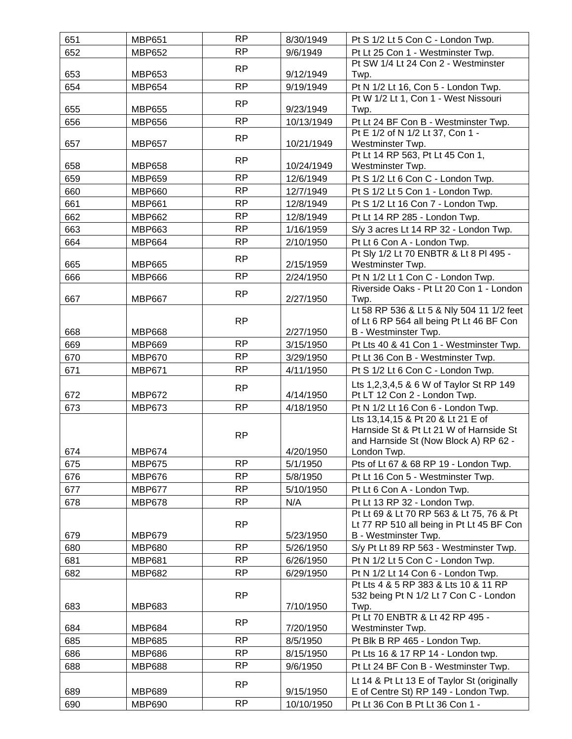| 651 | <b>MBP651</b> | <b>RP</b> | 8/30/1949  | Pt S 1/2 Lt 5 Con C - London Twp.                                       |
|-----|---------------|-----------|------------|-------------------------------------------------------------------------|
| 652 | <b>MBP652</b> | <b>RP</b> | 9/6/1949   | Pt Lt 25 Con 1 - Westminster Twp.                                       |
|     |               | <b>RP</b> |            | Pt SW 1/4 Lt 24 Con 2 - Westminster                                     |
| 653 | <b>MBP653</b> |           | 9/12/1949  | Twp.                                                                    |
| 654 | <b>MBP654</b> | <b>RP</b> | 9/19/1949  | Pt N 1/2 Lt 16, Con 5 - London Twp.                                     |
|     |               | RP        |            | Pt W 1/2 Lt 1, Con 1 - West Nissouri                                    |
| 655 | <b>MBP655</b> |           | 9/23/1949  | Twp.                                                                    |
| 656 | <b>MBP656</b> | <b>RP</b> | 10/13/1949 | Pt Lt 24 BF Con B - Westminster Twp.                                    |
| 657 | <b>MBP657</b> | <b>RP</b> | 10/21/1949 | Pt E 1/2 of N 1/2 Lt 37, Con 1 -<br>Westminster Twp.                    |
|     |               |           |            | Pt Lt 14 RP 563, Pt Lt 45 Con 1,                                        |
| 658 | <b>MBP658</b> | <b>RP</b> | 10/24/1949 | Westminster Twp.                                                        |
| 659 | <b>MBP659</b> | <b>RP</b> | 12/6/1949  | Pt S 1/2 Lt 6 Con C - London Twp.                                       |
| 660 | <b>MBP660</b> | <b>RP</b> | 12/7/1949  | Pt S 1/2 Lt 5 Con 1 - London Twp.                                       |
| 661 | <b>MBP661</b> | <b>RP</b> | 12/8/1949  | Pt S 1/2 Lt 16 Con 7 - London Twp.                                      |
| 662 | <b>MBP662</b> | <b>RP</b> | 12/8/1949  | Pt Lt 14 RP 285 - London Twp.                                           |
| 663 | <b>MBP663</b> | <b>RP</b> | 1/16/1959  | S/y 3 acres Lt 14 RP 32 - London Twp.                                   |
| 664 | <b>MBP664</b> | <b>RP</b> | 2/10/1950  | Pt Lt 6 Con A - London Twp.                                             |
|     |               |           |            | Pt Sly 1/2 Lt 70 ENBTR & Lt 8 Pl 495 -                                  |
| 665 | <b>MBP665</b> | <b>RP</b> | 2/15/1959  | Westminster Twp.                                                        |
| 666 | <b>MBP666</b> | <b>RP</b> | 2/24/1950  | Pt N 1/2 Lt 1 Con C - London Twp.                                       |
|     |               | <b>RP</b> |            | Riverside Oaks - Pt Lt 20 Con 1 - London                                |
| 667 | <b>MBP667</b> |           | 2/27/1950  | Twp.                                                                    |
|     |               |           |            | Lt 58 RP 536 & Lt 5 & Nly 504 11 1/2 feet                               |
| 668 | <b>MBP668</b> | <b>RP</b> | 2/27/1950  | of Lt 6 RP 564 all being Pt Lt 46 BF Con<br>B - Westminster Twp.        |
| 669 | <b>MBP669</b> | <b>RP</b> | 3/15/1950  | Pt Lts 40 & 41 Con 1 - Westminster Twp.                                 |
| 670 | <b>MBP670</b> | <b>RP</b> | 3/29/1950  | Pt Lt 36 Con B - Westminster Twp.                                       |
| 671 | <b>MBP671</b> | <b>RP</b> | 4/11/1950  | Pt S 1/2 Lt 6 Con C - London Twp.                                       |
|     |               |           |            |                                                                         |
| 672 | <b>MBP672</b> | <b>RP</b> | 4/14/1950  | Lts 1,2,3,4,5 & 6 W of Taylor St RP 149<br>Pt LT 12 Con 2 - London Twp. |
| 673 | <b>MBP673</b> | <b>RP</b> | 4/18/1950  | Pt N 1/2 Lt 16 Con 6 - London Twp.                                      |
|     |               |           |            | Lts 13,14,15 & Pt 20 & Lt 21 E of                                       |
|     |               | <b>RP</b> |            | Harnside St & Pt Lt 21 W of Harnside St                                 |
|     |               |           |            | and Harnside St (Now Block A) RP 62 -                                   |
| 674 | <b>MBP674</b> |           | 4/20/1950  | London Twp.                                                             |
| 675 | <b>MBP675</b> | <b>RP</b> | 5/1/1950   | Pts of Lt 67 & 68 RP 19 - London Twp.                                   |
| 676 | <b>MBP676</b> | RP        | 5/8/1950   | Pt Lt 16 Con 5 - Westminster Twp.                                       |
| 677 | <b>MBP677</b> | <b>RP</b> | 5/10/1950  | Pt Lt 6 Con A - London Twp.                                             |
| 678 | <b>MBP678</b> | <b>RP</b> | N/A        | Pt Lt 13 RP 32 - London Twp.                                            |
|     |               | <b>RP</b> |            | Pt Lt 69 & Lt 70 RP 563 & Lt 75, 76 & Pt                                |
| 679 | <b>MBP679</b> |           | 5/23/1950  | Lt 77 RP 510 all being in Pt Lt 45 BF Con<br>B - Westminster Twp.       |
| 680 | <b>MBP680</b> | <b>RP</b> | 5/26/1950  | S/y Pt Lt 89 RP 563 - Westminster Twp.                                  |
| 681 | <b>MBP681</b> | <b>RP</b> | 6/26/1950  | Pt N 1/2 Lt 5 Con C - London Twp.                                       |
| 682 | <b>MBP682</b> | <b>RP</b> | 6/29/1950  | Pt N 1/2 Lt 14 Con 6 - London Twp.                                      |
|     |               |           |            | Pt Lts 4 & 5 RP 383 & Lts 10 & 11 RP                                    |
|     |               | <b>RP</b> |            | 532 being Pt N 1/2 Lt 7 Con C - London                                  |
| 683 | <b>MBP683</b> |           | 7/10/1950  | Twp.                                                                    |
|     |               | <b>RP</b> |            | Pt Lt 70 ENBTR & Lt 42 RP 495 -                                         |
| 684 | <b>MBP684</b> |           | 7/20/1950  | Westminster Twp.                                                        |
| 685 | <b>MBP685</b> | <b>RP</b> | 8/5/1950   | Pt Blk B RP 465 - London Twp.                                           |
| 686 | <b>MBP686</b> | <b>RP</b> | 8/15/1950  | Pt Lts 16 & 17 RP 14 - London twp.                                      |
| 688 | <b>MBP688</b> | <b>RP</b> | 9/6/1950   | Pt Lt 24 BF Con B - Westminster Twp.                                    |
|     |               | <b>RP</b> |            | Lt 14 & Pt Lt 13 E of Taylor St (originally                             |
| 689 | <b>MBP689</b> |           | 9/15/1950  | E of Centre St) RP 149 - London Twp.                                    |
| 690 | <b>MBP690</b> | <b>RP</b> | 10/10/1950 | Pt Lt 36 Con B Pt Lt 36 Con 1 -                                         |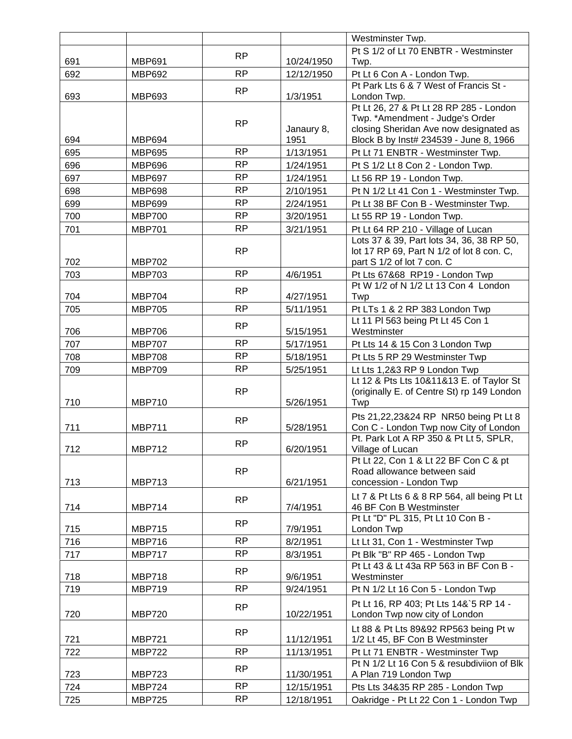|     |               |           |            | Westminster Twp.                                                               |
|-----|---------------|-----------|------------|--------------------------------------------------------------------------------|
|     |               | <b>RP</b> |            | Pt S 1/2 of Lt 70 ENBTR - Westminster                                          |
| 691 | <b>MBP691</b> |           | 10/24/1950 | Twp.                                                                           |
| 692 | <b>MBP692</b> | <b>RP</b> | 12/12/1950 | Pt Lt 6 Con A - London Twp.                                                    |
|     |               | <b>RP</b> |            | Pt Park Lts 6 & 7 West of Francis St -                                         |
| 693 | <b>MBP693</b> |           | 1/3/1951   | London Twp.                                                                    |
|     |               |           |            | Pt Lt 26, 27 & Pt Lt 28 RP 285 - London<br>Twp. *Amendment - Judge's Order     |
|     |               | RP        | Janaury 8, | closing Sheridan Ave now designated as                                         |
| 694 | <b>MBP694</b> |           | 1951       | Block B by Inst# 234539 - June 8, 1966                                         |
| 695 | <b>MBP695</b> | <b>RP</b> | 1/13/1951  | Pt Lt 71 ENBTR - Westminster Twp.                                              |
| 696 | <b>MBP696</b> | <b>RP</b> | 1/24/1951  | Pt S 1/2 Lt 8 Con 2 - London Twp.                                              |
| 697 | <b>MBP697</b> | <b>RP</b> | 1/24/1951  | Lt 56 RP 19 - London Twp.                                                      |
| 698 | <b>MBP698</b> | <b>RP</b> | 2/10/1951  | Pt N 1/2 Lt 41 Con 1 - Westminster Twp.                                        |
| 699 | <b>MBP699</b> | <b>RP</b> | 2/24/1951  | Pt Lt 38 BF Con B - Westminster Twp.                                           |
| 700 | <b>MBP700</b> | <b>RP</b> | 3/20/1951  | Lt 55 RP 19 - London Twp.                                                      |
| 701 | <b>MBP701</b> | <b>RP</b> | 3/21/1951  | Pt Lt 64 RP 210 - Village of Lucan                                             |
|     |               |           |            | Lots 37 & 39, Part lots 34, 36, 38 RP 50,                                      |
|     |               | <b>RP</b> |            | lot 17 RP 69, Part N 1/2 of lot 8 con. C,                                      |
| 702 | <b>MBP702</b> |           |            | part S 1/2 of lot 7 con. C                                                     |
| 703 | <b>MBP703</b> | <b>RP</b> | 4/6/1951   | Pt Lts 67&68 RP19 - London Twp                                                 |
|     |               | <b>RP</b> |            | Pt W 1/2 of N 1/2 Lt 13 Con 4 London                                           |
| 704 | <b>MBP704</b> |           | 4/27/1951  | Twp                                                                            |
| 705 | <b>MBP705</b> | <b>RP</b> | 5/11/1951  | Pt LTs 1 & 2 RP 383 London Twp                                                 |
|     |               | <b>RP</b> |            | Lt 11 Pl 563 being Pt Lt 45 Con 1                                              |
| 706 | <b>MBP706</b> |           | 5/15/1951  | Westminster                                                                    |
| 707 | <b>MBP707</b> | <b>RP</b> | 5/17/1951  | Pt Lts 14 & 15 Con 3 London Twp                                                |
| 708 | <b>MBP708</b> | <b>RP</b> | 5/18/1951  | Pt Lts 5 RP 29 Westminster Twp                                                 |
| 709 | <b>MBP709</b> | <b>RP</b> | 5/25/1951  | Lt Lts 1,2&3 RP 9 London Twp                                                   |
|     |               |           |            | Lt 12 & Pts Lts 10&11&13 E. of Taylor St                                       |
| 710 | <b>MBP710</b> | <b>RP</b> | 5/26/1951  | (originally E. of Centre St) rp 149 London<br>Twp                              |
|     |               |           |            |                                                                                |
| 711 | <b>MBP711</b> | <b>RP</b> | 5/28/1951  | Pts 21,22,23&24 RP NR50 being Pt Lt 8<br>Con C - London Twp now City of London |
|     |               |           |            | Pt. Park Lot A RP 350 & Pt Lt 5, SPLR,                                         |
| 712 | <b>MBP712</b> | <b>RP</b> | 6/20/1951  | Village of Lucan                                                               |
|     |               |           |            | Pt Lt 22, Con 1 & Lt 22 BF Con C & pt                                          |
|     |               | <b>RP</b> |            | Road allowance between said                                                    |
| 713 | <b>MBP713</b> |           | 6/21/1951  | concession - London Twp                                                        |
|     |               | <b>RP</b> |            | Lt 7 & Pt Lts 6 & 8 RP 564, all being Pt Lt                                    |
| 714 | <b>MBP714</b> |           | 7/4/1951   | 46 BF Con B Westminster                                                        |
|     |               | RP        |            | Pt Lt "D" PL 315, Pt Lt 10 Con B -                                             |
| 715 | <b>MBP715</b> |           | 7/9/1951   | London Twp                                                                     |
| 716 | <b>MBP716</b> | <b>RP</b> | 8/2/1951   | Lt Lt 31, Con 1 - Westminster Twp                                              |
| 717 | <b>MBP717</b> | RP        | 8/3/1951   | Pt Blk "B" RP 465 - London Twp                                                 |
| 718 | <b>MBP718</b> | <b>RP</b> | 9/6/1951   | Pt Lt 43 & Lt 43a RP 563 in BF Con B -<br>Westminster                          |
| 719 | <b>MBP719</b> | <b>RP</b> | 9/24/1951  | Pt N 1/2 Lt 16 Con 5 - London Twp                                              |
|     |               |           |            |                                                                                |
| 720 | <b>MBP720</b> | RP        | 10/22/1951 | Pt Lt 16, RP 403; Pt Lts 14&`5 RP 14 -<br>London Twp now city of London        |
|     |               |           |            |                                                                                |
| 721 | <b>MBP721</b> | <b>RP</b> | 11/12/1951 | Lt 88 & Pt Lts 89&92 RP563 being Pt w<br>1/2 Lt 45, BF Con B Westminster       |
| 722 | <b>MBP722</b> | <b>RP</b> | 11/13/1951 | Pt Lt 71 ENBTR - Westminster Twp                                               |
|     |               |           |            | Pt N 1/2 Lt 16 Con 5 & resubdiviion of Blk                                     |
| 723 | <b>MBP723</b> | <b>RP</b> | 11/30/1951 | A Plan 719 London Twp                                                          |
| 724 | <b>MBP724</b> | RP        | 12/15/1951 | Pts Lts 34&35 RP 285 - London Twp                                              |
| 725 | <b>MBP725</b> | <b>RP</b> | 12/18/1951 | Oakridge - Pt Lt 22 Con 1 - London Twp                                         |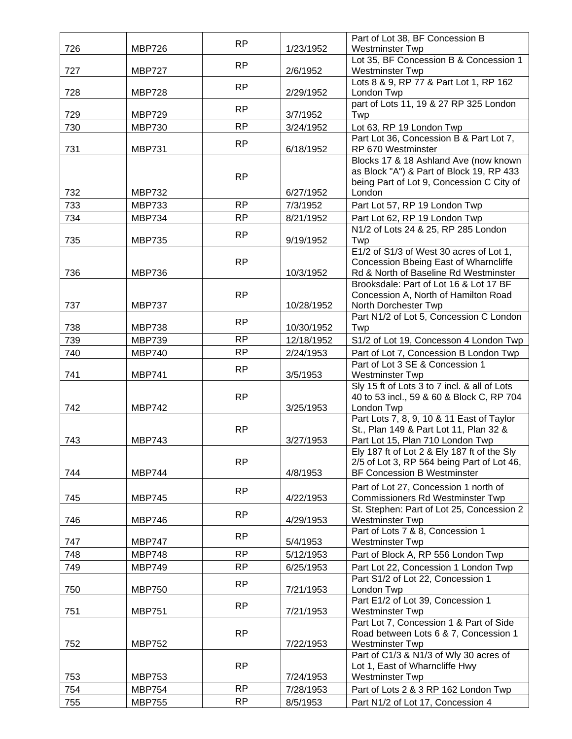|     |               | <b>RP</b> |            | Part of Lot 38, BF Concession B                                                 |
|-----|---------------|-----------|------------|---------------------------------------------------------------------------------|
| 726 | <b>MBP726</b> |           | 1/23/1952  | <b>Westminster Twp</b>                                                          |
|     |               | <b>RP</b> |            | Lot 35, BF Concession B & Concession 1                                          |
| 727 | <b>MBP727</b> |           | 2/6/1952   | <b>Westminster Twp</b>                                                          |
|     |               | RP        | 2/29/1952  | Lots 8 & 9, RP 77 & Part Lot 1, RP 162                                          |
| 728 | <b>MBP728</b> |           |            | London Twp<br>part of Lots 11, 19 & 27 RP 325 London                            |
| 729 | <b>MBP729</b> | <b>RP</b> | 3/7/1952   | Twp                                                                             |
| 730 | <b>MBP730</b> | <b>RP</b> | 3/24/1952  | Lot 63, RP 19 London Twp                                                        |
|     |               |           |            | Part Lot 36, Concession B & Part Lot 7,                                         |
| 731 | <b>MBP731</b> | <b>RP</b> | 6/18/1952  | RP 670 Westminster                                                              |
|     |               |           |            | Blocks 17 & 18 Ashland Ave (now known                                           |
|     |               | <b>RP</b> |            | as Block "A") & Part of Block 19, RP 433                                        |
|     |               |           |            | being Part of Lot 9, Concession C City of                                       |
| 732 | <b>MBP732</b> |           | 6/27/1952  | London                                                                          |
| 733 | <b>MBP733</b> | <b>RP</b> | 7/3/1952   | Part Lot 57, RP 19 London Twp                                                   |
| 734 | <b>MBP734</b> | <b>RP</b> | 8/21/1952  | Part Lot 62, RP 19 London Twp                                                   |
|     |               | <b>RP</b> |            | N1/2 of Lots 24 & 25, RP 285 London                                             |
| 735 | <b>MBP735</b> |           | 9/19/1952  | Twp                                                                             |
|     |               |           |            | E1/2 of S1/3 of West 30 acres of Lot 1,                                         |
|     |               | <b>RP</b> |            | Concession Bbeing East of Wharncliffe                                           |
| 736 | <b>MBP736</b> |           | 10/3/1952  | Rd & North of Baseline Rd Westminster                                           |
|     |               | <b>RP</b> |            | Brooksdale: Part of Lot 16 & Lot 17 BF<br>Concession A, North of Hamilton Road  |
| 737 | <b>MBP737</b> |           | 10/28/1952 | North Dorchester Twp                                                            |
|     |               |           |            | Part N1/2 of Lot 5, Concession C London                                         |
| 738 | <b>MBP738</b> | RP        | 10/30/1952 | Twp                                                                             |
| 739 | <b>MBP739</b> | <b>RP</b> | 12/18/1952 | S1/2 of Lot 19, Concesson 4 London Twp                                          |
| 740 | <b>MBP740</b> | <b>RP</b> | 2/24/1953  | Part of Lot 7, Concession B London Twp                                          |
|     |               |           |            | Part of Lot 3 SE & Concession 1                                                 |
| 741 | <b>MBP741</b> | <b>RP</b> | 3/5/1953   | <b>Westminster Twp</b>                                                          |
|     |               |           |            | Sly 15 ft of Lots 3 to 7 incl. & all of Lots                                    |
|     |               | <b>RP</b> |            | 40 to 53 incl., 59 & 60 & Block C, RP 704                                       |
| 742 | <b>MBP742</b> |           | 3/25/1953  | London Twp                                                                      |
|     |               |           |            | Part Lots 7, 8, 9, 10 & 11 East of Taylor                                       |
|     |               | <b>RP</b> |            | St., Plan 149 & Part Lot 11, Plan 32 &                                          |
| 743 | <b>MBP743</b> |           | 3/27/1953  | Part Lot 15, Plan 710 London Twp<br>Ely 187 ft of Lot 2 & Ely 187 ft of the Sly |
|     |               | <b>RP</b> |            | 2/5 of Lot 3, RP 564 being Part of Lot 46,                                      |
| 744 | <b>MBP744</b> |           | 4/8/1953   | <b>BF Concession B Westminster</b>                                              |
|     |               |           |            | Part of Lot 27, Concession 1 north of                                           |
| 745 | <b>MBP745</b> | <b>RP</b> | 4/22/1953  | <b>Commissioners Rd Westminster Twp</b>                                         |
|     |               |           |            | St. Stephen: Part of Lot 25, Concession 2                                       |
| 746 | <b>MBP746</b> | <b>RP</b> | 4/29/1953  | <b>Westminster Twp</b>                                                          |
|     |               |           |            | Part of Lots 7 & 8, Concession 1                                                |
| 747 | <b>MBP747</b> | <b>RP</b> | 5/4/1953   | <b>Westminster Twp</b>                                                          |
| 748 | <b>MBP748</b> | <b>RP</b> | 5/12/1953  | Part of Block A, RP 556 London Twp                                              |
| 749 | <b>MBP749</b> | <b>RP</b> | 6/25/1953  | Part Lot 22, Concession 1 London Twp                                            |
|     |               |           |            | Part S1/2 of Lot 22, Concession 1                                               |
| 750 | <b>MBP750</b> | <b>RP</b> | 7/21/1953  | London Twp                                                                      |
|     |               | <b>RP</b> |            | Part E1/2 of Lot 39, Concession 1                                               |
| 751 | <b>MBP751</b> |           | 7/21/1953  | <b>Westminster Twp</b>                                                          |
|     |               |           |            | Part Lot 7, Concession 1 & Part of Side                                         |
|     |               | <b>RP</b> |            | Road between Lots 6 & 7, Concession 1                                           |
| 752 | <b>MBP752</b> |           | 7/22/1953  | <b>Westminster Twp</b>                                                          |
|     |               |           |            | Part of C1/3 & N1/3 of Wly 30 acres of                                          |
| 753 | <b>MBP753</b> | RP        | 7/24/1953  | Lot 1, East of Wharncliffe Hwy<br><b>Westminster Twp</b>                        |
| 754 | <b>MBP754</b> | RP        | 7/28/1953  | Part of Lots 2 & 3 RP 162 London Twp                                            |
|     |               | <b>RP</b> |            |                                                                                 |
| 755 | <b>MBP755</b> |           | 8/5/1953   | Part N1/2 of Lot 17, Concession 4                                               |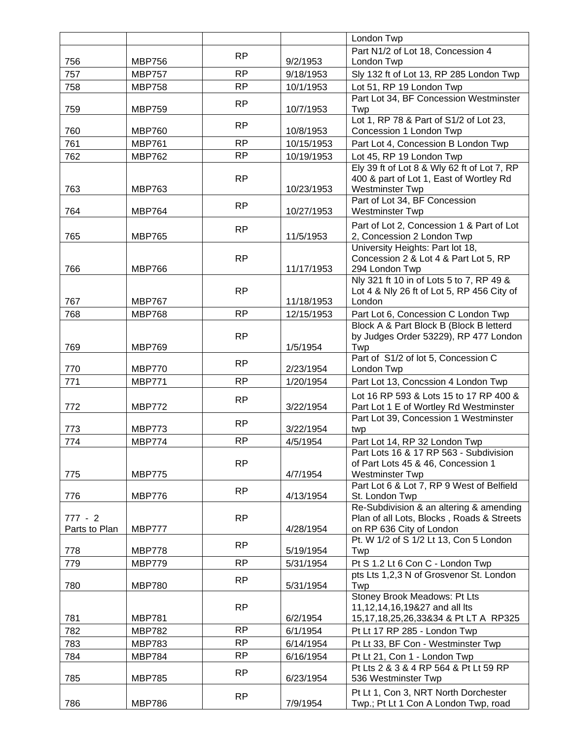|                            |                                |           |                      | London Twp                                                                                                       |
|----------------------------|--------------------------------|-----------|----------------------|------------------------------------------------------------------------------------------------------------------|
|                            |                                | <b>RP</b> |                      | Part N1/2 of Lot 18, Concession 4                                                                                |
| 756                        | <b>MBP756</b>                  |           | 9/2/1953             | London Twp                                                                                                       |
| 757                        | <b>MBP757</b>                  | <b>RP</b> | 9/18/1953            | Sly 132 ft of Lot 13, RP 285 London Twp                                                                          |
| 758                        | <b>MBP758</b>                  | <b>RP</b> | 10/1/1953            | Lot 51, RP 19 London Twp                                                                                         |
| 759                        | <b>MBP759</b>                  | <b>RP</b> | 10/7/1953            | Part Lot 34, BF Concession Westminster<br>Twp                                                                    |
|                            |                                |           |                      | Lot 1, RP 78 & Part of S1/2 of Lot 23,                                                                           |
| 760                        | <b>MBP760</b>                  | <b>RP</b> | 10/8/1953            | Concession 1 London Twp                                                                                          |
| 761                        | <b>MBP761</b>                  | <b>RP</b> | 10/15/1953           | Part Lot 4, Concession B London Twp                                                                              |
| 762                        | <b>MBP762</b>                  | <b>RP</b> | 10/19/1953           | Lot 45, RP 19 London Twp                                                                                         |
| 763                        | <b>MBP763</b>                  | <b>RP</b> | 10/23/1953           | Ely 39 ft of Lot 8 & Wly 62 ft of Lot 7, RP<br>400 & part of Lot 1, East of Wortley Rd<br><b>Westminster Twp</b> |
| 764                        | <b>MBP764</b>                  | <b>RP</b> | 10/27/1953           | Part of Lot 34, BF Concession<br><b>Westminster Twp</b>                                                          |
|                            |                                | <b>RP</b> |                      | Part of Lot 2, Concession 1 & Part of Lot                                                                        |
| 765                        | <b>MBP765</b>                  |           | 11/5/1953            | 2, Concession 2 London Twp                                                                                       |
| 766                        | <b>MBP766</b>                  | <b>RP</b> | 11/17/1953           | University Heights: Part lot 18,<br>Concession 2 & Lot 4 & Part Lot 5, RP<br>294 London Twp                      |
| 767                        | <b>MBP767</b>                  | <b>RP</b> | 11/18/1953           | Nly 321 ft 10 in of Lots 5 to 7, RP 49 &<br>Lot 4 & Nly 26 ft of Lot 5, RP 456 City of<br>London                 |
| 768                        | <b>MBP768</b>                  | <b>RP</b> | 12/15/1953           | Part Lot 6, Concession C London Twp                                                                              |
| 769                        | <b>MBP769</b>                  | RP        | 1/5/1954             | Block A & Part Block B (Block B letterd<br>by Judges Order 53229), RP 477 London<br>Twp                          |
|                            |                                | <b>RP</b> |                      | Part of S1/2 of lot 5, Concession C                                                                              |
| 770                        | <b>MBP770</b>                  |           | 2/23/1954            | London Twp                                                                                                       |
| 771                        | <b>MBP771</b>                  | <b>RP</b> | 1/20/1954            | Part Lot 13, Concssion 4 London Twp                                                                              |
| 772                        | <b>MBP772</b>                  | <b>RP</b> | 3/22/1954            | Lot 16 RP 593 & Lots 15 to 17 RP 400 &<br>Part Lot 1 E of Wortley Rd Westminster                                 |
| 773                        | <b>MBP773</b>                  | <b>RP</b> | 3/22/1954            | Part Lot 39, Concession 1 Westminster<br>twp                                                                     |
| 774                        | <b>MBP774</b>                  | <b>RP</b> | 4/5/1954             | Part Lot 14, RP 32 London Twp                                                                                    |
| 775                        | <b>MBP775</b>                  | <b>RP</b> | 4/7/1954             | Part Lots 16 & 17 RP 563 - Subdivision<br>of Part Lots 45 & 46, Concession 1<br><b>Westminster Twp</b>           |
| 776                        | <b>MBP776</b>                  | <b>RP</b> | 4/13/1954            | Part Lot 6 & Lot 7, RP 9 West of Belfield<br>St. London Twp                                                      |
| $777 - 2$<br>Parts to Plan | <b>MBP777</b>                  | <b>RP</b> | 4/28/1954            | Re-Subdivision & an altering & amending<br>Plan of all Lots, Blocks, Roads & Streets<br>on RP 636 City of London |
| 778                        | <b>MBP778</b>                  | <b>RP</b> | 5/19/1954            | Pt. W 1/2 of S 1/2 Lt 13, Con 5 London<br>Twp                                                                    |
| 779                        | <b>MBP779</b>                  | <b>RP</b> | 5/31/1954            | Pt S 1.2 Lt 6 Con C - London Twp                                                                                 |
| 780                        | <b>MBP780</b>                  | RP        | 5/31/1954            | pts Lts 1,2,3 N of Grosvenor St. London<br>Twp                                                                   |
|                            |                                |           |                      | Stoney Brook Meadows: Pt Lts                                                                                     |
|                            |                                | <b>RP</b> |                      | 11,12,14,16,19&27 and all Its                                                                                    |
| 781<br>782                 | <b>MBP781</b><br><b>MBP782</b> | <b>RP</b> | 6/2/1954<br>6/1/1954 | 15,17,18,25,26,33&34 & Pt LT A RP325<br>Pt Lt 17 RP 285 - London Twp                                             |
| 783                        | <b>MBP783</b>                  | <b>RP</b> | 6/14/1954            | Pt Lt 33, BF Con - Westminster Twp                                                                               |
| 784                        | <b>MBP784</b>                  | <b>RP</b> | 6/16/1954            | Pt Lt 21, Con 1 - London Twp                                                                                     |
| 785                        | <b>MBP785</b>                  | <b>RP</b> | 6/23/1954            | Pt Lts 2 & 3 & 4 RP 564 & Pt Lt 59 RP<br>536 Westminster Twp                                                     |
| 786                        | <b>MBP786</b>                  | <b>RP</b> | 7/9/1954             | Pt Lt 1, Con 3, NRT North Dorchester<br>Twp.; Pt Lt 1 Con A London Twp, road                                     |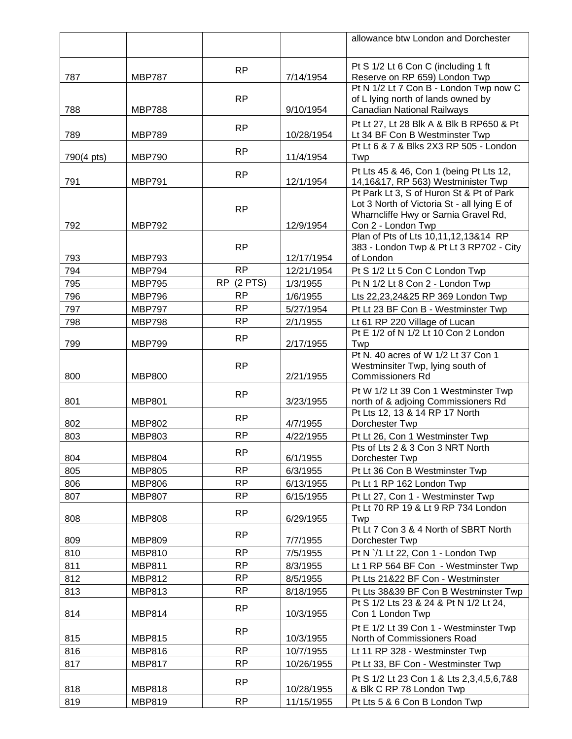|            |               |                 |            | allowance btw London and Dorchester                                           |
|------------|---------------|-----------------|------------|-------------------------------------------------------------------------------|
|            |               |                 |            |                                                                               |
| 787        | <b>MBP787</b> | <b>RP</b>       | 7/14/1954  | Pt S 1/2 Lt 6 Con C (including 1 ft<br>Reserve on RP 659) London Twp          |
|            |               |                 |            | Pt N 1/2 Lt 7 Con B - London Twp now C                                        |
|            |               | <b>RP</b>       |            | of L lying north of lands owned by                                            |
| 788        | <b>MBP788</b> |                 | 9/10/1954  | <b>Canadian National Railways</b>                                             |
| 789        | <b>MBP789</b> | <b>RP</b>       | 10/28/1954 | Pt Lt 27, Lt 28 Blk A & Blk B RP650 & Pt<br>Lt 34 BF Con B Westminster Twp    |
|            |               | <b>RP</b>       |            | Pt Lt 6 & 7 & Blks 2X3 RP 505 - London                                        |
| 790(4 pts) | <b>MBP790</b> |                 | 11/4/1954  | Twp                                                                           |
| 791        | <b>MBP791</b> | <b>RP</b>       | 12/1/1954  | Pt Lts 45 & 46, Con 1 (being Pt Lts 12,<br>14,16&17, RP 563) Westminister Twp |
|            |               |                 |            | Pt Park Lt 3, S of Huron St & Pt of Park                                      |
|            |               | <b>RP</b>       |            | Lot 3 North of Victoria St - all lying E of                                   |
|            |               |                 |            | Wharncliffe Hwy or Sarnia Gravel Rd,                                          |
| 792        | <b>MBP792</b> |                 | 12/9/1954  | Con 2 - London Twp<br>Plan of Pts of Lts 10,11,12,13&14 RP                    |
| 793        | <b>MBP793</b> | <b>RP</b>       | 12/17/1954 | 383 - London Twp & Pt Lt 3 RP702 - City<br>of London                          |
| 794        | <b>MBP794</b> | <b>RP</b>       | 12/21/1954 | Pt S 1/2 Lt 5 Con C London Twp                                                |
| 795        | <b>MBP795</b> | $(2$ PTS)<br>RP | 1/3/1955   | Pt N 1/2 Lt 8 Con 2 - London Twp                                              |
| 796        | <b>MBP796</b> | <b>RP</b>       | 1/6/1955   | Lts 22,23,24&25 RP 369 London Twp                                             |
| 797        | <b>MBP797</b> | <b>RP</b>       | 5/27/1954  | Pt Lt 23 BF Con B - Westminster Twp                                           |
| 798        | <b>MBP798</b> | <b>RP</b>       | 2/1/1955   | Lt 61 RP 220 Village of Lucan                                                 |
|            |               | <b>RP</b>       |            | Pt E 1/2 of N 1/2 Lt 10 Con 2 London                                          |
| 799        | <b>MBP799</b> |                 | 2/17/1955  | Twp                                                                           |
|            |               | <b>RP</b>       |            | Pt N. 40 acres of W 1/2 Lt 37 Con 1<br>Westminsiter Twp, lying south of       |
| 800        | <b>MBP800</b> |                 | 2/21/1955  | <b>Commissioners Rd</b>                                                       |
|            |               |                 |            | Pt W 1/2 Lt 39 Con 1 Westminster Twp                                          |
| 801        | <b>MBP801</b> | <b>RP</b>       | 3/23/1955  | north of & adjoing Commissioners Rd                                           |
|            |               | <b>RP</b>       |            | Pt Lts 12, 13 & 14 RP 17 North                                                |
| 802        | <b>MBP802</b> |                 | 4/7/1955   | Dorchester Twp                                                                |
| 803        | <b>MBP803</b> | <b>RP</b>       | 4/22/1955  | Pt Lt 26, Con 1 Westminster Twp                                               |
| 804        | <b>MBP804</b> | <b>RP</b>       | 6/1/1955   | Pts of Lts 2 & 3 Con 3 NRT North<br>Dorchester Twp                            |
| 805        | <b>MBP805</b> | <b>RP</b>       | 6/3/1955   | Pt Lt 36 Con B Westminster Twp                                                |
| 806        | <b>MBP806</b> | <b>RP</b>       | 6/13/1955  | Pt Lt 1 RP 162 London Twp                                                     |
| 807        | <b>MBP807</b> | <b>RP</b>       | 6/15/1955  | Pt Lt 27, Con 1 - Westminster Twp                                             |
|            |               | RP              |            | Pt Lt 70 RP 19 & Lt 9 RP 734 London                                           |
| 808        | <b>MBP808</b> |                 | 6/29/1955  | Twp                                                                           |
| 809        | <b>MBP809</b> | RP              | 7/7/1955   | Pt Lt 7 Con 3 & 4 North of SBRT North                                         |
| 810        | <b>MBP810</b> | <b>RP</b>       | 7/5/1955   | Dorchester Twp<br>Pt N '/1 Lt 22, Con 1 - London Twp                          |
| 811        | <b>MBP811</b> | <b>RP</b>       | 8/3/1955   | Lt 1 RP 564 BF Con - Westminster Twp                                          |
| 812        | <b>MBP812</b> | <b>RP</b>       | 8/5/1955   | Pt Lts 21&22 BF Con - Westminster                                             |
| 813        | <b>MBP813</b> | <b>RP</b>       | 8/18/1955  | Pt Lts 38&39 BF Con B Westminster Twp                                         |
|            |               |                 |            | Pt S 1/2 Lts 23 & 24 & Pt N 1/2 Lt 24,                                        |
| 814        | <b>MBP814</b> | <b>RP</b>       | 10/3/1955  | Con 1 London Twp                                                              |
|            |               | <b>RP</b>       |            | Pt E 1/2 Lt 39 Con 1 - Westminster Twp                                        |
| 815        | <b>MBP815</b> |                 | 10/3/1955  | North of Commissioners Road                                                   |
| 816        | <b>MBP816</b> | <b>RP</b>       | 10/7/1955  | Lt 11 RP 328 - Westminster Twp                                                |
| 817        | <b>MBP817</b> | <b>RP</b>       | 10/26/1955 | Pt Lt 33, BF Con - Westminster Twp                                            |
|            |               | <b>RP</b>       |            | Pt S 1/2 Lt 23 Con 1 & Lts 2,3,4,5,6,7&8                                      |
| 818        | <b>MBP818</b> |                 | 10/28/1955 | & Blk C RP 78 London Twp                                                      |
| 819        | <b>MBP819</b> | <b>RP</b>       | 11/15/1955 | Pt Lts 5 & 6 Con B London Twp                                                 |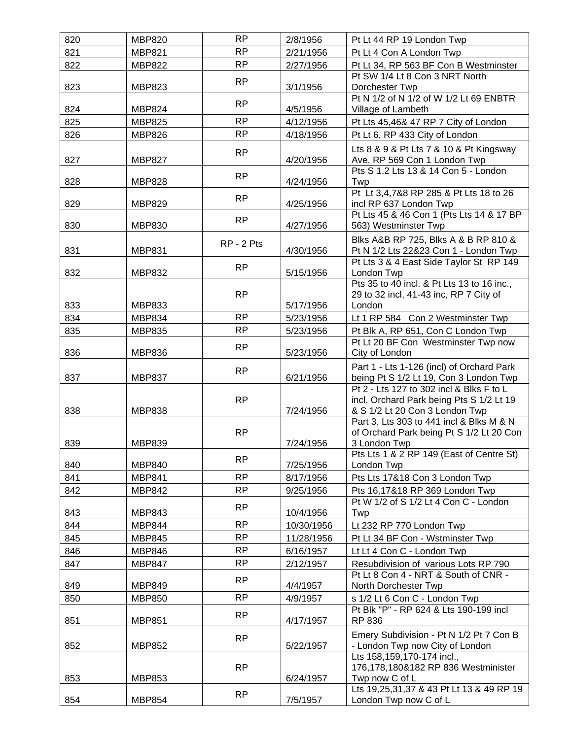| 820 | <b>MBP820</b> | <b>RP</b>  | 2/8/1956   | Pt Lt 44 RP 19 London Twp                                                                                              |
|-----|---------------|------------|------------|------------------------------------------------------------------------------------------------------------------------|
| 821 | <b>MBP821</b> | <b>RP</b>  | 2/21/1956  | Pt Lt 4 Con A London Twp                                                                                               |
| 822 | <b>MBP822</b> | <b>RP</b>  | 2/27/1956  | Pt Lt 34, RP 563 BF Con B Westminster                                                                                  |
|     |               | <b>RP</b>  |            | Pt SW 1/4 Lt 8 Con 3 NRT North                                                                                         |
| 823 | <b>MBP823</b> |            | 3/1/1956   | Dorchester Twp                                                                                                         |
|     |               | RP         |            | Pt N 1/2 of N 1/2 of W 1/2 Lt 69 ENBTR                                                                                 |
| 824 | <b>MBP824</b> |            | 4/5/1956   | Village of Lambeth                                                                                                     |
| 825 | <b>MBP825</b> | <b>RP</b>  | 4/12/1956  | Pt Lts 45,46& 47 RP 7 City of London                                                                                   |
| 826 | <b>MBP826</b> | <b>RP</b>  | 4/18/1956  | Pt Lt 6, RP 433 City of London                                                                                         |
| 827 | <b>MBP827</b> | <b>RP</b>  | 4/20/1956  | Lts 8 & 9 & Pt Lts 7 & 10 & Pt Kingsway<br>Ave, RP 569 Con 1 London Twp                                                |
| 828 | <b>MBP828</b> | <b>RP</b>  | 4/24/1956  | Pts S 1.2 Lts 13 & 14 Con 5 - London<br>Twp                                                                            |
| 829 | <b>MBP829</b> | <b>RP</b>  | 4/25/1956  | Pt Lt 3,4,7&8 RP 285 & Pt Lts 18 to 26<br>incl RP 637 London Twp                                                       |
| 830 | <b>MBP830</b> | <b>RP</b>  | 4/27/1956  | Pt Lts 45 & 46 Con 1 (Pts Lts 14 & 17 BP<br>563) Westminster Twp                                                       |
| 831 | <b>MBP831</b> | RP - 2 Pts | 4/30/1956  | Blks A&B RP 725, Blks A & B RP 810 &<br>Pt N 1/2 Lts 22&23 Con 1 - London Twp                                          |
| 832 | <b>MBP832</b> | <b>RP</b>  | 5/15/1956  | Pt Lts 3 & 4 East Side Taylor St RP 149<br>London Twp                                                                  |
|     |               | <b>RP</b>  |            | Pts 35 to 40 incl. & Pt Lts 13 to 16 inc.,<br>29 to 32 incl, 41-43 inc, RP 7 City of                                   |
| 833 | <b>MBP833</b> |            | 5/17/1956  | London                                                                                                                 |
| 834 | <b>MBP834</b> | <b>RP</b>  | 5/23/1956  | Lt 1 RP 584 Con 2 Westminster Twp                                                                                      |
| 835 | <b>MBP835</b> | <b>RP</b>  | 5/23/1956  | Pt Blk A, RP 651, Con C London Twp                                                                                     |
|     |               |            |            | Pt Lt 20 BF Con Westminster Twp now                                                                                    |
| 836 | <b>MBP836</b> | <b>RP</b>  | 5/23/1956  | City of London                                                                                                         |
| 837 | <b>MBP837</b> | <b>RP</b>  | 6/21/1956  | Part 1 - Lts 1-126 (incl) of Orchard Park<br>being Pt S 1/2 Lt 19, Con 3 London Twp                                    |
| 838 | <b>MBP838</b> | <b>RP</b>  | 7/24/1956  | Pt 2 - Lts 127 to 302 incl & Blks F to L<br>incl. Orchard Park being Pts S 1/2 Lt 19<br>& S 1/2 Lt 20 Con 3 London Twp |
| 839 | <b>MBP839</b> | <b>RP</b>  | 7/24/1956  | Part 3, Lts 303 to 441 incl & Blks M & N<br>of Orchard Park being Pt S 1/2 Lt 20 Con<br>3 London Twp                   |
|     |               |            |            | Pts Lts 1 & 2 RP 149 (East of Centre St)                                                                               |
| 840 | <b>MBP840</b> | <b>RP</b>  | 7/25/1956  | London Twp                                                                                                             |
| 841 | <b>MBP841</b> | <b>RP</b>  | 8/17/1956  | Pts Lts 17&18 Con 3 London Twp                                                                                         |
| 842 | <b>MBP842</b> | <b>RP</b>  | 9/25/1956  | Pts 16,17&18 RP 369 London Twp                                                                                         |
| 843 | <b>MBP843</b> | RP         | 10/4/1956  | Pt W 1/2 of S 1/2 Lt 4 Con C - London<br>Twp                                                                           |
| 844 | <b>MBP844</b> | <b>RP</b>  | 10/30/1956 | Lt 232 RP 770 London Twp                                                                                               |
| 845 | <b>MBP845</b> | <b>RP</b>  | 11/28/1956 | Pt Lt 34 BF Con - Wstminster Twp                                                                                       |
| 846 | <b>MBP846</b> | <b>RP</b>  | 6/16/1957  | Lt Lt 4 Con C - London Twp                                                                                             |
| 847 | <b>MBP847</b> | <b>RP</b>  | 2/12/1957  | Resubdivision of various Lots RP 790                                                                                   |
|     |               | <b>RP</b>  |            | Pt Lt 8 Con 4 - NRT & South of CNR -                                                                                   |
| 849 | <b>MBP849</b> |            | 4/4/1957   | North Dorchester Twp                                                                                                   |
| 850 | <b>MBP850</b> | <b>RP</b>  | 4/9/1957   | s 1/2 Lt 6 Con C - London Twp                                                                                          |
| 851 | <b>MBP851</b> | <b>RP</b>  | 4/17/1957  | Pt Blk "P" - RP 624 & Lts 190-199 incl<br>RP 836                                                                       |
| 852 | <b>MBP852</b> | <b>RP</b>  | 5/22/1957  | Emery Subdivision - Pt N 1/2 Pt 7 Con B<br>- London Twp now City of London                                             |
| 853 | <b>MBP853</b> | <b>RP</b>  | 6/24/1957  | Lts 158,159,170-174 incl.,<br>176,178,180&182 RP 836 Westminister<br>Twp now C of L                                    |
| 854 | <b>MBP854</b> | <b>RP</b>  | 7/5/1957   | Lts 19,25,31,37 & 43 Pt Lt 13 & 49 RP 19<br>London Twp now C of L                                                      |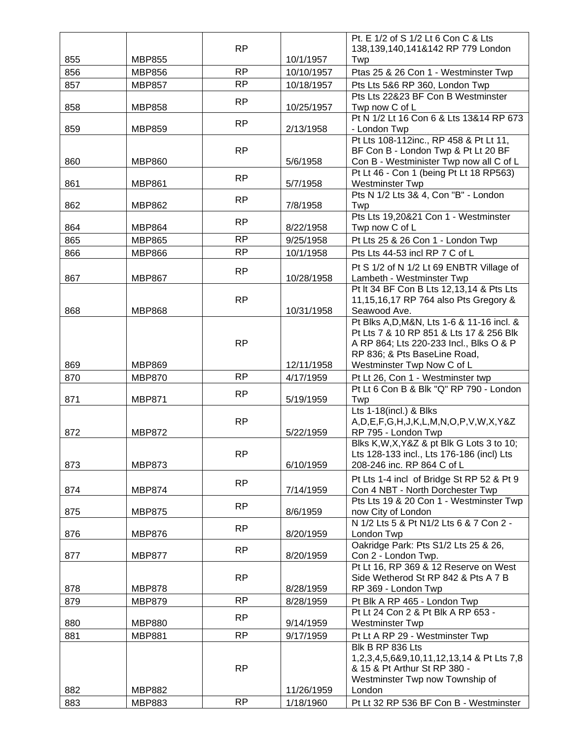|     |               |           |            | Pt. E 1/2 of S 1/2 Lt 6 Con C & Lts                                            |
|-----|---------------|-----------|------------|--------------------------------------------------------------------------------|
|     |               | <b>RP</b> |            | 138,139,140,141&142 RP 779 London                                              |
| 855 | <b>MBP855</b> |           | 10/1/1957  | Twp                                                                            |
| 856 | <b>MBP856</b> | <b>RP</b> | 10/10/1957 | Ptas 25 & 26 Con 1 - Westminster Twp                                           |
| 857 | <b>MBP857</b> | <b>RP</b> | 10/18/1957 | Pts Lts 5&6 RP 360, London Twp                                                 |
|     |               | <b>RP</b> |            | Pts Lts 22&23 BF Con B Westminster                                             |
| 858 | <b>MBP858</b> |           | 10/25/1957 | Twp now C of L                                                                 |
|     |               | RP        |            | Pt N 1/2 Lt 16 Con 6 & Lts 13&14 RP 673                                        |
| 859 | <b>MBP859</b> |           | 2/13/1958  | - London Twp                                                                   |
|     |               |           |            | Pt Lts 108-112inc., RP 458 & Pt Lt 11,                                         |
|     |               | <b>RP</b> |            | BF Con B - London Twp & Pt Lt 20 BF                                            |
| 860 | <b>MBP860</b> |           | 5/6/1958   | Con B - Westminister Twp now all C of L                                        |
| 861 | <b>MBP861</b> | <b>RP</b> | 5/7/1958   | Pt Lt 46 - Con 1 (being Pt Lt 18 RP563)<br>Westminster Twp                     |
|     |               |           |            | Pts N 1/2 Lts 3& 4, Con "B" - London                                           |
| 862 | <b>MBP862</b> | <b>RP</b> | 7/8/1958   | Twp                                                                            |
|     |               |           |            | Pts Lts 19,20&21 Con 1 - Westminster                                           |
| 864 | <b>MBP864</b> | <b>RP</b> | 8/22/1958  | Twp now C of L                                                                 |
| 865 | <b>MBP865</b> | <b>RP</b> | 9/25/1958  | Pt Lts 25 & 26 Con 1 - London Twp                                              |
| 866 | <b>MBP866</b> | <b>RP</b> | 10/1/1958  | Pts Lts 44-53 incl RP 7 C of L                                                 |
|     |               |           |            | Pt S 1/2 of N 1/2 Lt 69 ENBTR Village of                                       |
| 867 | <b>MBP867</b> | <b>RP</b> | 10/28/1958 | Lambeth - Westminster Twp                                                      |
|     |               |           |            | Pt It 34 BF Con B Lts 12,13,14 & Pts Lts                                       |
|     |               | <b>RP</b> |            | 11,15,16,17 RP 764 also Pts Gregory &                                          |
| 868 | <b>MBP868</b> |           | 10/31/1958 | Seawood Ave.                                                                   |
|     |               |           |            | Pt Blks A, D, M&N, Lts 1-6 & 11-16 incl. &                                     |
|     |               |           |            | Pt Lts 7 & 10 RP 851 & Lts 17 & 256 Blk                                        |
|     |               | <b>RP</b> |            | A RP 864; Lts 220-233 Incl., Blks O & P                                        |
|     |               |           |            | RP 836; & Pts BaseLine Road,                                                   |
| 869 | <b>MBP869</b> |           | 12/11/1958 | Westminster Twp Now C of L                                                     |
| 870 | <b>MBP870</b> | <b>RP</b> | 4/17/1959  | Pt Lt 26, Con 1 - Westminster twp                                              |
|     |               | <b>RP</b> |            | Pt Lt 6 Con B & Blk "Q" RP 790 - London                                        |
| 871 | <b>MBP871</b> |           | 5/19/1959  | Twp                                                                            |
|     |               | <b>RP</b> |            | Lts 1-18(incl.) & Blks<br>A, D, E, F, G, H, J, K, L, M, N, O, P, V, W, X, Y& Z |
| 872 | <b>MBP872</b> |           | 5/22/1959  | RP 795 - London Twp                                                            |
|     |               |           |            | Blks K, W, X, Y&Z & pt Blk G Lots 3 to 10;                                     |
|     |               | RP        |            | Lts 128-133 incl., Lts 176-186 (incl) Lts                                      |
| 873 | <b>MBP873</b> |           | 6/10/1959  | 208-246 inc. RP 864 C of L                                                     |
|     |               |           |            | Pt Lts 1-4 incl of Bridge St RP 52 & Pt 9                                      |
| 874 | <b>MBP874</b> | <b>RP</b> | 7/14/1959  | Con 4 NBT - North Dorchester Twp                                               |
|     |               |           |            | Pts Lts 19 & 20 Con 1 - Westminster Twp                                        |
| 875 | <b>MBP875</b> | <b>RP</b> | 8/6/1959   | now City of London                                                             |
|     |               | <b>RP</b> |            | N 1/2 Lts 5 & Pt N1/2 Lts 6 & 7 Con 2 -                                        |
| 876 | <b>MBP876</b> |           | 8/20/1959  | London Twp                                                                     |
|     |               | <b>RP</b> |            | Oakridge Park: Pts S1/2 Lts 25 & 26,                                           |
| 877 | <b>MBP877</b> |           | 8/20/1959  | Con 2 - London Twp.                                                            |
|     |               |           |            | Pt Lt 16, RP 369 & 12 Reserve on West                                          |
|     |               | <b>RP</b> |            | Side Wetherod St RP 842 & Pts A 7 B                                            |
| 878 | <b>MBP878</b> |           | 8/28/1959  | RP 369 - London Twp                                                            |
| 879 | <b>MBP879</b> | RP        | 8/28/1959  | Pt Blk A RP 465 - London Twp<br>Pt Lt 24 Con 2 & Pt Blk A RP 653 -             |
| 880 | <b>MBP880</b> | <b>RP</b> | 9/14/1959  | <b>Westminster Twp</b>                                                         |
|     |               |           |            |                                                                                |
|     |               |           |            |                                                                                |
| 881 | <b>MBP881</b> | <b>RP</b> | 9/17/1959  | Pt Lt A RP 29 - Westminster Twp                                                |
|     |               |           |            | Blk B RP 836 Lts                                                               |
|     |               |           |            | 1,2,3,4,5,6&9,10,11,12,13,14 & Pt Lts 7,8                                      |
|     |               | <b>RP</b> |            | & 15 & Pt Arthur St RP 380 -                                                   |
| 882 | <b>MBP882</b> |           | 11/26/1959 | Westminster Twp now Township of<br>London                                      |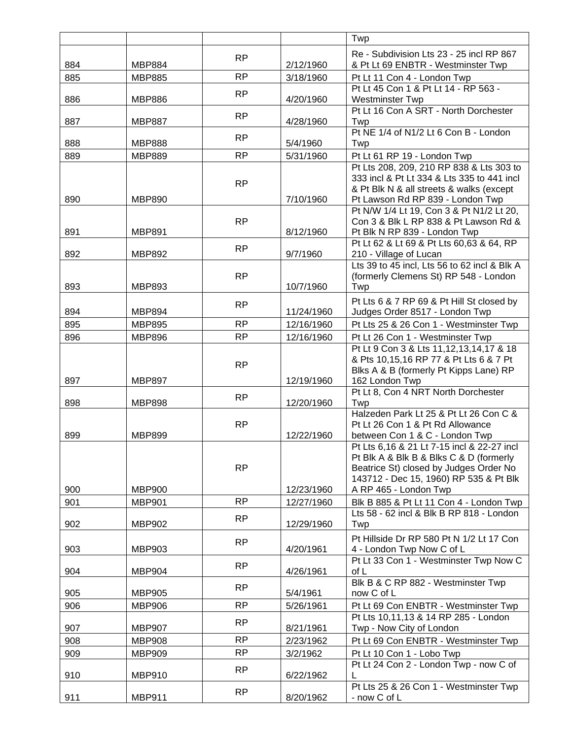|     |               |           |            | Twp                                                                                                                                                                       |
|-----|---------------|-----------|------------|---------------------------------------------------------------------------------------------------------------------------------------------------------------------------|
|     |               | RP        |            | Re - Subdivision Lts 23 - 25 incl RP 867                                                                                                                                  |
| 884 | <b>MBP884</b> |           | 2/12/1960  | & Pt Lt 69 ENBTR - Westminster Twp                                                                                                                                        |
| 885 | <b>MBP885</b> | <b>RP</b> | 3/18/1960  | Pt Lt 11 Con 4 - London Twp                                                                                                                                               |
|     |               | <b>RP</b> |            | Pt Lt 45 Con 1 & Pt Lt 14 - RP 563 -                                                                                                                                      |
| 886 | <b>MBP886</b> |           | 4/20/1960  | Westminster Twp<br>Pt Lt 16 Con A SRT - North Dorchester                                                                                                                  |
| 887 | <b>MBP887</b> | <b>RP</b> | 4/28/1960  | Twp                                                                                                                                                                       |
|     |               | <b>RP</b> |            | Pt NE 1/4 of N1/2 Lt 6 Con B - London                                                                                                                                     |
| 888 | <b>MBP888</b> |           | 5/4/1960   | Twp                                                                                                                                                                       |
| 889 | <b>MBP889</b> | <b>RP</b> | 5/31/1960  | Pt Lt 61 RP 19 - London Twp                                                                                                                                               |
| 890 | <b>MBP890</b> | <b>RP</b> | 7/10/1960  | Pt Lts 208, 209, 210 RP 838 & Lts 303 to<br>333 incl & Pt Lt 334 & Lts 335 to 441 incl<br>& Pt Blk N & all streets & walks (except<br>Pt Lawson Rd RP 839 - London Twp    |
|     |               |           |            | Pt N/W 1/4 Lt 19, Con 3 & Pt N1/2 Lt 20,                                                                                                                                  |
| 891 | <b>MBP891</b> | <b>RP</b> | 8/12/1960  | Con 3 & Blk L RP 838 & Pt Lawson Rd &<br>Pt Blk N RP 839 - London Twp                                                                                                     |
|     |               | <b>RP</b> |            | Pt Lt 62 & Lt 69 & Pt Lts 60,63 & 64, RP                                                                                                                                  |
| 892 | <b>MBP892</b> |           | 9/7/1960   | 210 - Village of Lucan                                                                                                                                                    |
| 893 | <b>MBP893</b> | <b>RP</b> | 10/7/1960  | Lts 39 to 45 incl, Lts 56 to 62 incl & Blk A<br>(formerly Clemens St) RP 548 - London<br>Twp                                                                              |
|     |               | <b>RP</b> |            | Pt Lts 6 & 7 RP 69 & Pt Hill St closed by                                                                                                                                 |
| 894 | <b>MBP894</b> |           | 11/24/1960 | Judges Order 8517 - London Twp                                                                                                                                            |
| 895 | <b>MBP895</b> | <b>RP</b> | 12/16/1960 | Pt Lts 25 & 26 Con 1 - Westminster Twp                                                                                                                                    |
| 896 | <b>MBP896</b> | <b>RP</b> | 12/16/1960 | Pt Lt 26 Con 1 - Westminster Twp                                                                                                                                          |
| 897 | <b>MBP897</b> | <b>RP</b> | 12/19/1960 | Pt Lt 9 Con 3 & Lts 11, 12, 13, 14, 17 & 18<br>& Pts 10,15,16 RP 77 & Pt Lts 6 & 7 Pt<br>Blks A & B (formerly Pt Kipps Lane) RP<br>162 London Twp                         |
|     |               | <b>RP</b> |            | Pt Lt 8, Con 4 NRT North Dorchester                                                                                                                                       |
| 898 | <b>MBP898</b> |           | 12/20/1960 | Twp<br>Halzeden Park Lt 25 & Pt Lt 26 Con C &                                                                                                                             |
| 899 | <b>MBP899</b> | <b>RP</b> | 12/22/1960 | Pt Lt 26 Con 1 & Pt Rd Allowance<br>between Con 1 & C - London Twp                                                                                                        |
|     |               | <b>RP</b> |            | Pt Lts 6,16 & 21 Lt 7-15 incl & 22-27 incl<br>Pt Blk A & Blk B & Blks C & D (formerly<br>Beatrice St) closed by Judges Order No<br>143712 - Dec 15, 1960) RP 535 & Pt Blk |
| 900 | <b>MBP900</b> |           | 12/23/1960 | A RP 465 - London Twp                                                                                                                                                     |
| 901 | <b>MBP901</b> | <b>RP</b> | 12/27/1960 | Blk B 885 & Pt Lt 11 Con 4 - London Twp                                                                                                                                   |
| 902 | <b>MBP902</b> | RP        | 12/29/1960 | Lts 58 - 62 incl & Blk B RP 818 - London<br>Twp                                                                                                                           |
| 903 | MBP903        | <b>RP</b> | 4/20/1961  | Pt Hillside Dr RP 580 Pt N 1/2 Lt 17 Con<br>4 - London Twp Now C of L                                                                                                     |
| 904 | <b>MBP904</b> | RP        | 4/26/1961  | Pt Lt 33 Con 1 - Westminster Twp Now C<br>of L                                                                                                                            |
|     |               |           |            | Blk B & C RP 882 - Westminster Twp                                                                                                                                        |
| 905 | <b>MBP905</b> | <b>RP</b> | 5/4/1961   | now C of L                                                                                                                                                                |
| 906 | <b>MBP906</b> | <b>RP</b> | 5/26/1961  | Pt Lt 69 Con ENBTR - Westminster Twp                                                                                                                                      |
|     |               | <b>RP</b> |            | Pt Lts 10,11,13 & 14 RP 285 - London                                                                                                                                      |
| 907 | <b>MBP907</b> |           | 8/21/1961  | Twp - Now City of London                                                                                                                                                  |
| 908 | <b>MBP908</b> | <b>RP</b> | 2/23/1962  | Pt Lt 69 Con ENBTR - Westminster Twp                                                                                                                                      |
| 909 | <b>MBP909</b> | <b>RP</b> | 3/2/1962   | Pt Lt 10 Con 1 - Lobo Twp<br>Pt Lt 24 Con 2 - London Twp - now C of                                                                                                       |
| 910 | <b>MBP910</b> | <b>RP</b> | 6/22/1962  | Pt Lts 25 & 26 Con 1 - Westminster Twp                                                                                                                                    |
| 911 | <b>MBP911</b> | <b>RP</b> | 8/20/1962  | - now C of L                                                                                                                                                              |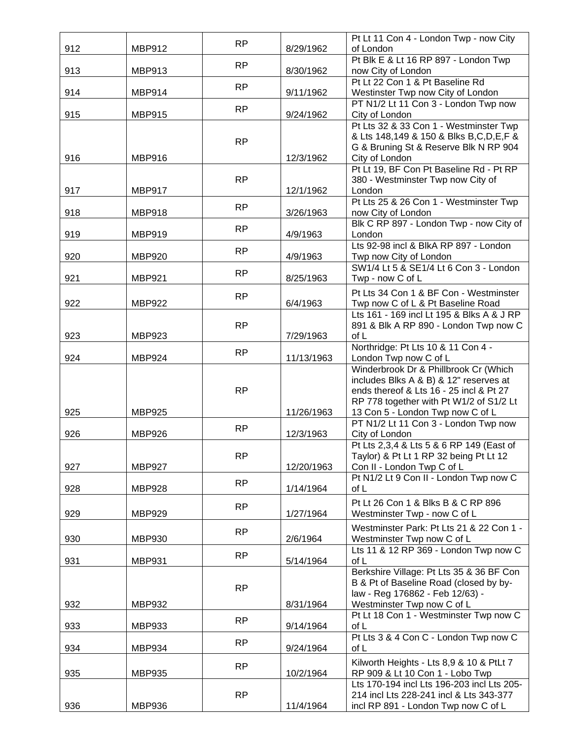|     |               | <b>RP</b> |            | Pt Lt 11 Con 4 - London Twp - now City                                                                                                                                                                    |
|-----|---------------|-----------|------------|-----------------------------------------------------------------------------------------------------------------------------------------------------------------------------------------------------------|
| 912 | <b>MBP912</b> |           | 8/29/1962  | of London<br>Pt Blk E & Lt 16 RP 897 - London Twp                                                                                                                                                         |
| 913 | <b>MBP913</b> | <b>RP</b> | 8/30/1962  | now City of London                                                                                                                                                                                        |
|     |               | <b>RP</b> |            | Pt Lt 22 Con 1 & Pt Baseline Rd                                                                                                                                                                           |
| 914 | <b>MBP914</b> |           | 9/11/1962  | Westinster Twp now City of London<br>PT N1/2 Lt 11 Con 3 - London Twp now                                                                                                                                 |
| 915 | <b>MBP915</b> | <b>RP</b> | 9/24/1962  | City of London                                                                                                                                                                                            |
| 916 | <b>MBP916</b> | <b>RP</b> | 12/3/1962  | Pt Lts 32 & 33 Con 1 - Westminster Twp<br>& Lts 148,149 & 150 & Blks B, C, D, E, F &<br>G & Bruning St & Reserve Blk N RP 904<br>City of London                                                           |
| 917 | <b>MBP917</b> | <b>RP</b> | 12/1/1962  | Pt Lt 19, BF Con Pt Baseline Rd - Pt RP<br>380 - Westminster Twp now City of<br>London                                                                                                                    |
| 918 | <b>MBP918</b> | <b>RP</b> | 3/26/1963  | Pt Lts 25 & 26 Con 1 - Westminster Twp<br>now City of London                                                                                                                                              |
|     |               |           |            | Blk C RP 897 - London Twp - now City of                                                                                                                                                                   |
| 919 | <b>MBP919</b> | <b>RP</b> | 4/9/1963   | London                                                                                                                                                                                                    |
|     |               | <b>RP</b> |            | Lts 92-98 incl & BlkA RP 897 - London                                                                                                                                                                     |
| 920 | <b>MBP920</b> |           | 4/9/1963   | Twp now City of London<br>SW1/4 Lt 5 & SE1/4 Lt 6 Con 3 - London                                                                                                                                          |
| 921 | <b>MBP921</b> | <b>RP</b> | 8/25/1963  | Twp - now C of L                                                                                                                                                                                          |
|     |               | <b>RP</b> |            | Pt Lts 34 Con 1 & BF Con - Westminster                                                                                                                                                                    |
| 922 | <b>MBP922</b> |           | 6/4/1963   | Twp now C of L & Pt Baseline Road                                                                                                                                                                         |
|     |               | <b>RP</b> |            | Lts 161 - 169 incl Lt 195 & Blks A & J RP                                                                                                                                                                 |
| 923 | <b>MBP923</b> |           | 7/29/1963  | 891 & Blk A RP 890 - London Twp now C<br>of L                                                                                                                                                             |
| 924 | <b>MBP924</b> | <b>RP</b> | 11/13/1963 | Northridge: Pt Lts 10 & 11 Con 4 -<br>London Twp now C of L                                                                                                                                               |
| 925 | <b>MBP925</b> | <b>RP</b> | 11/26/1963 | Winderbrook Dr & Phillbrook Cr (Which<br>includes Blks A & B) & 12" reserves at<br>ends thereof & Lts 16 - 25 incl & Pt 27<br>RP 778 together with Pt W1/2 of S1/2 Lt<br>13 Con 5 - London Twp now C of L |
|     |               |           |            | PT N1/2 Lt 11 Con 3 - London Twp now                                                                                                                                                                      |
| 926 | <b>MBP926</b> | <b>RP</b> | 12/3/1963  | City of London                                                                                                                                                                                            |
| 927 | <b>MBP927</b> | <b>RP</b> | 12/20/1963 | Pt Lts 2,3,4 & Lts 5 & 6 RP 149 (East of<br>Taylor) & Pt Lt 1 RP 32 being Pt Lt 12<br>Con II - London Twp C of L                                                                                          |
| 928 | <b>MBP928</b> | <b>RP</b> | 1/14/1964  | Pt N1/2 Lt 9 Con II - London Twp now C<br>of L                                                                                                                                                            |
| 929 | <b>MBP929</b> | <b>RP</b> | 1/27/1964  | Pt Lt 26 Con 1 & Blks B & C RP 896<br>Westminster Twp - now C of L                                                                                                                                        |
| 930 | <b>MBP930</b> | <b>RP</b> | 2/6/1964   | Westminster Park: Pt Lts 21 & 22 Con 1 -<br>Westminster Twp now C of L                                                                                                                                    |
| 931 | <b>MBP931</b> | <b>RP</b> | 5/14/1964  | Lts 11 & 12 RP 369 - London Twp now C<br>of L                                                                                                                                                             |
| 932 | <b>MBP932</b> | <b>RP</b> | 8/31/1964  | Berkshire Village: Pt Lts 35 & 36 BF Con<br>B & Pt of Baseline Road (closed by by-<br>law - Reg 176862 - Feb 12/63) -<br>Westminster Twp now C of L                                                       |
|     |               | <b>RP</b> |            | Pt Lt 18 Con 1 - Westminster Twp now C                                                                                                                                                                    |
| 933 | <b>MBP933</b> |           | 9/14/1964  | of L<br>Pt Lts 3 & 4 Con C - London Twp now C                                                                                                                                                             |
| 934 | <b>MBP934</b> | <b>RP</b> | 9/24/1964  | of L                                                                                                                                                                                                      |
| 935 | <b>MBP935</b> | <b>RP</b> | 10/2/1964  | Kilworth Heights - Lts 8,9 & 10 & PtLt 7<br>RP 909 & Lt 10 Con 1 - Lobo Twp                                                                                                                               |
| 936 | <b>MBP936</b> | <b>RP</b> | 11/4/1964  | Lts 170-194 incl Lts 196-203 incl Lts 205-<br>214 incl Lts 228-241 incl & Lts 343-377<br>incl RP 891 - London Twp now C of L                                                                              |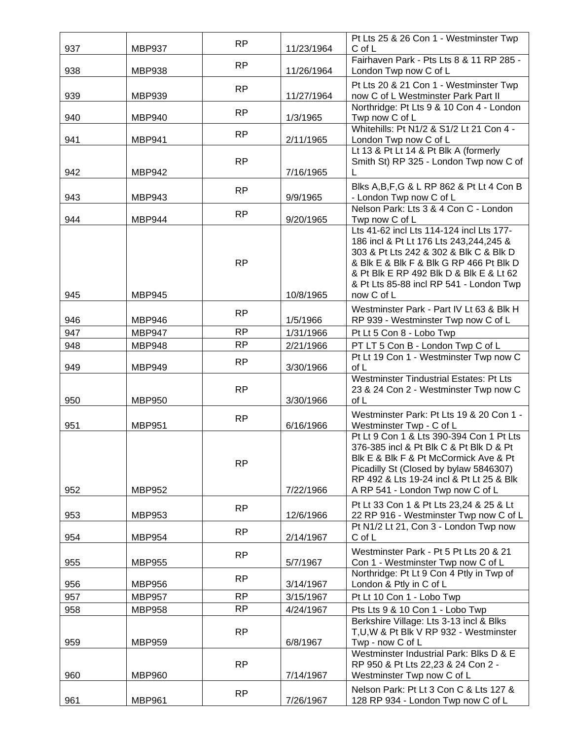|            |                                | <b>RP</b> |                        | Pt Lts 25 & 26 Con 1 - Westminster Twp                                           |
|------------|--------------------------------|-----------|------------------------|----------------------------------------------------------------------------------|
| 937        | <b>MBP937</b>                  |           | 11/23/1964             | C of L<br>Fairhaven Park - Pts Lts 8 & 11 RP 285 -                               |
| 938        | <b>MBP938</b>                  | <b>RP</b> | 11/26/1964             | London Twp now C of L                                                            |
|            |                                | <b>RP</b> |                        | Pt Lts 20 & 21 Con 1 - Westminster Twp                                           |
| 939        | <b>MBP939</b>                  |           | 11/27/1964             | now C of L Westminster Park Part II                                              |
| 940        | <b>MBP940</b>                  | <b>RP</b> | 1/3/1965               | Northridge: Pt Lts 9 & 10 Con 4 - London<br>Twp now C of L                       |
|            |                                |           |                        | Whitehills: Pt N1/2 & S1/2 Lt 21 Con 4 -                                         |
| 941        | <b>MBP941</b>                  | <b>RP</b> | 2/11/1965              | London Twp now C of L                                                            |
|            |                                |           |                        | Lt 13 & Pt Lt 14 & Pt Blk A (formerly                                            |
| 942        | <b>MBP942</b>                  | <b>RP</b> | 7/16/1965              | Smith St) RP 325 - London Twp now C of                                           |
|            |                                |           |                        | Blks A, B, F, G & L RP 862 & Pt Lt 4 Con B                                       |
| 943        | <b>MBP943</b>                  | <b>RP</b> | 9/9/1965               | - London Twp now C of L                                                          |
|            |                                | <b>RP</b> |                        | Nelson Park: Lts 3 & 4 Con C - London                                            |
| 944        | <b>MBP944</b>                  |           | 9/20/1965              | Twp now C of L<br>Lts 41-62 incl Lts 114-124 incl Lts 177-                       |
|            |                                |           |                        | 186 incl & Pt Lt 176 Lts 243,244,245 &                                           |
|            |                                |           |                        | 303 & Pt Lts 242 & 302 & Blk C & Blk D                                           |
|            |                                | <b>RP</b> |                        | & Blk E & Blk F & Blk G RP 466 Pt Blk D                                          |
|            |                                |           |                        | & Pt Blk E RP 492 Blk D & Blk E & Lt 62                                          |
| 945        | <b>MBP945</b>                  |           | 10/8/1965              | & Pt Lts 85-88 incl RP 541 - London Twp<br>now C of L                            |
|            |                                |           |                        | Westminster Park - Part IV Lt 63 & Blk H                                         |
| 946        | <b>MBP946</b>                  | <b>RP</b> | 1/5/1966               | RP 939 - Westminster Twp now C of L                                              |
| 947        | <b>MBP947</b>                  | <b>RP</b> | 1/31/1966              | Pt Lt 5 Con 8 - Lobo Twp                                                         |
| 948        | <b>MBP948</b>                  | <b>RP</b> | 2/21/1966              | PT LT 5 Con B - London Twp C of L                                                |
|            |                                | <b>RP</b> |                        | Pt Lt 19 Con 1 - Westminster Twp now C                                           |
| 949        | <b>MBP949</b>                  |           | 3/30/1966              | of L<br>Westminster Tindustrial Estates: Pt Lts                                  |
|            |                                | <b>RP</b> |                        | 23 & 24 Con 2 - Westminster Twp now C                                            |
| 950        | <b>MBP950</b>                  |           | 3/30/1966              | of L                                                                             |
|            |                                | <b>RP</b> |                        | Westminster Park: Pt Lts 19 & 20 Con 1 -                                         |
| 951        | <b>MBP951</b>                  |           | 6/16/1966              | Westminster Twp - C of L                                                         |
|            |                                |           |                        | Pt Lt 9 Con 1 & Lts 390-394 Con 1 Pt Lts                                         |
|            |                                |           |                        | 376-385 incl & Pt Blk C & Pt Blk D & Pt<br>Blk E & Blk F & Pt McCormick Ave & Pt |
|            |                                | <b>RP</b> |                        | Picadilly St (Closed by bylaw 5846307)                                           |
|            |                                |           |                        | RP 492 & Lts 19-24 incl & Pt Lt 25 & Blk                                         |
| 952        | <b>MBP952</b>                  |           | 7/22/1966              | A RP 541 - London Twp now C of L                                                 |
|            |                                | <b>RP</b> |                        | Pt Lt 33 Con 1 & Pt Lts 23,24 & 25 & Lt                                          |
| 953        | <b>MBP953</b>                  |           | 12/6/1966              | 22 RP 916 - Westminster Twp now C of L<br>Pt N1/2 Lt 21, Con 3 - London Twp now  |
| 954        | <b>MBP954</b>                  | <b>RP</b> | 2/14/1967              | $C$ of $L$                                                                       |
|            |                                | <b>RP</b> |                        | Westminster Park - Pt 5 Pt Lts 20 & 21                                           |
| 955        | <b>MBP955</b>                  |           | 5/7/1967               | Con 1 - Westminster Twp now C of L                                               |
|            |                                | <b>RP</b> |                        | Northridge: Pt Lt 9 Con 4 Ptly in Twp of                                         |
| 956<br>957 | <b>MBP956</b><br><b>MBP957</b> | <b>RP</b> | 3/14/1967<br>3/15/1967 | London & Ptly in C of L<br>Pt Lt 10 Con 1 - Lobo Twp                             |
| 958        | <b>MBP958</b>                  | RP        | 4/24/1967              | Pts Lts 9 & 10 Con 1 - Lobo Twp                                                  |
|            |                                |           |                        | Berkshire Village: Lts 3-13 incl & Blks                                          |
|            |                                | <b>RP</b> |                        | T, U, W & Pt Blk V RP 932 - Westminster                                          |
| 959        | <b>MBP959</b>                  |           | 6/8/1967               | Twp - now C of L                                                                 |
|            |                                | <b>RP</b> |                        | Westminster Industrial Park: Blks D & E<br>RP 950 & Pt Lts 22,23 & 24 Con 2 -    |
| 960        | <b>MBP960</b>                  |           | 7/14/1967              | Westminster Twp now C of L                                                       |
|            |                                |           |                        | Nelson Park: Pt Lt 3 Con C & Lts 127 &                                           |
| 961        | <b>MBP961</b>                  | <b>RP</b> | 7/26/1967              | 128 RP 934 - London Twp now C of L                                               |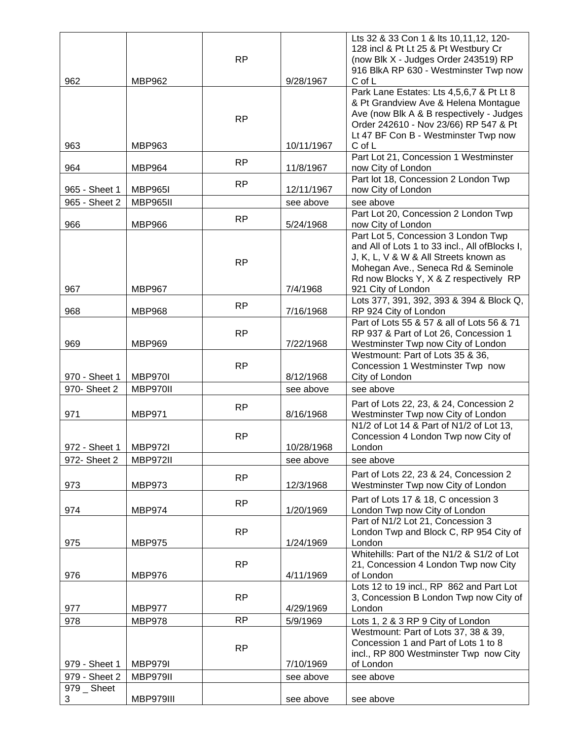|               |                 |           |            | Lts 32 & 33 Con 1 & lts 10,11,12, 120-                                      |
|---------------|-----------------|-----------|------------|-----------------------------------------------------------------------------|
|               |                 |           |            | 128 incl & Pt Lt 25 & Pt Westbury Cr                                        |
|               |                 | <b>RP</b> |            | (now Blk X - Judges Order 243519) RP                                        |
| 962           | <b>MBP962</b>   |           | 9/28/1967  | 916 BlkA RP 630 - Westminster Twp now<br>C of L                             |
|               |                 |           |            | Park Lane Estates: Lts 4,5,6,7 & Pt Lt 8                                    |
|               |                 |           |            | & Pt Grandview Ave & Helena Montague                                        |
|               |                 |           |            | Ave (now Blk A & B respectively - Judges                                    |
|               |                 | <b>RP</b> |            | Order 242610 - Nov 23/66) RP 547 & Pt                                       |
|               |                 |           |            | Lt 47 BF Con B - Westminster Twp now                                        |
| 963           | <b>MBP963</b>   |           | 10/11/1967 | C of L                                                                      |
|               |                 | <b>RP</b> |            | Part Lot 21, Concession 1 Westminster                                       |
| 964           | <b>MBP964</b>   |           | 11/8/1967  | now City of London                                                          |
|               |                 | <b>RP</b> |            | Part lot 18, Concession 2 London Twp                                        |
| 965 - Sheet 1 | <b>MBP965I</b>  |           | 12/11/1967 | now City of London                                                          |
| 965 - Sheet 2 | <b>MBP965II</b> |           | see above  | see above<br>Part Lot 20, Concession 2 London Twp                           |
| 966           | <b>MBP966</b>   | <b>RP</b> | 5/24/1968  | now City of London                                                          |
|               |                 |           |            | Part Lot 5, Concession 3 London Twp                                         |
|               |                 |           |            | and All of Lots 1 to 33 incl., All ofBlocks I,                              |
|               |                 |           |            | J, K, L, V & W & All Streets known as                                       |
|               |                 | <b>RP</b> |            | Mohegan Ave., Seneca Rd & Seminole                                          |
|               |                 |           |            | Rd now Blocks Y, X & Z respectively RP                                      |
| 967           | <b>MBP967</b>   |           | 7/4/1968   | 921 City of London                                                          |
|               |                 | <b>RP</b> |            | Lots 377, 391, 392, 393 & 394 & Block Q,                                    |
| 968           | <b>MBP968</b>   |           | 7/16/1968  | RP 924 City of London                                                       |
|               |                 | <b>RP</b> |            | Part of Lots 55 & 57 & all of Lots 56 & 71                                  |
| 969           | <b>MBP969</b>   |           | 7/22/1968  | RP 937 & Part of Lot 26, Concession 1<br>Westminster Twp now City of London |
|               |                 |           |            | Westmount: Part of Lots 35 & 36,                                            |
|               |                 | <b>RP</b> |            | Concession 1 Westminster Twp now                                            |
| 970 - Sheet 1 | MBP970I         |           | 8/12/1968  | City of London                                                              |
| 970- Sheet 2  | MBP970II        |           | see above  | see above                                                                   |
|               |                 |           |            | Part of Lots 22, 23, & 24, Concession 2                                     |
| 971           | <b>MBP971</b>   | <b>RP</b> | 8/16/1968  | Westminster Twp now City of London                                          |
|               |                 |           |            | N1/2 of Lot 14 & Part of N1/2 of Lot 13,                                    |
|               |                 | RP        |            | Concession 4 London Twp now City of                                         |
| 972 - Sheet 1 | <b>MBP972I</b>  |           | 10/28/1968 | London                                                                      |
| 972- Sheet 2  | <b>MBP972II</b> |           | see above  | see above                                                                   |
|               |                 | <b>RP</b> |            | Part of Lots 22, 23 & 24, Concession 2                                      |
| 973           | <b>MBP973</b>   |           | 12/3/1968  | Westminster Twp now City of London                                          |
|               |                 |           |            | Part of Lots 17 & 18, C oncession 3                                         |
| 974           | <b>MBP974</b>   | <b>RP</b> | 1/20/1969  | London Twp now City of London                                               |
|               |                 |           |            | Part of N1/2 Lot 21, Concession 3                                           |
|               |                 | <b>RP</b> |            | London Twp and Block C, RP 954 City of                                      |
| 975           | <b>MBP975</b>   |           | 1/24/1969  | London                                                                      |
|               |                 |           |            | Whitehills: Part of the N1/2 & S1/2 of Lot                                  |
|               |                 | <b>RP</b> |            | 21, Concession 4 London Twp now City                                        |
| 976           | <b>MBP976</b>   |           | 4/11/1969  | of London<br>Lots 12 to 19 incl., RP 862 and Part Lot                       |
|               |                 | <b>RP</b> |            | 3, Concession B London Twp now City of                                      |
| 977           | <b>MBP977</b>   |           | 4/29/1969  | London                                                                      |
| 978           | <b>MBP978</b>   | <b>RP</b> | 5/9/1969   | Lots 1, 2 & 3 RP 9 City of London                                           |
|               |                 |           |            | Westmount: Part of Lots 37, 38 & 39,                                        |
|               |                 |           |            | Concession 1 and Part of Lots 1 to 8                                        |
|               |                 | <b>RP</b> |            | incl., RP 800 Westminster Twp now City                                      |
| 979 - Sheet 1 | <b>MBP979I</b>  |           | 7/10/1969  | of London                                                                   |
| 979 - Sheet 2 | MBP979II        |           | see above  | see above                                                                   |
| 979 _ Sheet   |                 |           |            |                                                                             |
| 3             | MBP979III       |           | see above  | see above                                                                   |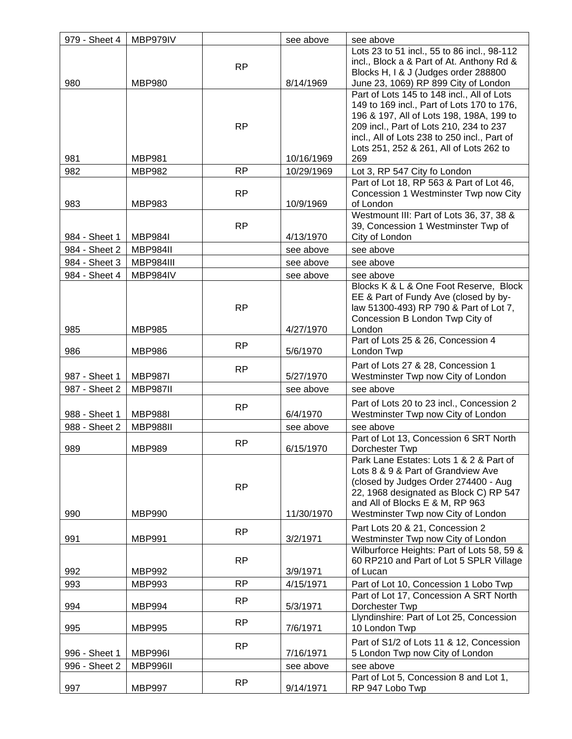| 979 - Sheet 4 | MBP979IV        |           | see above  | see above                                                                                                                                                                                                                                                                         |
|---------------|-----------------|-----------|------------|-----------------------------------------------------------------------------------------------------------------------------------------------------------------------------------------------------------------------------------------------------------------------------------|
| 980           | <b>MBP980</b>   | <b>RP</b> | 8/14/1969  | Lots 23 to 51 incl., 55 to 86 incl., 98-112<br>incl., Block a & Part of At. Anthony Rd &<br>Blocks H, I & J (Judges order 288800<br>June 23, 1069) RP 899 City of London                                                                                                          |
| 981           | <b>MBP981</b>   | <b>RP</b> | 10/16/1969 | Part of Lots 145 to 148 incl., All of Lots<br>149 to 169 incl., Part of Lots 170 to 176,<br>196 & 197, All of Lots 198, 198A, 199 to<br>209 incl., Part of Lots 210, 234 to 237<br>incl., All of Lots 238 to 250 incl., Part of<br>Lots 251, 252 & 261, All of Lots 262 to<br>269 |
| 982           | <b>MBP982</b>   | <b>RP</b> | 10/29/1969 | Lot 3, RP 547 City fo London                                                                                                                                                                                                                                                      |
| 983           | <b>MBP983</b>   | <b>RP</b> | 10/9/1969  | Part of Lot 18, RP 563 & Part of Lot 46,<br>Concession 1 Westminster Twp now City<br>of London                                                                                                                                                                                    |
| 984 - Sheet 1 | <b>MBP984I</b>  | <b>RP</b> | 4/13/1970  | Westmount III: Part of Lots 36, 37, 38 &<br>39, Concession 1 Westminster Twp of<br>City of London                                                                                                                                                                                 |
| 984 - Sheet 2 | MBP984II        |           | see above  | see above                                                                                                                                                                                                                                                                         |
| 984 - Sheet 3 | MBP984III       |           | see above  | see above                                                                                                                                                                                                                                                                         |
| 984 - Sheet 4 | MBP984IV        |           | see above  | see above                                                                                                                                                                                                                                                                         |
| 985           | <b>MBP985</b>   | <b>RP</b> | 4/27/1970  | Blocks K & L & One Foot Reserve, Block<br>EE & Part of Fundy Ave (closed by by-<br>law 51300-493) RP 790 & Part of Lot 7,<br>Concession B London Twp City of<br>London                                                                                                            |
| 986           | <b>MBP986</b>   | RP        | 5/6/1970   | Part of Lots 25 & 26, Concession 4<br>London Twp                                                                                                                                                                                                                                  |
| 987 - Sheet 1 | <b>MBP987I</b>  | <b>RP</b> | 5/27/1970  | Part of Lots 27 & 28, Concession 1<br>Westminster Twp now City of London                                                                                                                                                                                                          |
| 987 - Sheet 2 | <b>MBP987II</b> |           | see above  | see above                                                                                                                                                                                                                                                                         |
| 988 - Sheet 1 | <b>MBP988I</b>  | <b>RP</b> | 6/4/1970   | Part of Lots 20 to 23 incl., Concession 2<br>Westminster Twp now City of London                                                                                                                                                                                                   |
| 988 - Sheet 2 | <b>MBP988II</b> |           | see above  | see above                                                                                                                                                                                                                                                                         |
| 989           | <b>MBP989</b>   | <b>RP</b> | 6/15/1970  | Part of Lot 13, Concession 6 SRT North<br>Dorchester Twp                                                                                                                                                                                                                          |
| 990           | <b>MBP990</b>   | <b>RP</b> | 11/30/1970 | Park Lane Estates: Lots 1 & 2 & Part of<br>Lots 8 & 9 & Part of Grandview Ave<br>(closed by Judges Order 274400 - Aug<br>22, 1968 designated as Block C) RP 547<br>and All of Blocks E & M, RP 963<br>Westminster Twp now City of London                                          |
| 991           | <b>MBP991</b>   | <b>RP</b> | 3/2/1971   | Part Lots 20 & 21, Concession 2<br>Westminster Twp now City of London                                                                                                                                                                                                             |
| 992           | <b>MBP992</b>   | <b>RP</b> | 3/9/1971   | Wilburforce Heights: Part of Lots 58, 59 &<br>60 RP210 and Part of Lot 5 SPLR Village<br>of Lucan                                                                                                                                                                                 |
| 993           | <b>MBP993</b>   | RP        | 4/15/1971  | Part of Lot 10, Concession 1 Lobo Twp                                                                                                                                                                                                                                             |
| 994           | <b>MBP994</b>   | <b>RP</b> | 5/3/1971   | Part of Lot 17, Concession A SRT North<br>Dorchester Twp                                                                                                                                                                                                                          |
| 995           | <b>MBP995</b>   | RP        | 7/6/1971   | Llyndinshire: Part of Lot 25, Concession<br>10 London Twp                                                                                                                                                                                                                         |
| 996 - Sheet 1 | <b>MBP996I</b>  | <b>RP</b> | 7/16/1971  | Part of S1/2 of Lots 11 & 12, Concession<br>5 London Twp now City of London                                                                                                                                                                                                       |
| 996 - Sheet 2 | MBP996II        |           | see above  | see above                                                                                                                                                                                                                                                                         |
| 997           | <b>MBP997</b>   | <b>RP</b> | 9/14/1971  | Part of Lot 5, Concession 8 and Lot 1,<br>RP 947 Lobo Twp                                                                                                                                                                                                                         |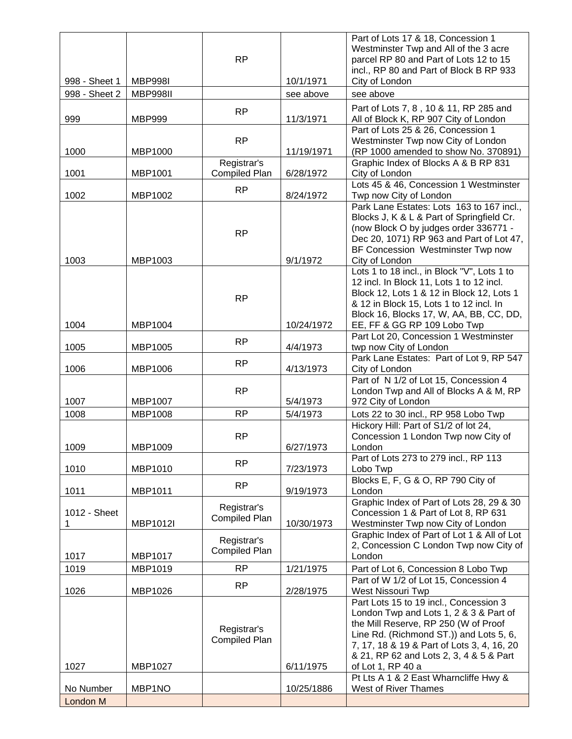|               |                 |                      |            | Part of Lots 17 & 18, Concession 1                                                    |
|---------------|-----------------|----------------------|------------|---------------------------------------------------------------------------------------|
|               |                 |                      |            | Westminster Twp and All of the 3 acre                                                 |
|               |                 | <b>RP</b>            |            | parcel RP 80 and Part of Lots 12 to 15                                                |
|               |                 |                      | 10/1/1971  | incl., RP 80 and Part of Block B RP 933                                               |
| 998 - Sheet 1 | <b>MBP998I</b>  |                      |            | City of London                                                                        |
| 998 - Sheet 2 | <b>MBP998II</b> |                      | see above  | see above                                                                             |
|               |                 | <b>RP</b>            |            | Part of Lots 7, 8, 10 & 11, RP 285 and                                                |
| 999           | <b>MBP999</b>   |                      | 11/3/1971  | All of Block K, RP 907 City of London                                                 |
|               |                 |                      |            | Part of Lots 25 & 26, Concession 1                                                    |
| 1000          | MBP1000         | <b>RP</b>            | 11/19/1971 | Westminster Twp now City of London<br>(RP 1000 amended to show No. 370891)            |
|               |                 | Registrar's          |            | Graphic Index of Blocks A & B RP 831                                                  |
| 1001          | MBP1001         | <b>Compiled Plan</b> | 6/28/1972  | City of London                                                                        |
|               |                 |                      |            | Lots 45 & 46, Concession 1 Westminster                                                |
| 1002          | MBP1002         | <b>RP</b>            | 8/24/1972  | Twp now City of London                                                                |
|               |                 |                      |            | Park Lane Estates: Lots 163 to 167 incl.,                                             |
|               |                 |                      |            | Blocks J, K & L & Part of Springfield Cr.                                             |
|               |                 | <b>RP</b>            |            | (now Block O by judges order 336771 -                                                 |
|               |                 |                      |            | Dec 20, 1071) RP 963 and Part of Lot 47,                                              |
|               |                 |                      |            | BF Concession Westminster Twp now                                                     |
| 1003          | MBP1003         |                      | 9/1/1972   | City of London                                                                        |
|               |                 |                      |            | Lots 1 to 18 incl., in Block "V", Lots 1 to                                           |
|               |                 |                      |            | 12 incl. In Block 11, Lots 1 to 12 incl.<br>Block 12, Lots 1 & 12 in Block 12, Lots 1 |
|               |                 | <b>RP</b>            |            | & 12 in Block 15, Lots 1 to 12 incl. In                                               |
|               |                 |                      |            | Block 16, Blocks 17, W, AA, BB, CC, DD,                                               |
| 1004          | MBP1004         |                      | 10/24/1972 | EE, FF & GG RP 109 Lobo Twp                                                           |
|               |                 |                      |            | Part Lot 20, Concession 1 Westminster                                                 |
| 1005          | MBP1005         | <b>RP</b>            | 4/4/1973   | twp now City of London                                                                |
|               |                 |                      |            | Park Lane Estates: Part of Lot 9, RP 547                                              |
| 1006          | MBP1006         | <b>RP</b>            | 4/13/1973  | City of London                                                                        |
|               |                 |                      |            | Part of N 1/2 of Lot 15, Concession 4                                                 |
|               |                 | <b>RP</b>            |            | London Twp and All of Blocks A & M, RP                                                |
| 1007          | <b>MBP1007</b>  |                      | 5/4/1973   | 972 City of London                                                                    |
| 1008          | <b>MBP1008</b>  | <b>RP</b>            | 5/4/1973   | Lots 22 to 30 incl., RP 958 Lobo Twp                                                  |
|               |                 |                      |            | Hickory Hill: Part of S1/2 of lot 24,                                                 |
|               |                 | <b>RP</b>            |            | Concession 1 London Twp now City of                                                   |
| 1009          | MBP1009         |                      | 6/27/1973  | London                                                                                |
|               |                 | <b>RP</b>            |            | Part of Lots 273 to 279 incl., RP 113                                                 |
| 1010          | MBP1010         |                      | 7/23/1973  | Lobo Twp<br>Blocks E, F, G & O, RP 790 City of                                        |
|               | MBP1011         | <b>RP</b>            |            |                                                                                       |
| 1011          |                 |                      | 9/19/1973  | London<br>Graphic Index of Part of Lots 28, 29 & 30                                   |
| 1012 - Sheet  |                 | Registrar's          |            | Concession 1 & Part of Lot 8, RP 631                                                  |
| 1             | MBP1012I        | <b>Compiled Plan</b> | 10/30/1973 | Westminster Twp now City of London                                                    |
|               |                 |                      |            | Graphic Index of Part of Lot 1 & All of Lot                                           |
|               |                 | Registrar's          |            | 2, Concession C London Twp now City of                                                |
| 1017          | MBP1017         | Compiled Plan        |            | London                                                                                |
| 1019          | MBP1019         | <b>RP</b>            | 1/21/1975  | Part of Lot 6, Concession 8 Lobo Twp                                                  |
|               |                 |                      |            | Part of W 1/2 of Lot 15, Concession 4                                                 |
| 1026          | MBP1026         | <b>RP</b>            | 2/28/1975  | West Nissouri Twp                                                                     |
|               |                 |                      |            | Part Lots 15 to 19 incl., Concession 3                                                |
|               |                 |                      |            | London Twp and Lots 1, 2 & 3 & Part of                                                |
|               |                 | Registrar's          |            | the Mill Reserve, RP 250 (W of Proof                                                  |
|               |                 | <b>Compiled Plan</b> |            | Line Rd. (Richmond ST.)) and Lots 5, 6,                                               |
|               |                 |                      |            | 7, 17, 18 & 19 & Part of Lots 3, 4, 16, 20                                            |
|               |                 |                      |            | & 21, RP 62 and Lots 2, 3, 4 & 5 & Part                                               |
| 1027          | MBP1027         |                      | 6/11/1975  | of Lot 1, RP 40 a                                                                     |
|               |                 |                      |            | Pt Lts A 1 & 2 East Wharncliffe Hwy &                                                 |
| No Number     | MBP1NO          |                      | 10/25/1886 | <b>West of River Thames</b>                                                           |
| London M      |                 |                      |            |                                                                                       |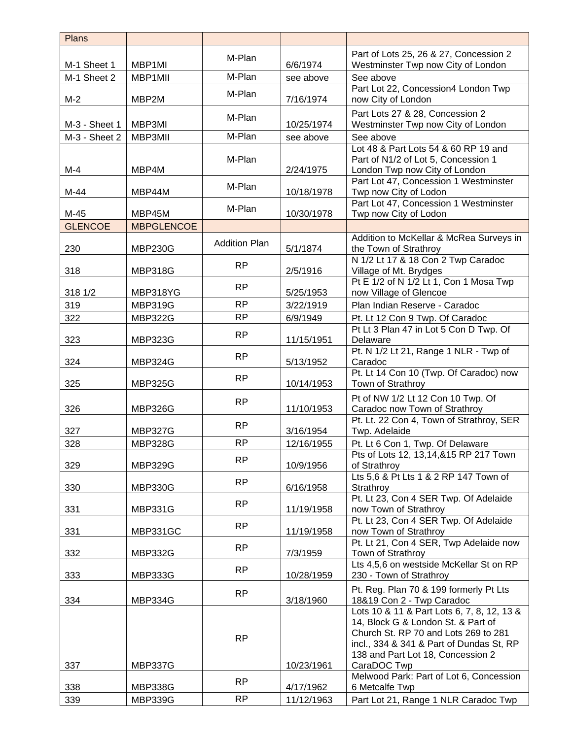| <b>Plans</b>   |                   |                      |            |                                                                                                                                                                                                                          |
|----------------|-------------------|----------------------|------------|--------------------------------------------------------------------------------------------------------------------------------------------------------------------------------------------------------------------------|
|                |                   |                      |            | Part of Lots 25, 26 & 27, Concession 2                                                                                                                                                                                   |
| M-1 Sheet 1    | MBP1MI            | M-Plan               | 6/6/1974   | Westminster Twp now City of London                                                                                                                                                                                       |
| M-1 Sheet 2    | MBP1MII           | M-Plan               | see above  | See above                                                                                                                                                                                                                |
| $M-2$          | MBP2M             | M-Plan               | 7/16/1974  | Part Lot 22, Concession4 London Twp<br>now City of London                                                                                                                                                                |
| M-3 - Sheet 1  | MBP3MI            | M-Plan               | 10/25/1974 | Part Lots 27 & 28, Concession 2<br>Westminster Twp now City of London                                                                                                                                                    |
| M-3 - Sheet 2  | MBP3MII           | M-Plan               | see above  | See above                                                                                                                                                                                                                |
| $M-4$          | MBP4M             | M-Plan               | 2/24/1975  | Lot 48 & Part Lots 54 & 60 RP 19 and<br>Part of N1/2 of Lot 5, Concession 1<br>London Twp now City of London<br>Part Lot 47, Concession 1 Westminster                                                                    |
| $M-44$         | MBP44M            | M-Plan               | 10/18/1978 | Twp now City of Lodon                                                                                                                                                                                                    |
| M-45           | MBP45M            | M-Plan               | 10/30/1978 | Part Lot 47, Concession 1 Westminster<br>Twp now City of Lodon                                                                                                                                                           |
| <b>GLENCOE</b> | <b>MBPGLENCOE</b> |                      |            |                                                                                                                                                                                                                          |
| 230            | <b>MBP230G</b>    | <b>Addition Plan</b> | 5/1/1874   | Addition to McKellar & McRea Surveys in<br>the Town of Strathroy                                                                                                                                                         |
| 318            | <b>MBP318G</b>    | <b>RP</b>            | 2/5/1916   | N 1/2 Lt 17 & 18 Con 2 Twp Caradoc<br>Village of Mt. Brydges                                                                                                                                                             |
| 318 1/2        | MBP318YG          | <b>RP</b>            | 5/25/1953  | Pt E 1/2 of N 1/2 Lt 1, Con 1 Mosa Twp<br>now Village of Glencoe                                                                                                                                                         |
| 319            | <b>MBP319G</b>    | <b>RP</b>            | 3/22/1919  | Plan Indian Reserve - Caradoc                                                                                                                                                                                            |
| 322            | <b>MBP322G</b>    | <b>RP</b>            | 6/9/1949   | Pt. Lt 12 Con 9 Twp. Of Caradoc                                                                                                                                                                                          |
| 323            | <b>MBP323G</b>    | <b>RP</b>            | 11/15/1951 | Pt Lt 3 Plan 47 in Lot 5 Con D Twp. Of<br>Delaware                                                                                                                                                                       |
| 324            | <b>MBP324G</b>    | <b>RP</b>            | 5/13/1952  | Pt. N 1/2 Lt 21, Range 1 NLR - Twp of<br>Caradoc                                                                                                                                                                         |
| 325            | <b>MBP325G</b>    | <b>RP</b>            | 10/14/1953 | Pt. Lt 14 Con 10 (Twp. Of Caradoc) now<br>Town of Strathroy                                                                                                                                                              |
| 326            | <b>MBP326G</b>    | <b>RP</b>            | 11/10/1953 | Pt of NW 1/2 Lt 12 Con 10 Twp. Of<br>Caradoc now Town of Strathroy                                                                                                                                                       |
| 327            | <b>MBP327G</b>    | <b>RP</b>            | 3/16/1954  | Pt. Lt. 22 Con 4, Town of Strathroy, SER<br>Twp. Adelaide                                                                                                                                                                |
| 328            | <b>MBP328G</b>    | <b>RP</b>            | 12/16/1955 | Pt. Lt 6 Con 1, Twp. Of Delaware                                                                                                                                                                                         |
| 329            | <b>MBP329G</b>    | <b>RP</b>            | 10/9/1956  | Pts of Lots 12, 13,14,&15 RP 217 Town<br>of Strathroy                                                                                                                                                                    |
|                |                   | <b>RP</b>            |            | Lts 5,6 & Pt Lts 1 & 2 RP 147 Town of                                                                                                                                                                                    |
| 330            | <b>MBP330G</b>    |                      | 6/16/1958  | Strathroy<br>Pt. Lt 23, Con 4 SER Twp. Of Adelaide                                                                                                                                                                       |
| 331            | <b>MBP331G</b>    | <b>RP</b>            | 11/19/1958 | now Town of Strathroy<br>Pt. Lt 23, Con 4 SER Twp. Of Adelaide                                                                                                                                                           |
| 331            | MBP331GC          | <b>RP</b>            | 11/19/1958 | now Town of Strathroy                                                                                                                                                                                                    |
| 332            | <b>MBP332G</b>    | RP                   | 7/3/1959   | Pt. Lt 21, Con 4 SER, Twp Adelaide now<br>Town of Strathroy                                                                                                                                                              |
| 333            | <b>MBP333G</b>    | <b>RP</b>            | 10/28/1959 | Lts 4,5,6 on westside McKellar St on RP<br>230 - Town of Strathroy                                                                                                                                                       |
| 334            | <b>MBP334G</b>    | <b>RP</b>            | 3/18/1960  | Pt. Reg. Plan 70 & 199 formerly Pt Lts<br>18&19 Con 2 - Twp Caradoc                                                                                                                                                      |
| 337            | <b>MBP337G</b>    | <b>RP</b>            | 10/23/1961 | Lots 10 & 11 & Part Lots 6, 7, 8, 12, 13 &<br>14, Block G & London St. & Part of<br>Church St. RP 70 and Lots 269 to 281<br>incl., 334 & 341 & Part of Dundas St, RP<br>138 and Part Lot 18, Concession 2<br>CaraDOC Twp |
| 338            | <b>MBP338G</b>    | <b>RP</b>            | 4/17/1962  | Melwood Park: Part of Lot 6, Concession<br>6 Metcalfe Twp                                                                                                                                                                |
| 339            | <b>MBP339G</b>    | <b>RP</b>            | 11/12/1963 | Part Lot 21, Range 1 NLR Caradoc Twp                                                                                                                                                                                     |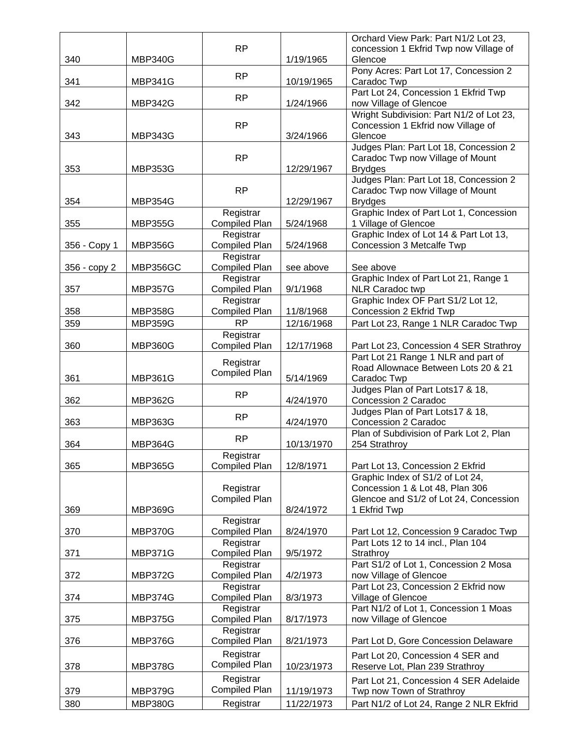|              |                |                                   |            | Orchard View Park: Part N1/2 Lot 23,                                |
|--------------|----------------|-----------------------------------|------------|---------------------------------------------------------------------|
|              |                | <b>RP</b>                         |            | concession 1 Ekfrid Twp now Village of                              |
| 340          | <b>MBP340G</b> |                                   | 1/19/1965  | Glencoe                                                             |
| 341          | <b>MBP341G</b> | <b>RP</b>                         | 10/19/1965 | Pony Acres: Part Lot 17, Concession 2<br>Caradoc Twp                |
|              |                | <b>RP</b>                         |            | Part Lot 24, Concession 1 Ekfrid Twp                                |
| 342          | <b>MBP342G</b> |                                   | 1/24/1966  | now Village of Glencoe                                              |
|              |                |                                   |            | Wright Subdivision: Part N1/2 of Lot 23,                            |
|              |                | <b>RP</b>                         |            | Concession 1 Ekfrid now Village of                                  |
| 343          | <b>MBP343G</b> |                                   | 3/24/1966  | Glencoe<br>Judges Plan: Part Lot 18, Concession 2                   |
|              |                | <b>RP</b>                         |            | Caradoc Twp now Village of Mount                                    |
| 353          | <b>MBP353G</b> |                                   | 12/29/1967 | <b>Brydges</b>                                                      |
|              |                |                                   |            | Judges Plan: Part Lot 18, Concession 2                              |
|              |                | <b>RP</b>                         |            | Caradoc Twp now Village of Mount                                    |
| 354          | <b>MBP354G</b> |                                   | 12/29/1967 | <b>Brydges</b>                                                      |
|              |                | Registrar                         |            | Graphic Index of Part Lot 1, Concession                             |
| 355          | <b>MBP355G</b> | <b>Compiled Plan</b>              | 5/24/1968  | 1 Village of Glencoe                                                |
|              |                | Registrar                         |            | Graphic Index of Lot 14 & Part Lot 13,                              |
| 356 - Copy 1 | <b>MBP356G</b> | <b>Compiled Plan</b><br>Registrar | 5/24/1968  | Concession 3 Metcalfe Twp                                           |
| 356 - copy 2 | MBP356GC       | <b>Compiled Plan</b>              | see above  | See above                                                           |
|              |                | Registrar                         |            | Graphic Index of Part Lot 21, Range 1                               |
| 357          | <b>MBP357G</b> | <b>Compiled Plan</b>              | 9/1/1968   | <b>NLR Caradoc twp</b>                                              |
|              |                | Registrar                         |            | Graphic Index OF Part S1/2 Lot 12,                                  |
| 358          | <b>MBP358G</b> | <b>Compiled Plan</b>              | 11/8/1968  | Concession 2 Ekfrid Twp                                             |
| 359          | <b>MBP359G</b> | <b>RP</b>                         | 12/16/1968 | Part Lot 23, Range 1 NLR Caradoc Twp                                |
|              |                | Registrar                         |            |                                                                     |
| 360          | <b>MBP360G</b> | <b>Compiled Plan</b>              | 12/17/1968 | Part Lot 23, Concession 4 SER Strathroy                             |
|              |                | Registrar                         |            | Part Lot 21 Range 1 NLR and part of                                 |
| 361          | <b>MBP361G</b> | <b>Compiled Plan</b>              | 5/14/1969  | Road Allownace Between Lots 20 & 21<br>Caradoc Twp                  |
|              |                |                                   |            | Judges Plan of Part Lots17 & 18,                                    |
| 362          | <b>MBP362G</b> | <b>RP</b>                         | 4/24/1970  | Concession 2 Caradoc                                                |
|              |                |                                   |            | Judges Plan of Part Lots17 & 18,                                    |
| 363          | <b>MBP363G</b> | <b>RP</b>                         | 4/24/1970  | Concession 2 Caradoc                                                |
|              |                | <b>RP</b>                         |            | Plan of Subdivision of Park Lot 2, Plan                             |
| 364          | <b>MBP364G</b> |                                   | 10/13/1970 | 254 Strathroy                                                       |
|              |                | Registrar                         |            |                                                                     |
| 365          | <b>MBP365G</b> | <b>Compiled Plan</b>              | 12/8/1971  | Part Lot 13, Concession 2 Ekfrid                                    |
|              |                | Registrar                         |            | Graphic Index of S1/2 of Lot 24,<br>Concession 1 & Lot 48, Plan 306 |
|              |                | <b>Compiled Plan</b>              |            | Glencoe and S1/2 of Lot 24, Concession                              |
| 369          | <b>MBP369G</b> |                                   | 8/24/1972  | 1 Ekfrid Twp                                                        |
|              |                | Registrar                         |            |                                                                     |
| 370          | <b>MBP370G</b> | <b>Compiled Plan</b>              | 8/24/1970  | Part Lot 12, Concession 9 Caradoc Twp                               |
|              |                | Registrar                         |            | Part Lots 12 to 14 incl., Plan 104                                  |
| 371          | <b>MBP371G</b> | <b>Compiled Plan</b>              | 9/5/1972   | Strathroy                                                           |
| 372          | <b>MBP372G</b> | Registrar<br><b>Compiled Plan</b> | 4/2/1973   | Part S1/2 of Lot 1, Concession 2 Mosa                               |
|              |                | Registrar                         |            | now Village of Glencoe<br>Part Lot 23, Concession 2 Ekfrid now      |
| 374          | <b>MBP374G</b> | <b>Compiled Plan</b>              | 8/3/1973   | Village of Glencoe                                                  |
|              |                | Registrar                         |            | Part N1/2 of Lot 1, Concession 1 Moas                               |
| 375          | <b>MBP375G</b> | <b>Compiled Plan</b>              | 8/17/1973  | now Village of Glencoe                                              |
|              |                | Registrar                         |            |                                                                     |
| 376          | <b>MBP376G</b> | <b>Compiled Plan</b>              | 8/21/1973  | Part Lot D, Gore Concession Delaware                                |
|              |                | Registrar                         |            | Part Lot 20, Concession 4 SER and                                   |
| 378          | <b>MBP378G</b> | <b>Compiled Plan</b>              | 10/23/1973 | Reserve Lot, Plan 239 Strathroy                                     |
|              |                | Registrar                         |            | Part Lot 21, Concession 4 SER Adelaide                              |
| 379          | <b>MBP379G</b> | <b>Compiled Plan</b>              | 11/19/1973 | Twp now Town of Strathroy                                           |
| 380          | <b>MBP380G</b> | Registrar                         | 11/22/1973 | Part N1/2 of Lot 24, Range 2 NLR Ekfrid                             |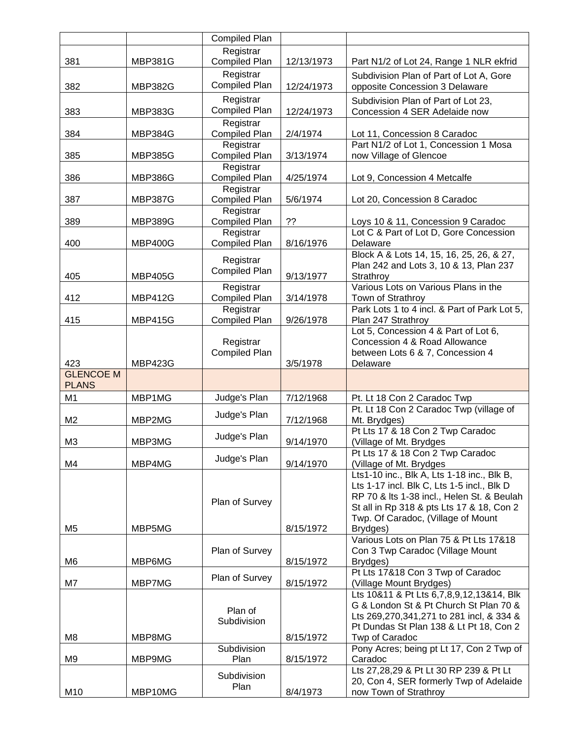|                  |                | <b>Compiled Plan</b>              |            |                                                                                    |
|------------------|----------------|-----------------------------------|------------|------------------------------------------------------------------------------------|
|                  |                | Registrar                         |            |                                                                                    |
| 381              | <b>MBP381G</b> | <b>Compiled Plan</b>              | 12/13/1973 | Part N1/2 of Lot 24, Range 1 NLR ekfrid                                            |
|                  |                | Registrar                         |            | Subdivision Plan of Part of Lot A, Gore                                            |
| 382              | <b>MBP382G</b> | <b>Compiled Plan</b>              | 12/24/1973 | opposite Concession 3 Delaware                                                     |
|                  |                | Registrar                         |            | Subdivision Plan of Part of Lot 23,                                                |
| 383              | <b>MBP383G</b> | <b>Compiled Plan</b>              | 12/24/1973 | Concession 4 SER Adelaide now                                                      |
|                  |                | Registrar                         |            |                                                                                    |
| 384              | <b>MBP384G</b> | <b>Compiled Plan</b>              | 2/4/1974   | Lot 11, Concession 8 Caradoc                                                       |
|                  |                | Registrar                         |            | Part N1/2 of Lot 1, Concession 1 Mosa                                              |
| 385              | <b>MBP385G</b> | <b>Compiled Plan</b>              | 3/13/1974  | now Village of Glencoe                                                             |
| 386              | <b>MBP386G</b> | Registrar<br><b>Compiled Plan</b> | 4/25/1974  |                                                                                    |
|                  |                | Registrar                         |            | Lot 9, Concession 4 Metcalfe                                                       |
| 387              | <b>MBP387G</b> | <b>Compiled Plan</b>              | 5/6/1974   | Lot 20, Concession 8 Caradoc                                                       |
|                  |                | Registrar                         |            |                                                                                    |
| 389              | <b>MBP389G</b> | <b>Compiled Plan</b>              | ??         | Loys 10 & 11, Concession 9 Caradoc                                                 |
|                  |                | Registrar                         |            | Lot C & Part of Lot D, Gore Concession                                             |
| 400              | <b>MBP400G</b> | <b>Compiled Plan</b>              | 8/16/1976  | Delaware                                                                           |
|                  |                | Registrar                         |            | Block A & Lots 14, 15, 16, 25, 26, & 27,                                           |
|                  |                | <b>Compiled Plan</b>              |            | Plan 242 and Lots 3, 10 & 13, Plan 237                                             |
| 405              | <b>MBP405G</b> |                                   | 9/13/1977  | Strathroy<br>Various Lots on Various Plans in the                                  |
| 412              | <b>MBP412G</b> | Registrar<br><b>Compiled Plan</b> | 3/14/1978  | Town of Strathroy                                                                  |
|                  |                | Registrar                         |            | Park Lots 1 to 4 incl. & Part of Park Lot 5,                                       |
| 415              | <b>MBP415G</b> | <b>Compiled Plan</b>              | 9/26/1978  | Plan 247 Strathroy                                                                 |
|                  |                |                                   |            | Lot 5, Concession 4 & Part of Lot 6,                                               |
|                  |                | Registrar                         |            | Concession 4 & Road Allowance                                                      |
|                  |                | Compiled Plan                     |            | between Lots 6 & 7, Concession 4                                                   |
| 423              | <b>MBP423G</b> |                                   | 3/5/1978   | Delaware                                                                           |
|                  |                |                                   |            |                                                                                    |
| <b>GLENCOE M</b> |                |                                   |            |                                                                                    |
| <b>PLANS</b>     |                |                                   |            |                                                                                    |
| M <sub>1</sub>   | MBP1MG         | Judge's Plan                      | 7/12/1968  | Pt. Lt 18 Con 2 Caradoc Twp                                                        |
|                  | MBP2MG         | Judge's Plan                      |            | Pt. Lt 18 Con 2 Caradoc Twp (village of                                            |
| M <sub>2</sub>   |                |                                   | 7/12/1968  | Mt. Brydges)<br>Pt Lts 17 & 18 Con 2 Twp Caradoc                                   |
| M3               | MBP3MG         | Judge's Plan                      | 9/14/1970  | (Village of Mt. Brydges                                                            |
|                  |                |                                   |            | Pt Lts 17 & 18 Con 2 Twp Caradoc                                                   |
| M4               | MBP4MG         | Judge's Plan                      | 9/14/1970  | (Village of Mt. Brydges                                                            |
|                  |                |                                   |            | Lts1-10 inc., Blk A, Lts 1-18 inc., Blk B,                                         |
|                  |                |                                   |            | Lts 1-17 incl. Blk C, Lts 1-5 incl., Blk D                                         |
|                  |                | Plan of Survey                    |            | RP 70 & Its 1-38 incl., Helen St. & Beulah                                         |
|                  |                |                                   |            | St all in Rp 318 & pts Lts 17 & 18, Con 2                                          |
| M <sub>5</sub>   | MBP5MG         |                                   | 8/15/1972  | Twp. Of Caradoc, (Village of Mount<br>Brydges)                                     |
|                  |                |                                   |            | Various Lots on Plan 75 & Pt Lts 17&18                                             |
|                  |                | Plan of Survey                    |            | Con 3 Twp Caradoc (Village Mount                                                   |
| M6               | MBP6MG         |                                   | 8/15/1972  | Brydges)                                                                           |
|                  |                | Plan of Survey                    |            | Pt Lts 17&18 Con 3 Twp of Caradoc                                                  |
| M7               | MBP7MG         |                                   | 8/15/1972  | (Village Mount Brydges)                                                            |
|                  |                |                                   |            | Lts 10&11 & Pt Lts 6,7,8,9,12,13&14, Blk                                           |
|                  |                | Plan of                           |            | G & London St & Pt Church St Plan 70 &<br>Lts 269,270,341,271 to 281 incl, & 334 & |
|                  |                | Subdivision                       |            | Pt Dundas St Plan 138 & Lt Pt 18, Con 2                                            |
| M8               | MBP8MG         |                                   | 8/15/1972  | Twp of Caradoc                                                                     |
|                  |                | Subdivision                       |            | Pony Acres; being pt Lt 17, Con 2 Twp of                                           |
| M <sub>9</sub>   | MBP9MG         | Plan                              | 8/15/1972  | Caradoc                                                                            |
|                  |                | Subdivision                       |            | Lts 27,28,29 & Pt Lt 30 RP 239 & Pt Lt                                             |
| M10              | MBP10MG        | Plan                              | 8/4/1973   | 20, Con 4, SER formerly Twp of Adelaide<br>now Town of Strathroy                   |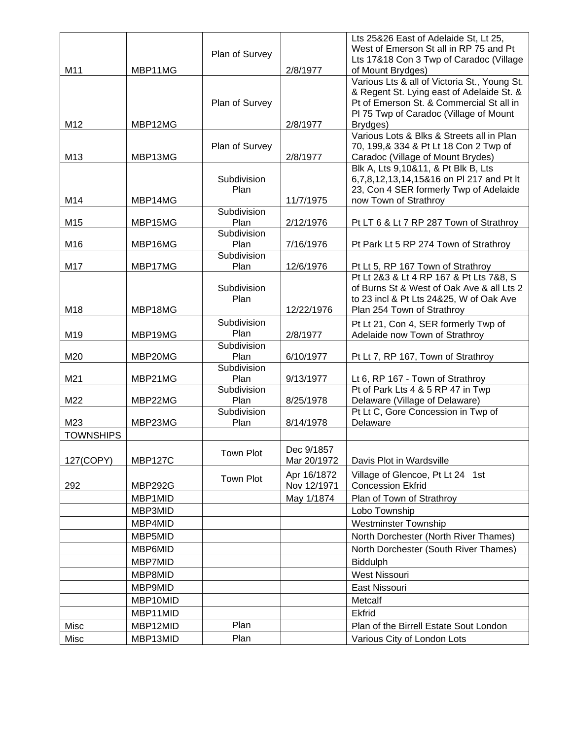|                  |                |                     |             | Lts 25&26 East of Adelaide St, Lt 25,                                    |
|------------------|----------------|---------------------|-------------|--------------------------------------------------------------------------|
|                  |                | Plan of Survey      |             | West of Emerson St all in RP 75 and Pt                                   |
|                  |                |                     |             | Lts 17&18 Con 3 Twp of Caradoc (Village                                  |
| M11              | MBP11MG        |                     | 2/8/1977    | of Mount Brydges)                                                        |
|                  |                |                     |             | Various Lts & all of Victoria St., Young St.                             |
|                  |                |                     |             | & Regent St. Lying east of Adelaide St. &                                |
|                  |                | Plan of Survey      |             | Pt of Emerson St. & Commercial St all in                                 |
|                  |                |                     |             | PI 75 Twp of Caradoc (Village of Mount                                   |
| M12              | MBP12MG        |                     | 2/8/1977    | Brydges)                                                                 |
|                  |                |                     |             | Various Lots & Blks & Streets all in Plan                                |
| M13              | MBP13MG        | Plan of Survey      | 2/8/1977    | 70, 199, & 334 & Pt Lt 18 Con 2 Twp of                                   |
|                  |                |                     |             | Caradoc (Village of Mount Brydes)<br>Blk A, Lts 9,10&11, & Pt Blk B, Lts |
|                  |                | Subdivision         |             | 6,7,8,12,13,14,15&16 on PI 217 and Pt It                                 |
|                  |                | Plan                |             | 23, Con 4 SER formerly Twp of Adelaide                                   |
| M14              | MBP14MG        |                     | 11/7/1975   | now Town of Strathroy                                                    |
|                  |                | Subdivision         |             |                                                                          |
| M15              | MBP15MG        | Plan                | 2/12/1976   | Pt LT 6 & Lt 7 RP 287 Town of Strathroy                                  |
|                  |                | Subdivision         |             |                                                                          |
| M16              | MBP16MG        | Plan                | 7/16/1976   | Pt Park Lt 5 RP 274 Town of Strathroy                                    |
|                  |                | Subdivision         |             |                                                                          |
| M17              | MBP17MG        | Plan                | 12/6/1976   | Pt Lt 5, RP 167 Town of Strathroy                                        |
|                  |                |                     |             | Pt Lt 2&3 & Lt 4 RP 167 & Pt Lts 7&8, S                                  |
|                  |                | Subdivision         |             | of Burns St & West of Oak Ave & all Lts 2                                |
|                  |                | Plan                |             | to 23 incl & Pt Lts 24&25, W of Oak Ave                                  |
| M18              | MBP18MG        |                     | 12/22/1976  | Plan 254 Town of Strathroy                                               |
|                  |                | Subdivision         |             | Pt Lt 21, Con 4, SER formerly Twp of                                     |
| M19              | MBP19MG        | Plan                | 2/8/1977    | Adelaide now Town of Strathroy                                           |
|                  |                | Subdivision         |             |                                                                          |
| M20              | MBP20MG        | Plan                | 6/10/1977   | Pt Lt 7, RP 167, Town of Strathroy                                       |
|                  |                | Subdivision         |             |                                                                          |
| M21              | MBP21MG        | Plan                | 9/13/1977   | Lt 6, RP 167 - Town of Strathroy                                         |
|                  |                | Subdivision         |             | Pt of Park Lts 4 & 5 RP 47 in Twp                                        |
| M22              | MBP22MG        | Plan<br>Subdivision | 8/25/1978   | Delaware (Village of Delaware)                                           |
| M23              | MBP23MG        | Plan                | 8/14/1978   | Pt Lt C, Gore Concession in Twp of<br>Delaware                           |
|                  |                |                     |             |                                                                          |
| <b>TOWNSHIPS</b> |                |                     |             |                                                                          |
|                  |                | Town Plot           | Dec 9/1857  |                                                                          |
| 127(COPY)        | <b>MBP127C</b> |                     | Mar 20/1972 | Davis Plot in Wardsville                                                 |
|                  |                | Town Plot           | Apr 16/1872 | Village of Glencoe, Pt Lt 24 1st                                         |
| 292              | <b>MBP292G</b> |                     | Nov 12/1971 | <b>Concession Ekfrid</b>                                                 |
|                  | MBP1MID        |                     | May 1/1874  | Plan of Town of Strathroy                                                |
|                  | MBP3MID        |                     |             | Lobo Township                                                            |
|                  | MBP4MID        |                     |             | <b>Westminster Township</b>                                              |
|                  | MBP5MID        |                     |             | North Dorchester (North River Thames)                                    |
|                  | MBP6MID        |                     |             | North Dorchester (South River Thames)                                    |
|                  | MBP7MID        |                     |             | <b>Biddulph</b>                                                          |
|                  |                |                     |             |                                                                          |
|                  | MBP8MID        |                     |             | <b>West Nissouri</b>                                                     |
|                  | MBP9MID        |                     |             | East Nissouri                                                            |
|                  | MBP10MID       |                     |             | Metcalf                                                                  |
|                  | MBP11MID       |                     |             | Ekfrid                                                                   |
| Misc             | MBP12MID       | Plan                |             | Plan of the Birrell Estate Sout London                                   |
| Misc             | MBP13MID       | Plan                |             | Various City of London Lots                                              |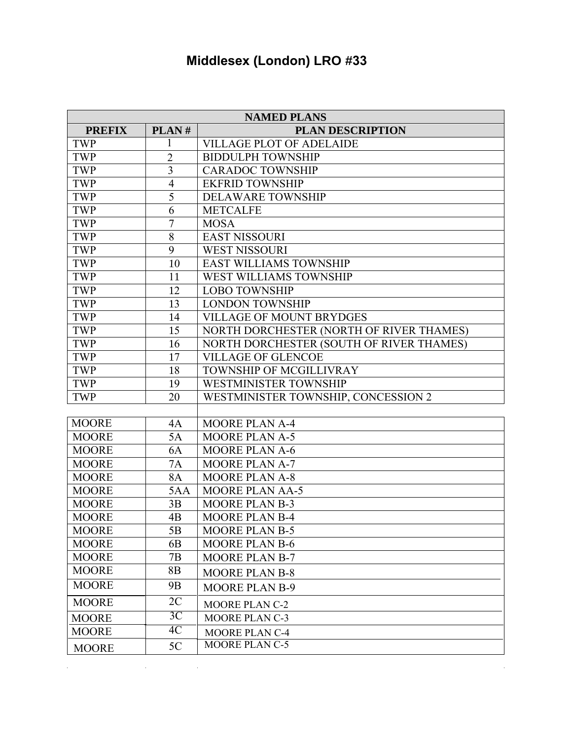## **Middlesex (London) LRO #33**

|               | <b>NAMED PLANS</b> |                                          |  |  |
|---------------|--------------------|------------------------------------------|--|--|
| <b>PREFIX</b> | PLAN#              | <b>PLAN DESCRIPTION</b>                  |  |  |
| <b>TWP</b>    | 1                  | <b>VILLAGE PLOT OF ADELAIDE</b>          |  |  |
| <b>TWP</b>    | $\overline{2}$     | <b>BIDDULPH TOWNSHIP</b>                 |  |  |
| <b>TWP</b>    | $\overline{3}$     | <b>CARADOC TOWNSHIP</b>                  |  |  |
| TWP           | $\overline{4}$     | <b>EKFRID TOWNSHIP</b>                   |  |  |
| <b>TWP</b>    | $\overline{5}$     | <b>DELAWARE TOWNSHIP</b>                 |  |  |
| <b>TWP</b>    | 6                  | <b>METCALFE</b>                          |  |  |
| <b>TWP</b>    | $\overline{7}$     | <b>MOSA</b>                              |  |  |
| <b>TWP</b>    | $\overline{8}$     | <b>EAST NISSOURI</b>                     |  |  |
| TWP           | 9                  | <b>WEST NISSOURI</b>                     |  |  |
| <b>TWP</b>    | 10                 | <b>EAST WILLIAMS TOWNSHIP</b>            |  |  |
| <b>TWP</b>    | 11                 | WEST WILLIAMS TOWNSHIP                   |  |  |
| <b>TWP</b>    | 12                 | <b>LOBO TOWNSHIP</b>                     |  |  |
| <b>TWP</b>    | 13                 | <b>LONDON TOWNSHIP</b>                   |  |  |
| <b>TWP</b>    | 14                 | <b>VILLAGE OF MOUNT BRYDGES</b>          |  |  |
| <b>TWP</b>    | 15                 | NORTH DORCHESTER (NORTH OF RIVER THAMES) |  |  |
| <b>TWP</b>    | 16                 | NORTH DORCHESTER (SOUTH OF RIVER THAMES) |  |  |
| TWP           | 17                 | <b>VILLAGE OF GLENCOE</b>                |  |  |
| <b>TWP</b>    | 18                 | TOWNSHIP OF MCGILLIVRAY                  |  |  |
| <b>TWP</b>    | 19                 | WESTMINISTER TOWNSHIP                    |  |  |
| <b>TWP</b>    | 20                 | WESTMINISTER TOWNSHIP, CONCESSION 2      |  |  |
|               |                    |                                          |  |  |
| <b>MOORE</b>  | 4A                 | <b>MOORE PLAN A-4</b>                    |  |  |
| <b>MOORE</b>  | 5A                 | <b>MOORE PLAN A-5</b>                    |  |  |
| <b>MOORE</b>  | 6A                 | <b>MOORE PLAN A-6</b>                    |  |  |
| <b>MOORE</b>  | <b>7A</b>          | <b>MOORE PLAN A-7</b>                    |  |  |
| <b>MOORE</b>  | <b>8A</b>          | <b>MOORE PLAN A-8</b>                    |  |  |
| <b>MOORE</b>  | 5AA                | <b>MOORE PLAN AA-5</b>                   |  |  |
| <b>MOORE</b>  | 3B                 | <b>MOORE PLAN B-3</b>                    |  |  |
| <b>MOORE</b>  | 4B                 | <b>MOORE PLAN B-4</b>                    |  |  |
| <b>MOORE</b>  | 5B                 | MOORE PLAN B-5                           |  |  |
| <b>MOORE</b>  | 6 <sub>B</sub>     | <b>MOORE PLAN B-6</b>                    |  |  |
| <b>MOORE</b>  | 7B                 | <b>MOORE PLAN B-7</b>                    |  |  |
| <b>MOORE</b>  | 8B                 | <b>MOORE PLAN B-8</b>                    |  |  |
| <b>MOORE</b>  | 9B                 | <b>MOORE PLAN B-9</b>                    |  |  |
| <b>MOORE</b>  | 2C                 | <b>MOORE PLAN C-2</b>                    |  |  |
| <b>MOORE</b>  | 3C                 | <b>MOORE PLAN C-3</b>                    |  |  |
| <b>MOORE</b>  | 4C                 | <b>MOORE PLAN C-4</b>                    |  |  |
| <b>MOORE</b>  | 5C                 | <b>MOORE PLAN C-5</b>                    |  |  |

 $\sim$ 

 $\mathcal{L}(\mathcal{L}(\mathcal{L}(\mathcal{L}(\mathcal{L}(\mathcal{L}(\mathcal{L}(\mathcal{L}(\mathcal{L}(\mathcal{L}(\mathcal{L}(\mathcal{L}(\mathcal{L}(\mathcal{L}(\mathcal{L}(\mathcal{L}(\mathcal{L}(\mathcal{L}(\mathcal{L}(\mathcal{L}(\mathcal{L}(\mathcal{L}(\mathcal{L}(\mathcal{L}(\mathcal{L}(\mathcal{L}(\mathcal{L}(\mathcal{L}(\mathcal{L}(\mathcal{L}(\mathcal{L}(\mathcal{L}(\mathcal{L}(\mathcal{L}(\mathcal{L}(\mathcal{L}(\mathcal{$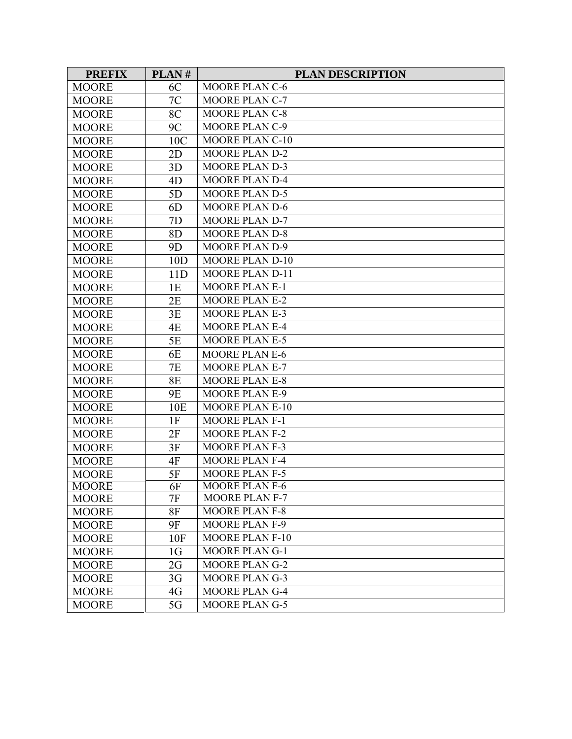| <b>PREFIX</b> | PLAN#          | <b>PLAN DESCRIPTION</b> |
|---------------|----------------|-------------------------|
| <b>MOORE</b>  | 6C             | <b>MOORE PLAN C-6</b>   |
| <b>MOORE</b>  | 7C             | <b>MOORE PLAN C-7</b>   |
| <b>MOORE</b>  | 8C             | <b>MOORE PLAN C-8</b>   |
| <b>MOORE</b>  | 9C             | MOORE PLAN C-9          |
| <b>MOORE</b>  | 10C            | <b>MOORE PLAN C-10</b>  |
| <b>MOORE</b>  | 2D             | MOORE PLAN D-2          |
| <b>MOORE</b>  | 3D             | <b>MOORE PLAN D-3</b>   |
| <b>MOORE</b>  | 4 <sub>D</sub> | <b>MOORE PLAN D-4</b>   |
| <b>MOORE</b>  | 5D             | <b>MOORE PLAN D-5</b>   |
| <b>MOORE</b>  | 6 <sub>D</sub> | <b>MOORE PLAN D-6</b>   |
| <b>MOORE</b>  | 7D             | <b>MOORE PLAN D-7</b>   |
| <b>MOORE</b>  | 8D             | <b>MOORE PLAN D-8</b>   |
| <b>MOORE</b>  | 9D             | <b>MOORE PLAN D-9</b>   |
| <b>MOORE</b>  | 10D            | <b>MOORE PLAN D-10</b>  |
| <b>MOORE</b>  | 11D            | <b>MOORE PLAN D-11</b>  |
| <b>MOORE</b>  | 1E             | <b>MOORE PLAN E-1</b>   |
| <b>MOORE</b>  | 2E             | <b>MOORE PLAN E-2</b>   |
| <b>MOORE</b>  | 3E             | <b>MOORE PLAN E-3</b>   |
| <b>MOORE</b>  | 4E             | <b>MOORE PLAN E-4</b>   |
| <b>MOORE</b>  | 5E             | <b>MOORE PLAN E-5</b>   |
| <b>MOORE</b>  | 6E             | <b>MOORE PLAN E-6</b>   |
| <b>MOORE</b>  | 7E             | <b>MOORE PLAN E-7</b>   |
| <b>MOORE</b>  | <b>8E</b>      | <b>MOORE PLAN E-8</b>   |
| <b>MOORE</b>  | <b>9E</b>      | <b>MOORE PLAN E-9</b>   |
| <b>MOORE</b>  | 10E            | <b>MOORE PLAN E-10</b>  |
| <b>MOORE</b>  | 1F             | <b>MOORE PLAN F-1</b>   |
| <b>MOORE</b>  | 2F             | <b>MOORE PLAN F-2</b>   |
| <b>MOORE</b>  | 3F             | <b>MOORE PLAN F-3</b>   |
| <b>MOORE</b>  | 4F             | <b>MOORE PLAN F-4</b>   |
| <b>MOORE</b>  | 5F             | <b>MOORE PLAN F-5</b>   |
| <b>MOORE</b>  | 6F             | <b>MOORE PLAN F-6</b>   |
| <b>MOORE</b>  | 7F             | <b>MOORE PLAN F-7</b>   |
| <b>MOORE</b>  | 8F             | <b>MOORE PLAN F-8</b>   |
| <b>MOORE</b>  | <b>9F</b>      | <b>MOORE PLAN F-9</b>   |
| <b>MOORE</b>  | 10F            | <b>MOORE PLAN F-10</b>  |
| <b>MOORE</b>  | 1 <sub>G</sub> | <b>MOORE PLAN G-1</b>   |
| <b>MOORE</b>  | 2G             | <b>MOORE PLAN G-2</b>   |
| <b>MOORE</b>  | 3G             | <b>MOORE PLAN G-3</b>   |
| <b>MOORE</b>  | 4G             | <b>MOORE PLAN G-4</b>   |
| <b>MOORE</b>  | 5G             | <b>MOORE PLANG-5</b>    |